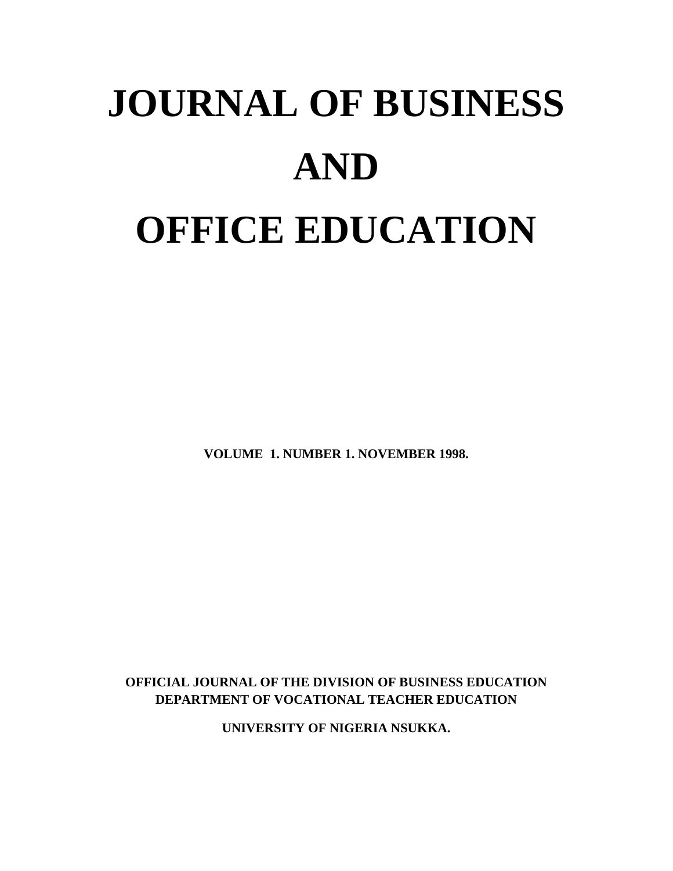# **JOURNAL OF BUSINESS AND OFFICE EDUCATION**

**VOLUME 1. NUMBER 1. NOVEMBER 1998.**

**OFFICIAL JOURNAL OF THE DIVISION OF BUSINESS EDUCATION DEPARTMENT OF VOCATIONAL TEACHER EDUCATION**

**UNIVERSITY OF NIGERIA NSUKKA.**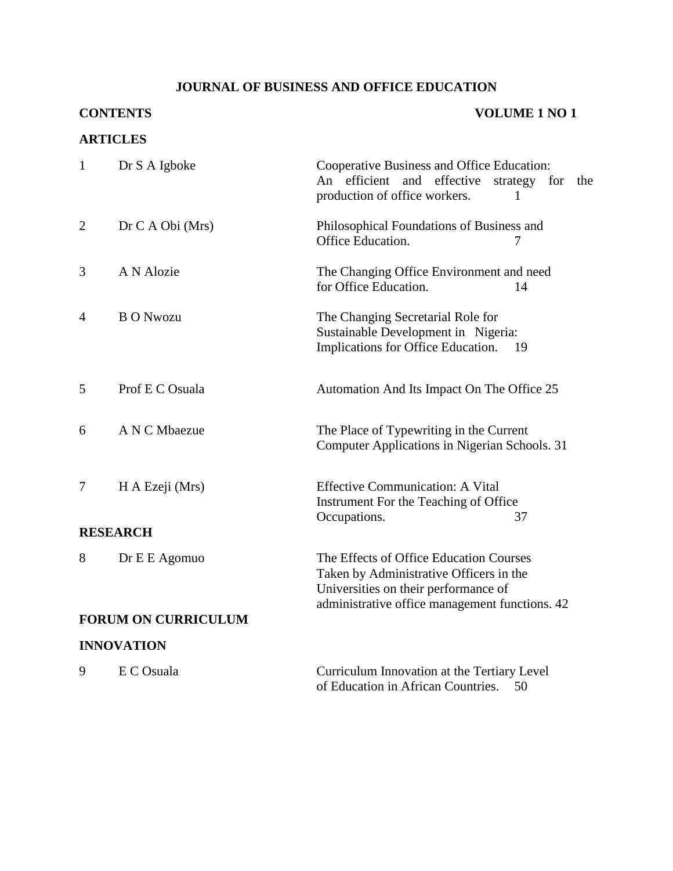# **JOURNAL OF BUSINESS AND OFFICE EDUCATION**

# **CONTENTS VOLUME 1 NO 1**

# **ARTICLES**

| $\mathbf{1}$               | Dr S A Igboke     | Cooperative Business and Office Education:<br>An efficient and<br>effective<br>strategy<br>for<br>the<br>production of office workers.<br>1                                  |
|----------------------------|-------------------|------------------------------------------------------------------------------------------------------------------------------------------------------------------------------|
| $\overline{2}$             | Dr C A Obi (Mrs)  | Philosophical Foundations of Business and<br>Office Education.<br>7                                                                                                          |
| 3                          | A N Alozie        | The Changing Office Environment and need<br>for Office Education.<br>14                                                                                                      |
| 4                          | <b>B O Nwozu</b>  | The Changing Secretarial Role for<br>Sustainable Development in Nigeria:<br>Implications for Office Education.<br>- 19                                                       |
| 5                          | Prof E C Osuala   | Automation And Its Impact On The Office 25                                                                                                                                   |
| 6                          | A N C Mbaezue     | The Place of Typewriting in the Current<br>Computer Applications in Nigerian Schools. 31                                                                                     |
| $\overline{7}$             | H A Ezeji (Mrs)   | <b>Effective Communication: A Vital</b><br>Instrument For the Teaching of Office<br>Occupations.<br>37                                                                       |
| <b>RESEARCH</b>            |                   |                                                                                                                                                                              |
| 8                          | Dr E E Agomuo     | The Effects of Office Education Courses<br>Taken by Administrative Officers in the<br>Universities on their performance of<br>administrative office management functions. 42 |
| <b>FORUM ON CURRICULUM</b> |                   |                                                                                                                                                                              |
|                            | <b>INNOVATION</b> |                                                                                                                                                                              |
| 9                          | E C Osuala        | Curriculum Innovation at the Tertiary Level<br>of Education in African Countries.<br>50                                                                                      |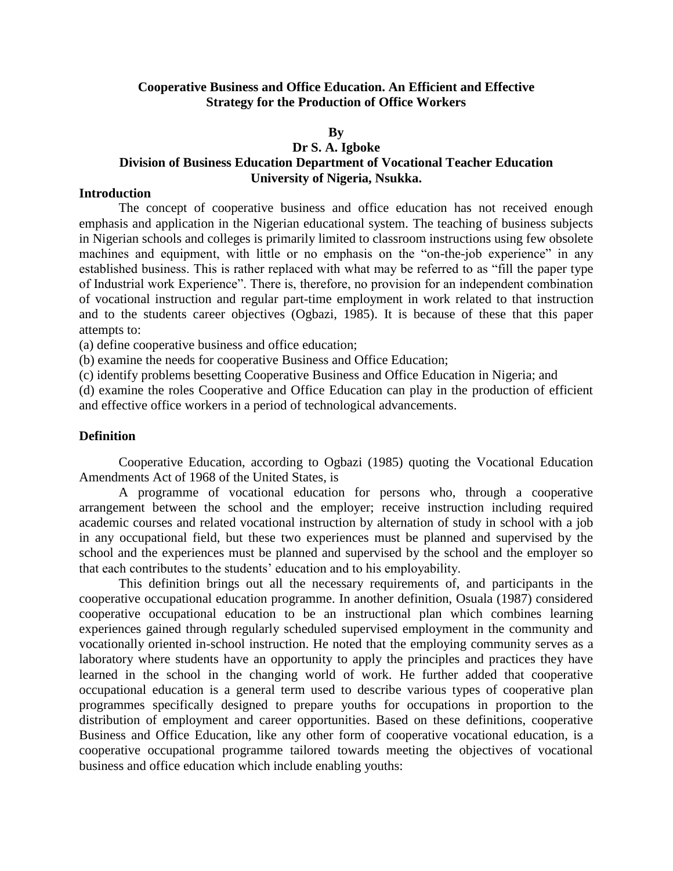# **Cooperative Business and Office Education. An Efficient and Effective Strategy for the Production of Office Workers**

#### **By**

# **Dr S. A. Igboke**

# **Division of Business Education Department of Vocational Teacher Education University of Nigeria, Nsukka.**

### **Introduction**

The concept of cooperative business and office education has not received enough emphasis and application in the Nigerian educational system. The teaching of business subjects in Nigerian schools and colleges is primarily limited to classroom instructions using few obsolete machines and equipment, with little or no emphasis on the "on-the-job experience" in any established business. This is rather replaced with what may be referred to as "fill the paper type of Industrial work Experience". There is, therefore, no provision for an independent combination of vocational instruction and regular part-time employment in work related to that instruction and to the students career objectives (Ogbazi, 1985). It is because of these that this paper attempts to:

(a) define cooperative business and office education;

(b) examine the needs for cooperative Business and Office Education;

(c) identify problems besetting Cooperative Business and Office Education in Nigeria; and

(d) examine the roles Cooperative and Office Education can play in the production of efficient and effective office workers in a period of technological advancements.

#### **Definition**

Cooperative Education, according to Ogbazi (1985) quoting the Vocational Education Amendments Act of 1968 of the United States, is

A programme of vocational education for persons who, through a cooperative arrangement between the school and the employer; receive instruction including required academic courses and related vocational instruction by alternation of study in school with a job in any occupational field, but these two experiences must be planned and supervised by the school and the experiences must be planned and supervised by the school and the employer so that each contributes to the students' education and to his employability.

This definition brings out all the necessary requirements of, and participants in the cooperative occupational education programme. In another definition, Osuala (1987) considered cooperative occupational education to be an instructional plan which combines learning experiences gained through regularly scheduled supervised employment in the community and vocationally oriented in-school instruction. He noted that the employing community serves as a laboratory where students have an opportunity to apply the principles and practices they have learned in the school in the changing world of work. He further added that cooperative occupational education is a general term used to describe various types of cooperative plan programmes specifically designed to prepare youths for occupations in proportion to the distribution of employment and career opportunities. Based on these definitions, cooperative Business and Office Education, like any other form of cooperative vocational education, is a cooperative occupational programme tailored towards meeting the objectives of vocational business and office education which include enabling youths: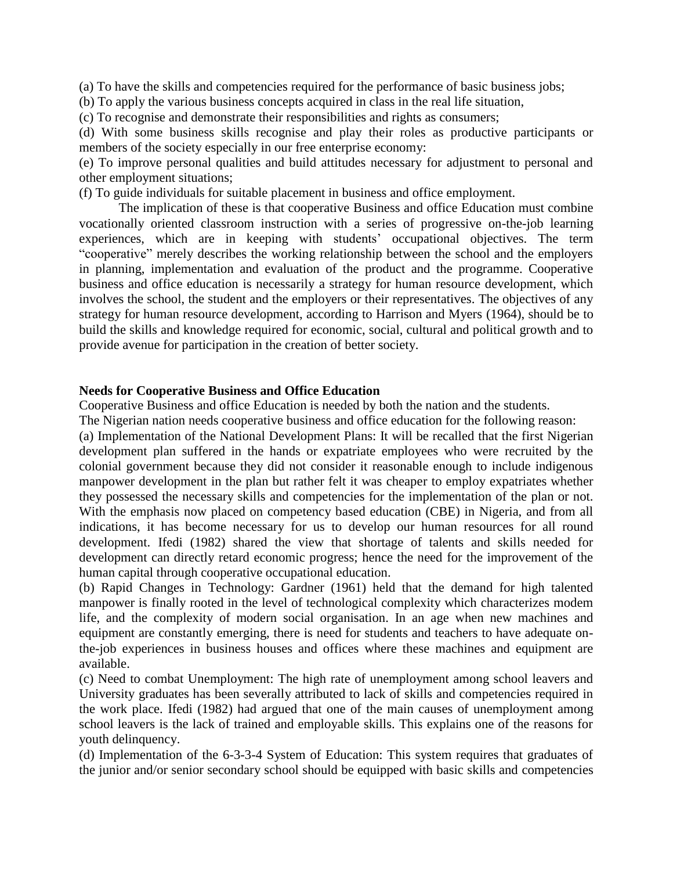(a) To have the skills and competencies required for the performance of basic business jobs;

(b) To apply the various business concepts acquired in class in the real life situation,

(c) To recognise and demonstrate their responsibilities and rights as consumers;

(d) With some business skills recognise and play their roles as productive participants or members of the society especially in our free enterprise economy:

(e) To improve personal qualities and build attitudes necessary for adjustment to personal and other employment situations;

(f) To guide individuals for suitable placement in business and office employment.

The implication of these is that cooperative Business and office Education must combine vocationally oriented classroom instruction with a series of progressive on-the-job learning experiences, which are in keeping with students' occupational objectives. The term "cooperative" merely describes the working relationship between the school and the employers in planning, implementation and evaluation of the product and the programme. Cooperative business and office education is necessarily a strategy for human resource development, which involves the school, the student and the employers or their representatives. The objectives of any strategy for human resource development, according to Harrison and Myers (1964), should be to build the skills and knowledge required for economic, social, cultural and political growth and to provide avenue for participation in the creation of better society.

# **Needs for Cooperative Business and Office Education**

Cooperative Business and office Education is needed by both the nation and the students.

The Nigerian nation needs cooperative business and office education for the following reason:

(a) Implementation of the National Development Plans: It will be recalled that the first Nigerian development plan suffered in the hands or expatriate employees who were recruited by the colonial government because they did not consider it reasonable enough to include indigenous manpower development in the plan but rather felt it was cheaper to employ expatriates whether they possessed the necessary skills and competencies for the implementation of the plan or not. With the emphasis now placed on competency based education (CBE) in Nigeria, and from all indications, it has become necessary for us to develop our human resources for all round development. Ifedi (1982) shared the view that shortage of talents and skills needed for development can directly retard economic progress; hence the need for the improvement of the human capital through cooperative occupational education.

(b) Rapid Changes in Technology: Gardner (1961) held that the demand for high talented manpower is finally rooted in the level of technological complexity which characterizes modem life, and the complexity of modern social organisation. In an age when new machines and equipment are constantly emerging, there is need for students and teachers to have adequate onthe-job experiences in business houses and offices where these machines and equipment are available.

(c) Need to combat Unemployment: The high rate of unemployment among school leavers and University graduates has been severally attributed to lack of skills and competencies required in the work place. Ifedi (1982) had argued that one of the main causes of unemployment among school leavers is the lack of trained and employable skills. This explains one of the reasons for youth delinquency.

(d) Implementation of the 6-3-3-4 System of Education: This system requires that graduates of the junior and/or senior secondary school should be equipped with basic skills and competencies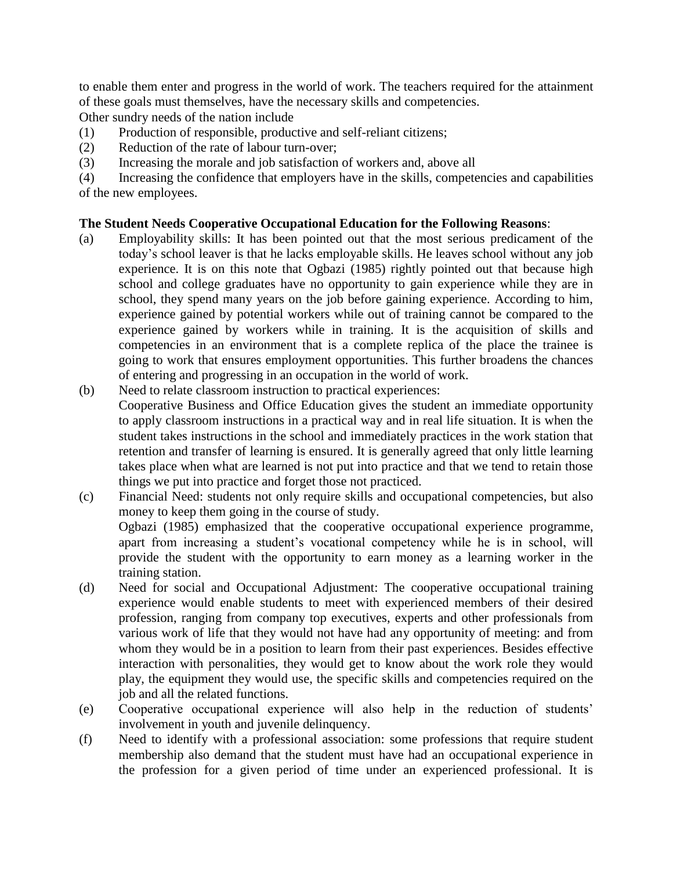to enable them enter and progress in the world of work. The teachers required for the attainment of these goals must themselves, have the necessary skills and competencies.

Other sundry needs of the nation include

- (1) Production of responsible, productive and self-reliant citizens;
- (2) Reduction of the rate of labour turn-over;
- (3) Increasing the morale and job satisfaction of workers and, above all

(4) Increasing the confidence that employers have in the skills, competencies and capabilities of the new employees.

# **The Student Needs Cooperative Occupational Education for the Following Reasons**:

- (a) Employability skills: It has been pointed out that the most serious predicament of the today's school leaver is that he lacks employable skills. He leaves school without any job experience. It is on this note that Ogbazi (1985) rightly pointed out that because high school and college graduates have no opportunity to gain experience while they are in school, they spend many years on the job before gaining experience. According to him, experience gained by potential workers while out of training cannot be compared to the experience gained by workers while in training. It is the acquisition of skills and competencies in an environment that is a complete replica of the place the trainee is going to work that ensures employment opportunities. This further broadens the chances of entering and progressing in an occupation in the world of work.
- (b) Need to relate classroom instruction to practical experiences: Cooperative Business and Office Education gives the student an immediate opportunity to apply classroom instructions in a practical way and in real life situation. It is when the student takes instructions in the school and immediately practices in the work station that retention and transfer of learning is ensured. It is generally agreed that only little learning takes place when what are learned is not put into practice and that we tend to retain those things we put into practice and forget those not practiced.
- (c) Financial Need: students not only require skills and occupational competencies, but also money to keep them going in the course of study. Ogbazi (1985) emphasized that the cooperative occupational experience programme, apart from increasing a student's vocational competency while he is in school, will provide the student with the opportunity to earn money as a learning worker in the training station.
- (d) Need for social and Occupational Adjustment: The cooperative occupational training experience would enable students to meet with experienced members of their desired profession, ranging from company top executives, experts and other professionals from various work of life that they would not have had any opportunity of meeting: and from whom they would be in a position to learn from their past experiences. Besides effective interaction with personalities, they would get to know about the work role they would play, the equipment they would use, the specific skills and competencies required on the job and all the related functions.
- (e) Cooperative occupational experience will also help in the reduction of students' involvement in youth and juvenile delinquency.
- (f) Need to identify with a professional association: some professions that require student membership also demand that the student must have had an occupational experience in the profession for a given period of time under an experienced professional. It is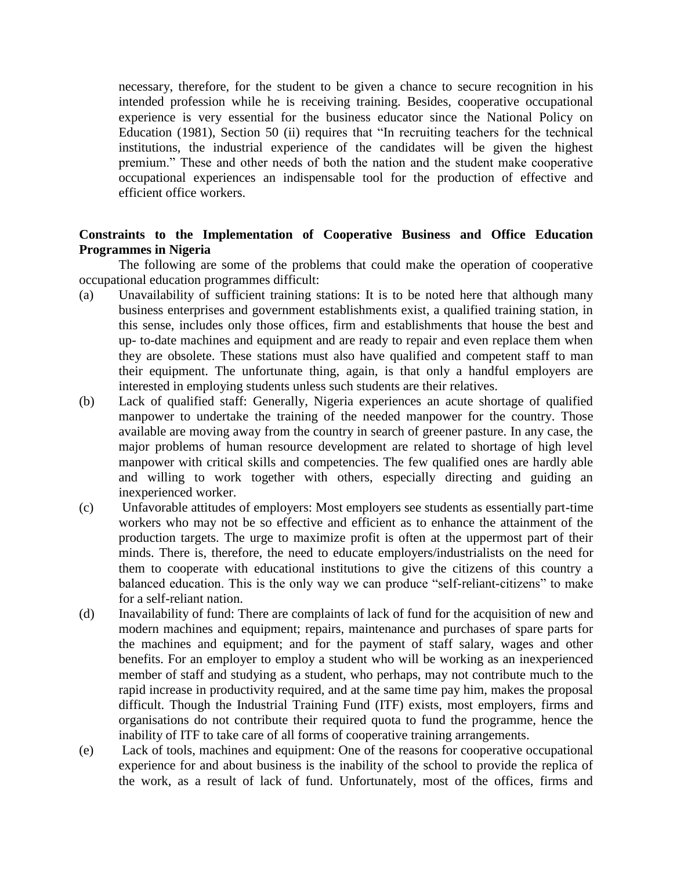necessary, therefore, for the student to be given a chance to secure recognition in his intended profession while he is receiving training. Besides, cooperative occupational experience is very essential for the business educator since the National Policy on Education (1981), Section 50 (ii) requires that "In recruiting teachers for the technical institutions, the industrial experience of the candidates will be given the highest premium." These and other needs of both the nation and the student make cooperative occupational experiences an indispensable tool for the production of effective and efficient office workers.

# **Constraints to the Implementation of Cooperative Business and Office Education Programmes in Nigeria**

The following are some of the problems that could make the operation of cooperative occupational education programmes difficult:

- (a) Unavailability of sufficient training stations: It is to be noted here that although many business enterprises and government establishments exist, a qualified training station, in this sense, includes only those offices, firm and establishments that house the best and up- to-date machines and equipment and are ready to repair and even replace them when they are obsolete. These stations must also have qualified and competent staff to man their equipment. The unfortunate thing, again, is that only a handful employers are interested in employing students unless such students are their relatives.
- (b) Lack of qualified staff: Generally, Nigeria experiences an acute shortage of qualified manpower to undertake the training of the needed manpower for the country. Those available are moving away from the country in search of greener pasture. In any case, the major problems of human resource development are related to shortage of high level manpower with critical skills and competencies. The few qualified ones are hardly able and willing to work together with others, especially directing and guiding an inexperienced worker.
- (c) Unfavorable attitudes of employers: Most employers see students as essentially part-time workers who may not be so effective and efficient as to enhance the attainment of the production targets. The urge to maximize profit is often at the uppermost part of their minds. There is, therefore, the need to educate employers/industrialists on the need for them to cooperate with educational institutions to give the citizens of this country a balanced education. This is the only way we can produce "self-reliant-citizens" to make for a self-reliant nation.
- (d) Inavailability of fund: There are complaints of lack of fund for the acquisition of new and modern machines and equipment; repairs, maintenance and purchases of spare parts for the machines and equipment; and for the payment of staff salary, wages and other benefits. For an employer to employ a student who will be working as an inexperienced member of staff and studying as a student, who perhaps, may not contribute much to the rapid increase in productivity required, and at the same time pay him, makes the proposal difficult. Though the Industrial Training Fund (ITF) exists, most employers, firms and organisations do not contribute their required quota to fund the programme, hence the inability of ITF to take care of all forms of cooperative training arrangements.
- (e) Lack of tools, machines and equipment: One of the reasons for cooperative occupational experience for and about business is the inability of the school to provide the replica of the work, as a result of lack of fund. Unfortunately, most of the offices, firms and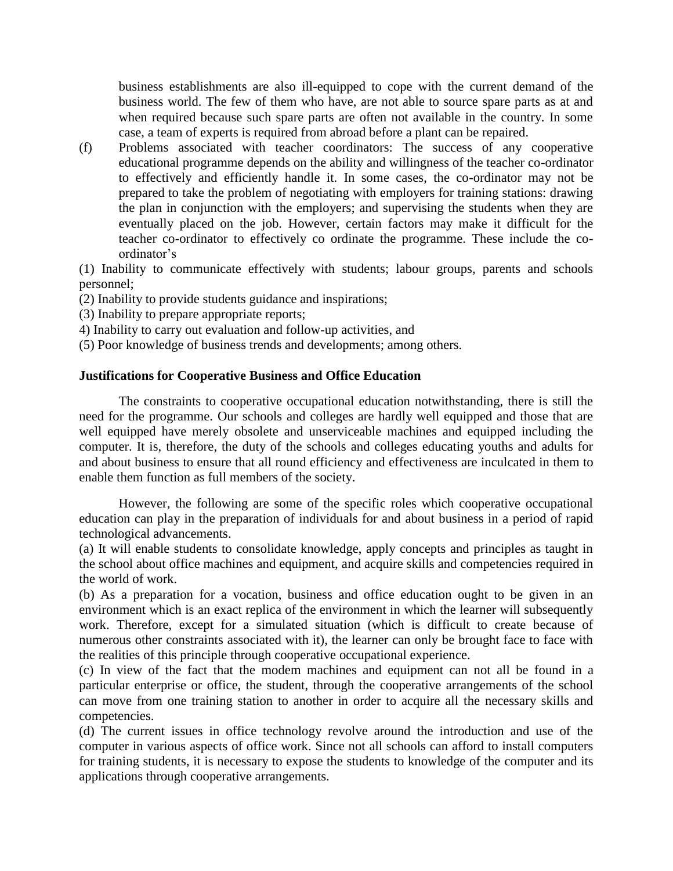business establishments are also ill-equipped to cope with the current demand of the business world. The few of them who have, are not able to source spare parts as at and when required because such spare parts are often not available in the country. In some case, a team of experts is required from abroad before a plant can be repaired.

(f) Problems associated with teacher coordinators: The success of any cooperative educational programme depends on the ability and willingness of the teacher co-ordinator to effectively and efficiently handle it. In some cases, the co-ordinator may not be prepared to take the problem of negotiating with employers for training stations: drawing the plan in conjunction with the employers; and supervising the students when they are eventually placed on the job. However, certain factors may make it difficult for the teacher co-ordinator to effectively co ordinate the programme. These include the coordinator's

(1) Inability to communicate effectively with students; labour groups, parents and schools personnel;

- (2) Inability to provide students guidance and inspirations;
- (3) Inability to prepare appropriate reports;
- 4) Inability to carry out evaluation and follow-up activities, and
- (5) Poor knowledge of business trends and developments; among others.

# **Justifications for Cooperative Business and Office Education**

The constraints to cooperative occupational education notwithstanding, there is still the need for the programme. Our schools and colleges are hardly well equipped and those that are well equipped have merely obsolete and unserviceable machines and equipped including the computer. It is, therefore, the duty of the schools and colleges educating youths and adults for and about business to ensure that all round efficiency and effectiveness are inculcated in them to enable them function as full members of the society.

However, the following are some of the specific roles which cooperative occupational education can play in the preparation of individuals for and about business in a period of rapid technological advancements.

(a) It will enable students to consolidate knowledge, apply concepts and principles as taught in the school about office machines and equipment, and acquire skills and competencies required in the world of work.

(b) As a preparation for a vocation, business and office education ought to be given in an environment which is an exact replica of the environment in which the learner will subsequently work. Therefore, except for a simulated situation (which is difficult to create because of numerous other constraints associated with it), the learner can only be brought face to face with the realities of this principle through cooperative occupational experience.

(c) In view of the fact that the modem machines and equipment can not all be found in a particular enterprise or office, the student, through the cooperative arrangements of the school can move from one training station to another in order to acquire all the necessary skills and competencies.

(d) The current issues in office technology revolve around the introduction and use of the computer in various aspects of office work. Since not all schools can afford to install computers for training students, it is necessary to expose the students to knowledge of the computer and its applications through cooperative arrangements.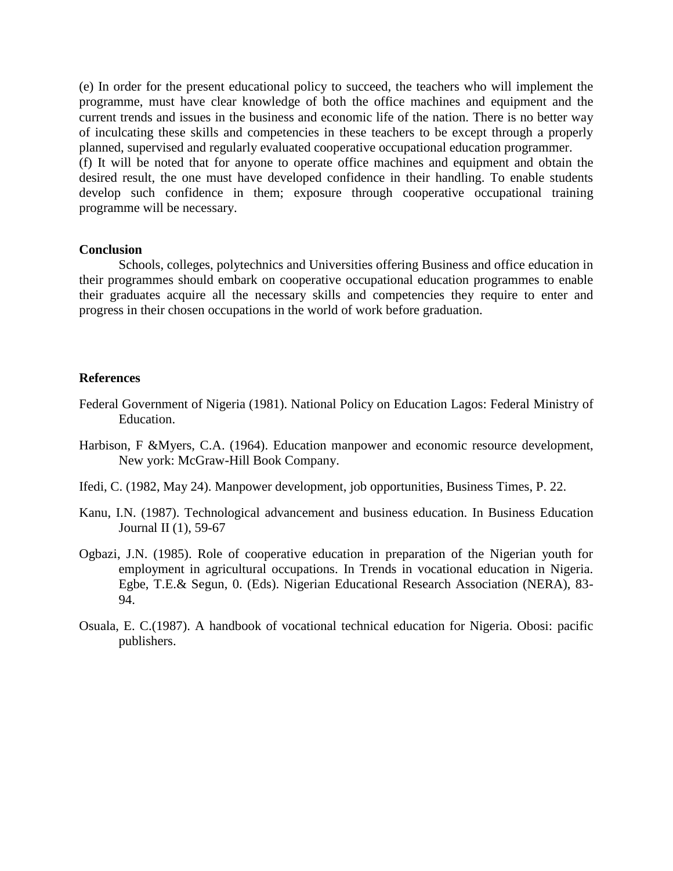(e) In order for the present educational policy to succeed, the teachers who will implement the programme, must have clear knowledge of both the office machines and equipment and the current trends and issues in the business and economic life of the nation. There is no better way of inculcating these skills and competencies in these teachers to be except through a properly planned, supervised and regularly evaluated cooperative occupational education programmer.

(f) It will be noted that for anyone to operate office machines and equipment and obtain the desired result, the one must have developed confidence in their handling. To enable students develop such confidence in them; exposure through cooperative occupational training programme will be necessary.

#### **Conclusion**

Schools, colleges, polytechnics and Universities offering Business and office education in their programmes should embark on cooperative occupational education programmes to enable their graduates acquire all the necessary skills and competencies they require to enter and progress in their chosen occupations in the world of work before graduation.

#### **References**

- Federal Government of Nigeria (1981). National Policy on Education Lagos: Federal Ministry of Education.
- Harbison, F &Myers, C.A. (1964). Education manpower and economic resource development, New york: McGraw-Hill Book Company.
- Ifedi, C. (1982, May 24). Manpower development, job opportunities, Business Times, P. 22.
- Kanu, I.N. (1987). Technological advancement and business education. In Business Education Journal II (1), 59-67
- Ogbazi, J.N. (1985). Role of cooperative education in preparation of the Nigerian youth for employment in agricultural occupations. In Trends in vocational education in Nigeria. Egbe, T.E.& Segun, 0. (Eds). Nigerian Educational Research Association (NERA), 83- 94.
- Osuala, E. C.(1987). A handbook of vocational technical education for Nigeria. Obosi: pacific publishers.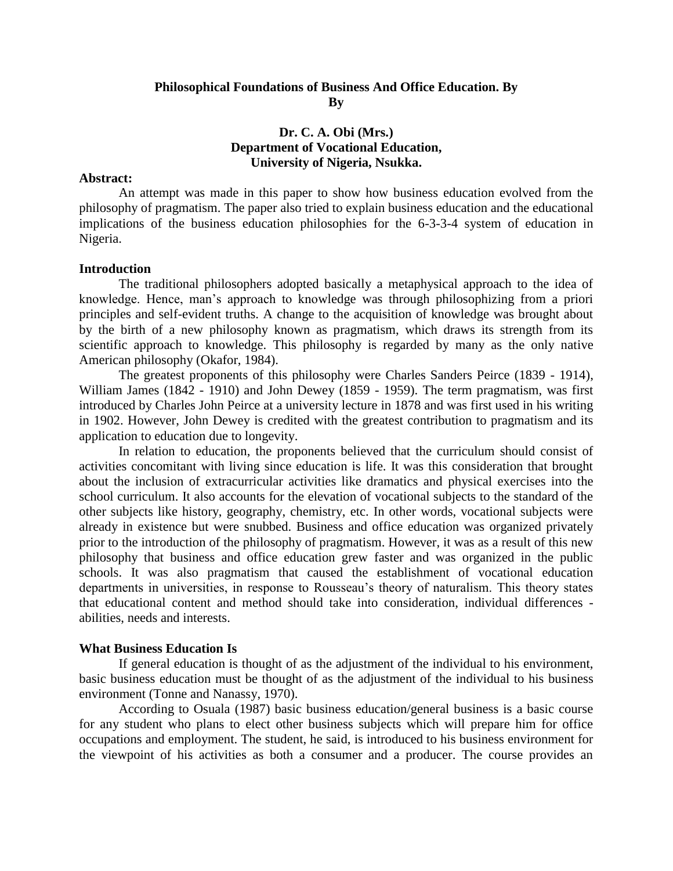# **Philosophical Foundations of Business And Office Education. By By**

# **Dr. C. A. Obi (Mrs.) Department of Vocational Education, University of Nigeria, Nsukka.**

#### **Abstract:**

An attempt was made in this paper to show how business education evolved from the philosophy of pragmatism. The paper also tried to explain business education and the educational implications of the business education philosophies for the 6-3-3-4 system of education in Nigeria.

#### **Introduction**

The traditional philosophers adopted basically a metaphysical approach to the idea of knowledge. Hence, man's approach to knowledge was through philosophizing from a priori principles and self-evident truths. A change to the acquisition of knowledge was brought about by the birth of a new philosophy known as pragmatism, which draws its strength from its scientific approach to knowledge. This philosophy is regarded by many as the only native American philosophy (Okafor, 1984).

The greatest proponents of this philosophy were Charles Sanders Peirce (1839 - 1914), William James (1842 - 1910) and John Dewey (1859 - 1959). The term pragmatism, was first introduced by Charles John Peirce at a university lecture in 1878 and was first used in his writing in 1902. However, John Dewey is credited with the greatest contribution to pragmatism and its application to education due to longevity.

In relation to education, the proponents believed that the curriculum should consist of activities concomitant with living since education is life. It was this consideration that brought about the inclusion of extracurricular activities like dramatics and physical exercises into the school curriculum. It also accounts for the elevation of vocational subjects to the standard of the other subjects like history, geography, chemistry, etc. In other words, vocational subjects were already in existence but were snubbed. Business and office education was organized privately prior to the introduction of the philosophy of pragmatism. However, it was as a result of this new philosophy that business and office education grew faster and was organized in the public schools. It was also pragmatism that caused the establishment of vocational education departments in universities, in response to Rousseau's theory of naturalism. This theory states that educational content and method should take into consideration, individual differences abilities, needs and interests.

#### **What Business Education Is**

If general education is thought of as the adjustment of the individual to his environment, basic business education must be thought of as the adjustment of the individual to his business environment (Tonne and Nanassy, 1970).

According to Osuala (1987) basic business education/general business is a basic course for any student who plans to elect other business subjects which will prepare him for office occupations and employment. The student, he said, is introduced to his business environment for the viewpoint of his activities as both a consumer and a producer. The course provides an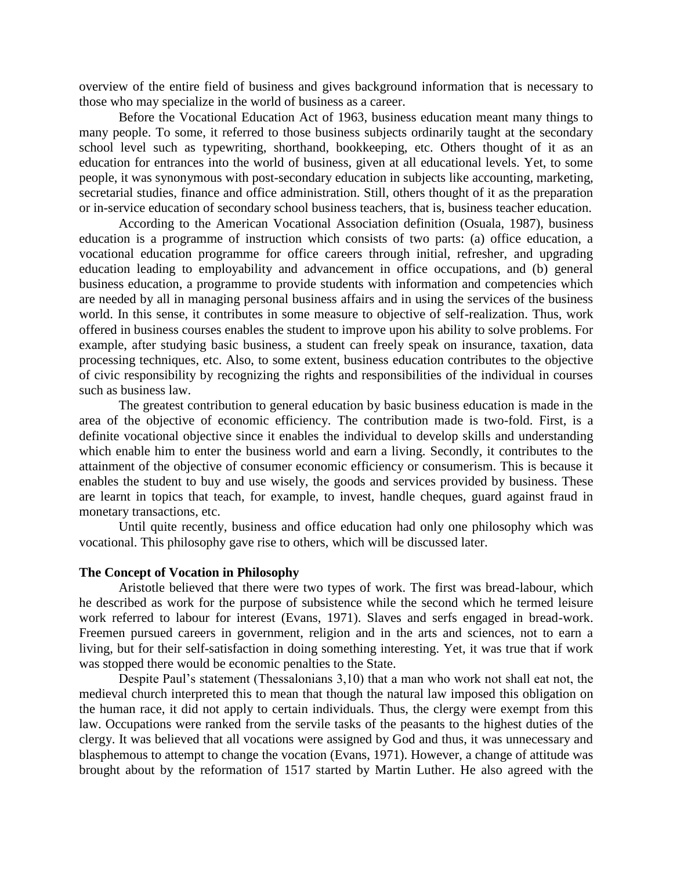overview of the entire field of business and gives background information that is necessary to those who may specialize in the world of business as a career.

Before the Vocational Education Act of 1963, business education meant many things to many people. To some, it referred to those business subjects ordinarily taught at the secondary school level such as typewriting, shorthand, bookkeeping, etc. Others thought of it as an education for entrances into the world of business, given at all educational levels. Yet, to some people, it was synonymous with post-secondary education in subjects like accounting, marketing, secretarial studies, finance and office administration. Still, others thought of it as the preparation or in-service education of secondary school business teachers, that is, business teacher education.

According to the American Vocational Association definition (Osuala, 1987), business education is a programme of instruction which consists of two parts: (a) office education, a vocational education programme for office careers through initial, refresher, and upgrading education leading to employability and advancement in office occupations, and (b) general business education, a programme to provide students with information and competencies which are needed by all in managing personal business affairs and in using the services of the business world. In this sense, it contributes in some measure to objective of self-realization. Thus, work offered in business courses enables the student to improve upon his ability to solve problems. For example, after studying basic business, a student can freely speak on insurance, taxation, data processing techniques, etc. Also, to some extent, business education contributes to the objective of civic responsibility by recognizing the rights and responsibilities of the individual in courses such as business law.

The greatest contribution to general education by basic business education is made in the area of the objective of economic efficiency. The contribution made is two-fold. First, is a definite vocational objective since it enables the individual to develop skills and understanding which enable him to enter the business world and earn a living. Secondly, it contributes to the attainment of the objective of consumer economic efficiency or consumerism. This is because it enables the student to buy and use wisely, the goods and services provided by business. These are learnt in topics that teach, for example, to invest, handle cheques, guard against fraud in monetary transactions, etc.

Until quite recently, business and office education had only one philosophy which was vocational. This philosophy gave rise to others, which will be discussed later.

#### **The Concept of Vocation in Philosophy**

Aristotle believed that there were two types of work. The first was bread-labour, which he described as work for the purpose of subsistence while the second which he termed leisure work referred to labour for interest (Evans, 1971). Slaves and serfs engaged in bread-work. Freemen pursued careers in government, religion and in the arts and sciences, not to earn a living, but for their self-satisfaction in doing something interesting. Yet, it was true that if work was stopped there would be economic penalties to the State.

Despite Paul's statement (Thessalonians 3,10) that a man who work not shall eat not, the medieval church interpreted this to mean that though the natural law imposed this obligation on the human race, it did not apply to certain individuals. Thus, the clergy were exempt from this law. Occupations were ranked from the servile tasks of the peasants to the highest duties of the clergy. It was believed that all vocations were assigned by God and thus, it was unnecessary and blasphemous to attempt to change the vocation (Evans, 1971). However, a change of attitude was brought about by the reformation of 1517 started by Martin Luther. He also agreed with the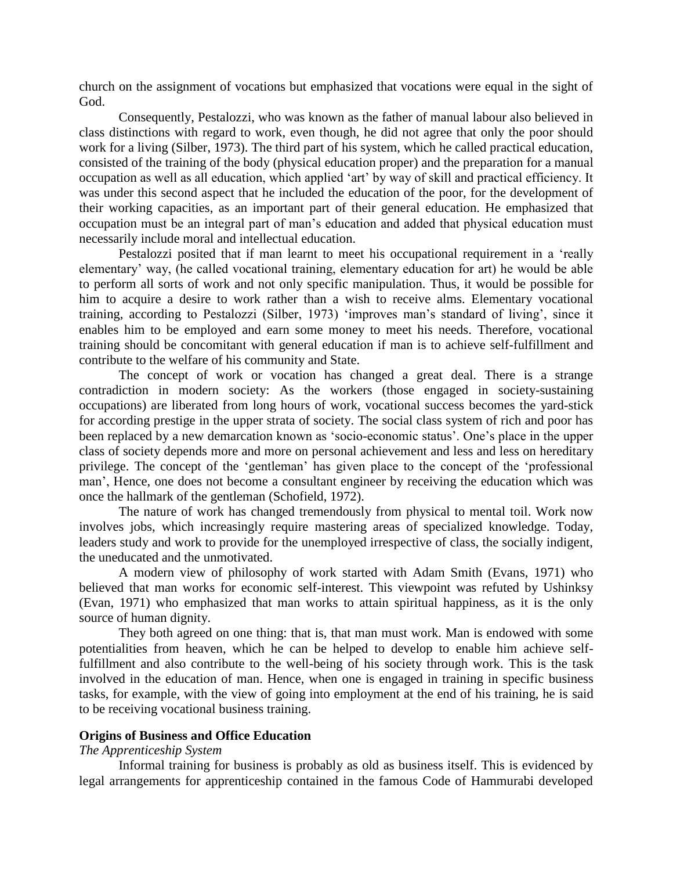church on the assignment of vocations but emphasized that vocations were equal in the sight of God.

Consequently, Pestalozzi, who was known as the father of manual labour also believed in class distinctions with regard to work, even though, he did not agree that only the poor should work for a living (Silber, 1973). The third part of his system, which he called practical education, consisted of the training of the body (physical education proper) and the preparation for a manual occupation as well as all education, which applied 'art' by way of skill and practical efficiency. It was under this second aspect that he included the education of the poor, for the development of their working capacities, as an important part of their general education. He emphasized that occupation must be an integral part of man's education and added that physical education must necessarily include moral and intellectual education.

Pestalozzi posited that if man learnt to meet his occupational requirement in a 'really elementary' way, (he called vocational training, elementary education for art) he would be able to perform all sorts of work and not only specific manipulation. Thus, it would be possible for him to acquire a desire to work rather than a wish to receive alms. Elementary vocational training, according to Pestalozzi (Silber, 1973) 'improves man's standard of living', since it enables him to be employed and earn some money to meet his needs. Therefore, vocational training should be concomitant with general education if man is to achieve self-fulfillment and contribute to the welfare of his community and State.

The concept of work or vocation has changed a great deal. There is a strange contradiction in modern society: As the workers (those engaged in society-sustaining occupations) are liberated from long hours of work, vocational success becomes the yard-stick for according prestige in the upper strata of society. The social class system of rich and poor has been replaced by a new demarcation known as 'socio-economic status'. One's place in the upper class of society depends more and more on personal achievement and less and less on hereditary privilege. The concept of the 'gentleman' has given place to the concept of the 'professional man', Hence, one does not become a consultant engineer by receiving the education which was once the hallmark of the gentleman (Schofield, 1972).

The nature of work has changed tremendously from physical to mental toil. Work now involves jobs, which increasingly require mastering areas of specialized knowledge. Today, leaders study and work to provide for the unemployed irrespective of class, the socially indigent, the uneducated and the unmotivated.

A modern view of philosophy of work started with Adam Smith (Evans, 1971) who believed that man works for economic self-interest. This viewpoint was refuted by Ushinksy (Evan, 1971) who emphasized that man works to attain spiritual happiness, as it is the only source of human dignity.

They both agreed on one thing: that is, that man must work. Man is endowed with some potentialities from heaven, which he can be helped to develop to enable him achieve selffulfillment and also contribute to the well-being of his society through work. This is the task involved in the education of man. Hence, when one is engaged in training in specific business tasks, for example, with the view of going into employment at the end of his training, he is said to be receiving vocational business training.

#### **Origins of Business and Office Education**

# *The Apprenticeship System*

Informal training for business is probably as old as business itself. This is evidenced by legal arrangements for apprenticeship contained in the famous Code of Hammurabi developed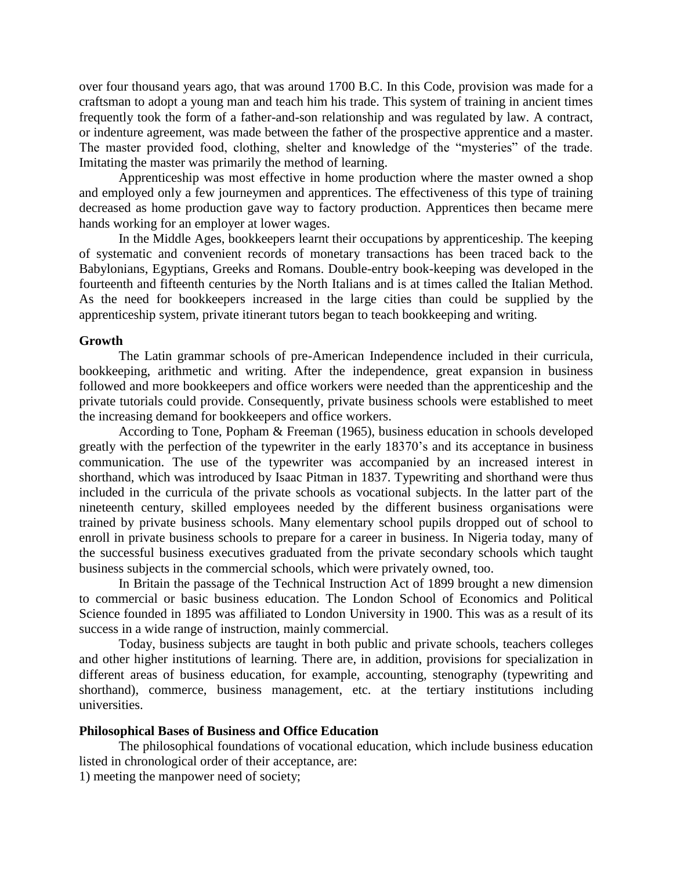over four thousand years ago, that was around 1700 B.C. In this Code, provision was made for a craftsman to adopt a young man and teach him his trade. This system of training in ancient times frequently took the form of a father-and-son relationship and was regulated by law. A contract, or indenture agreement, was made between the father of the prospective apprentice and a master. The master provided food, clothing, shelter and knowledge of the "mysteries" of the trade. Imitating the master was primarily the method of learning.

Apprenticeship was most effective in home production where the master owned a shop and employed only a few journeymen and apprentices. The effectiveness of this type of training decreased as home production gave way to factory production. Apprentices then became mere hands working for an employer at lower wages.

In the Middle Ages, bookkeepers learnt their occupations by apprenticeship. The keeping of systematic and convenient records of monetary transactions has been traced back to the Babylonians, Egyptians, Greeks and Romans. Double-entry book-keeping was developed in the fourteenth and fifteenth centuries by the North Italians and is at times called the Italian Method. As the need for bookkeepers increased in the large cities than could be supplied by the apprenticeship system, private itinerant tutors began to teach bookkeeping and writing.

#### **Growth**

The Latin grammar schools of pre-American Independence included in their curricula, bookkeeping, arithmetic and writing. After the independence, great expansion in business followed and more bookkeepers and office workers were needed than the apprenticeship and the private tutorials could provide. Consequently, private business schools were established to meet the increasing demand for bookkeepers and office workers.

According to Tone, Popham & Freeman (1965), business education in schools developed greatly with the perfection of the typewriter in the early 18370's and its acceptance in business communication. The use of the typewriter was accompanied by an increased interest in shorthand, which was introduced by Isaac Pitman in 1837. Typewriting and shorthand were thus included in the curricula of the private schools as vocational subjects. In the latter part of the nineteenth century, skilled employees needed by the different business organisations were trained by private business schools. Many elementary school pupils dropped out of school to enroll in private business schools to prepare for a career in business. In Nigeria today, many of the successful business executives graduated from the private secondary schools which taught business subjects in the commercial schools, which were privately owned, too.

In Britain the passage of the Technical Instruction Act of 1899 brought a new dimension to commercial or basic business education. The London School of Economics and Political Science founded in 1895 was affiliated to London University in 1900. This was as a result of its success in a wide range of instruction, mainly commercial.

Today, business subjects are taught in both public and private schools, teachers colleges and other higher institutions of learning. There are, in addition, provisions for specialization in different areas of business education, for example, accounting, stenography (typewriting and shorthand), commerce, business management, etc. at the tertiary institutions including universities.

#### **Philosophical Bases of Business and Office Education**

The philosophical foundations of vocational education, which include business education listed in chronological order of their acceptance, are:

1) meeting the manpower need of society;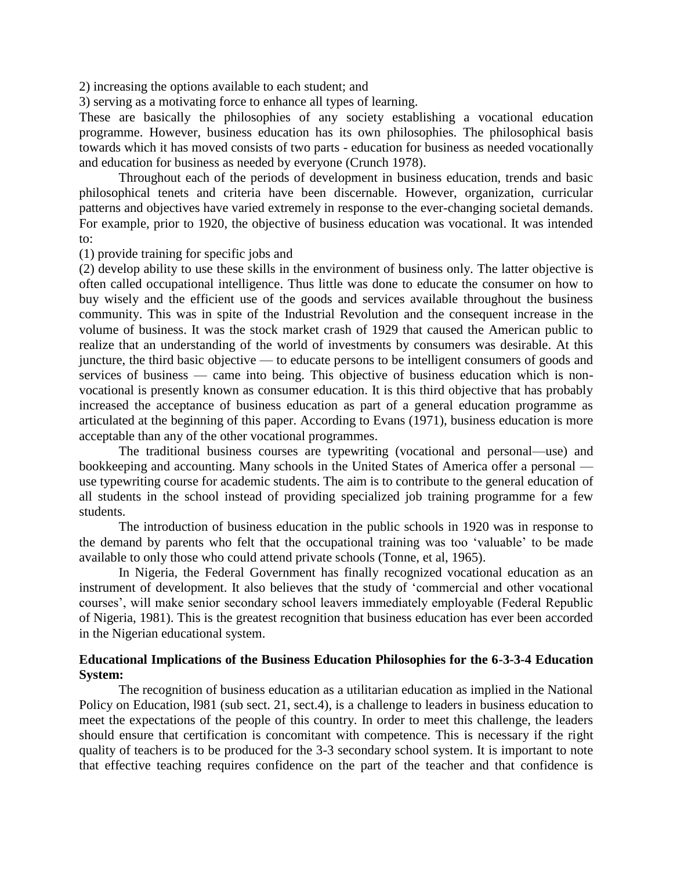2) increasing the options available to each student; and

3) serving as a motivating force to enhance all types of learning.

These are basically the philosophies of any society establishing a vocational education programme. However, business education has its own philosophies. The philosophical basis towards which it has moved consists of two parts - education for business as needed vocationally and education for business as needed by everyone (Crunch 1978).

Throughout each of the periods of development in business education, trends and basic philosophical tenets and criteria have been discernable. However, organization, curricular patterns and objectives have varied extremely in response to the ever-changing societal demands. For example, prior to 1920, the objective of business education was vocational. It was intended to:

(1) provide training for specific jobs and

(2) develop ability to use these skills in the environment of business only. The latter objective is often called occupational intelligence. Thus little was done to educate the consumer on how to buy wisely and the efficient use of the goods and services available throughout the business community. This was in spite of the Industrial Revolution and the consequent increase in the volume of business. It was the stock market crash of 1929 that caused the American public to realize that an understanding of the world of investments by consumers was desirable. At this juncture, the third basic objective — to educate persons to be intelligent consumers of goods and services of business — came into being. This objective of business education which is nonvocational is presently known as consumer education. It is this third objective that has probably increased the acceptance of business education as part of a general education programme as articulated at the beginning of this paper. According to Evans (1971), business education is more acceptable than any of the other vocational programmes.

The traditional business courses are typewriting (vocational and personal—use) and bookkeeping and accounting. Many schools in the United States of America offer a personal use typewriting course for academic students. The aim is to contribute to the general education of all students in the school instead of providing specialized job training programme for a few students.

The introduction of business education in the public schools in 1920 was in response to the demand by parents who felt that the occupational training was too 'valuable' to be made available to only those who could attend private schools (Tonne, et al, 1965).

In Nigeria, the Federal Government has finally recognized vocational education as an instrument of development. It also believes that the study of 'commercial and other vocational courses', will make senior secondary school leavers immediately employable (Federal Republic of Nigeria, 1981). This is the greatest recognition that business education has ever been accorded in the Nigerian educational system.

# **Educational Implications of the Business Education Philosophies for the 6-3-3-4 Education System:**

The recognition of business education as a utilitarian education as implied in the National Policy on Education, l981 (sub sect. 21, sect.4), is a challenge to leaders in business education to meet the expectations of the people of this country. In order to meet this challenge, the leaders should ensure that certification is concomitant with competence. This is necessary if the right quality of teachers is to be produced for the 3-3 secondary school system. It is important to note that effective teaching requires confidence on the part of the teacher and that confidence is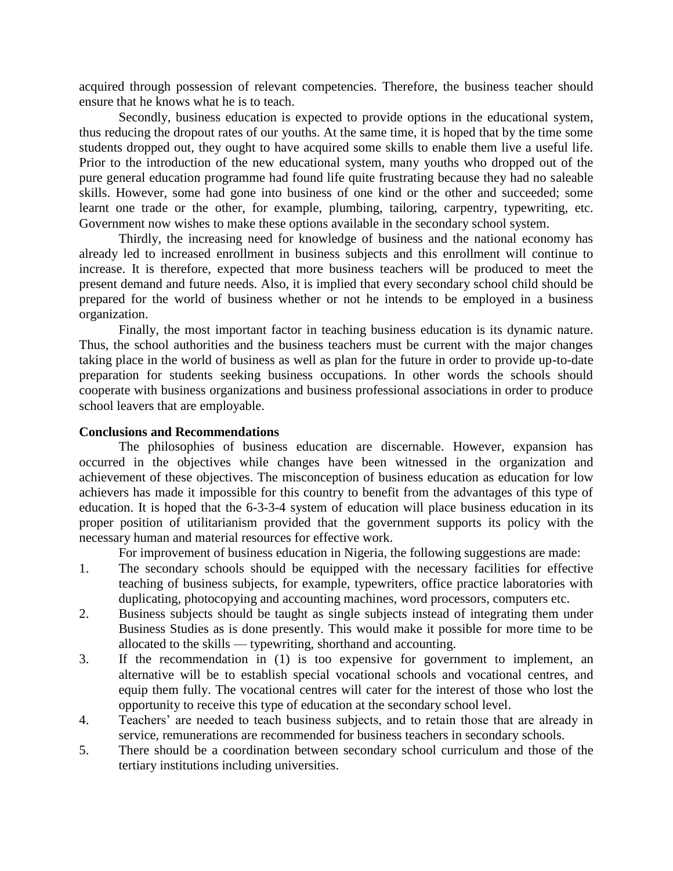acquired through possession of relevant competencies. Therefore, the business teacher should ensure that he knows what he is to teach.

Secondly, business education is expected to provide options in the educational system, thus reducing the dropout rates of our youths. At the same time, it is hoped that by the time some students dropped out, they ought to have acquired some skills to enable them live a useful life. Prior to the introduction of the new educational system, many youths who dropped out of the pure general education programme had found life quite frustrating because they had no saleable skills. However, some had gone into business of one kind or the other and succeeded; some learnt one trade or the other, for example, plumbing, tailoring, carpentry, typewriting, etc. Government now wishes to make these options available in the secondary school system.

Thirdly, the increasing need for knowledge of business and the national economy has already led to increased enrollment in business subjects and this enrollment will continue to increase. It is therefore, expected that more business teachers will be produced to meet the present demand and future needs. Also, it is implied that every secondary school child should be prepared for the world of business whether or not he intends to be employed in a business organization.

Finally, the most important factor in teaching business education is its dynamic nature. Thus, the school authorities and the business teachers must be current with the major changes taking place in the world of business as well as plan for the future in order to provide up-to-date preparation for students seeking business occupations. In other words the schools should cooperate with business organizations and business professional associations in order to produce school leavers that are employable.

# **Conclusions and Recommendations**

The philosophies of business education are discernable. However, expansion has occurred in the objectives while changes have been witnessed in the organization and achievement of these objectives. The misconception of business education as education for low achievers has made it impossible for this country to benefit from the advantages of this type of education. It is hoped that the 6-3-3-4 system of education will place business education in its proper position of utilitarianism provided that the government supports its policy with the necessary human and material resources for effective work.

For improvement of business education in Nigeria, the following suggestions are made:

- 1. The secondary schools should be equipped with the necessary facilities for effective teaching of business subjects, for example, typewriters, office practice laboratories with duplicating, photocopying and accounting machines, word processors, computers etc.
- 2. Business subjects should be taught as single subjects instead of integrating them under Business Studies as is done presently. This would make it possible for more time to be allocated to the skills — typewriting, shorthand and accounting.
- 3. If the recommendation in (1) is too expensive for government to implement, an alternative will be to establish special vocational schools and vocational centres, and equip them fully. The vocational centres will cater for the interest of those who lost the opportunity to receive this type of education at the secondary school level.
- 4. Teachers' are needed to teach business subjects, and to retain those that are already in service, remunerations are recommended for business teachers in secondary schools.
- 5. There should be a coordination between secondary school curriculum and those of the tertiary institutions including universities.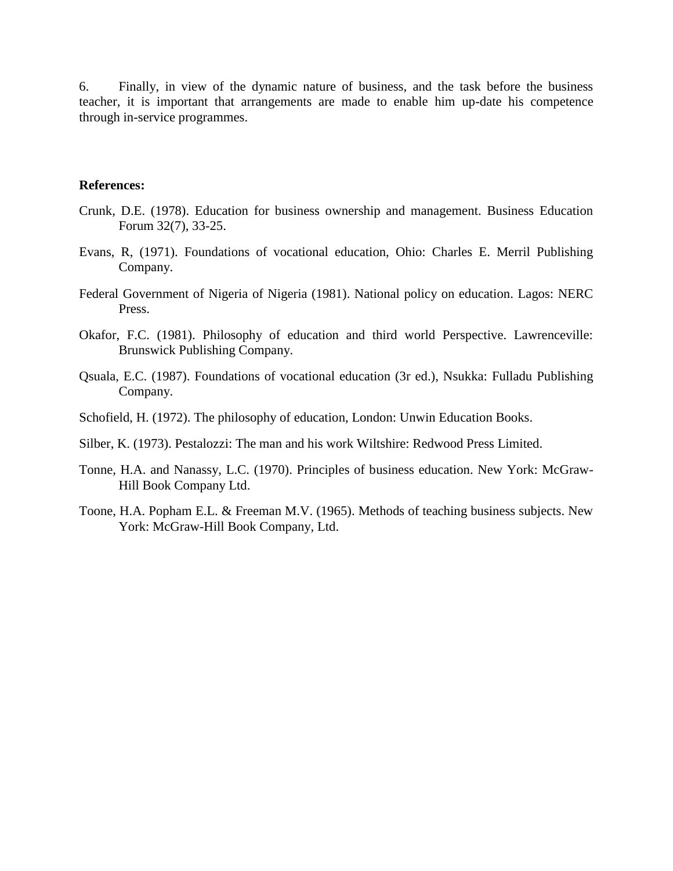6. Finally, in view of the dynamic nature of business, and the task before the business teacher, it is important that arrangements are made to enable him up-date his competence through in-service programmes.

#### **References:**

- Crunk, D.E. (1978). Education for business ownership and management. Business Education Forum 32(7), 33-25.
- Evans, R, (1971). Foundations of vocational education, Ohio: Charles E. Merril Publishing Company.
- Federal Government of Nigeria of Nigeria (1981). National policy on education. Lagos: NERC Press.
- Okafor, F.C. (1981). Philosophy of education and third world Perspective. Lawrenceville: Brunswick Publishing Company.
- Qsuala, E.C. (1987). Foundations of vocational education (3r ed.), Nsukka: Fulladu Publishing Company.
- Schofield, H. (1972). The philosophy of education, London: Unwin Education Books.
- Silber, K. (1973). Pestalozzi: The man and his work Wiltshire: Redwood Press Limited.
- Tonne, H.A. and Nanassy, L.C. (1970). Principles of business education. New York: McGraw-Hill Book Company Ltd.
- Toone, H.A. Popham E.L. & Freeman M.V. (1965). Methods of teaching business subjects. New York: McGraw-Hill Book Company, Ltd.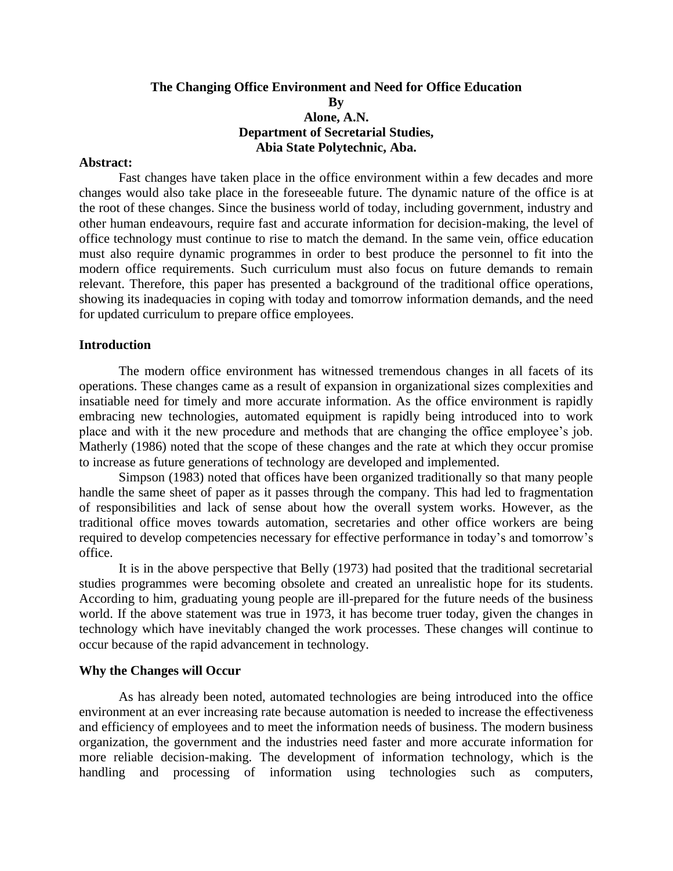# **The Changing Office Environment and Need for Office Education By Alone, A.N. Department of Secretarial Studies, Abia State Polytechnic, Aba.**

#### **Abstract:**

Fast changes have taken place in the office environment within a few decades and more changes would also take place in the foreseeable future. The dynamic nature of the office is at the root of these changes. Since the business world of today, including government, industry and other human endeavours, require fast and accurate information for decision-making, the level of office technology must continue to rise to match the demand. In the same vein, office education must also require dynamic programmes in order to best produce the personnel to fit into the modern office requirements. Such curriculum must also focus on future demands to remain relevant. Therefore, this paper has presented a background of the traditional office operations, showing its inadequacies in coping with today and tomorrow information demands, and the need for updated curriculum to prepare office employees.

#### **Introduction**

The modern office environment has witnessed tremendous changes in all facets of its operations. These changes came as a result of expansion in organizational sizes complexities and insatiable need for timely and more accurate information. As the office environment is rapidly embracing new technologies, automated equipment is rapidly being introduced into to work place and with it the new procedure and methods that are changing the office employee's job. Matherly (1986) noted that the scope of these changes and the rate at which they occur promise to increase as future generations of technology are developed and implemented.

Simpson (1983) noted that offices have been organized traditionally so that many people handle the same sheet of paper as it passes through the company. This had led to fragmentation of responsibilities and lack of sense about how the overall system works. However, as the traditional office moves towards automation, secretaries and other office workers are being required to develop competencies necessary for effective performance in today's and tomorrow's office.

It is in the above perspective that Belly (1973) had posited that the traditional secretarial studies programmes were becoming obsolete and created an unrealistic hope for its students. According to him, graduating young people are ill-prepared for the future needs of the business world. If the above statement was true in 1973, it has become truer today, given the changes in technology which have inevitably changed the work processes. These changes will continue to occur because of the rapid advancement in technology.

#### **Why the Changes will Occur**

As has already been noted, automated technologies are being introduced into the office environment at an ever increasing rate because automation is needed to increase the effectiveness and efficiency of employees and to meet the information needs of business. The modern business organization, the government and the industries need faster and more accurate information for more reliable decision-making. The development of information technology, which is the handling and processing of information using technologies such as computers,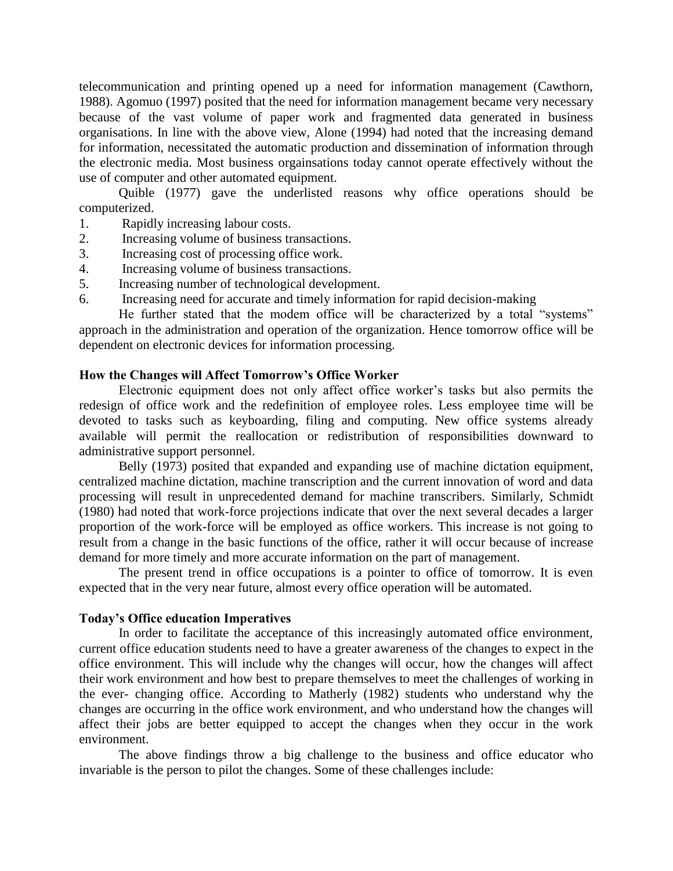telecommunication and printing opened up a need for information management (Cawthorn, 1988). Agomuo (1997) posited that the need for information management became very necessary because of the vast volume of paper work and fragmented data generated in business organisations. In line with the above view, Alone (1994) had noted that the increasing demand for information, necessitated the automatic production and dissemination of information through the electronic media. Most business orgainsations today cannot operate effectively without the use of computer and other automated equipment.

Quible (1977) gave the underlisted reasons why office operations should be computerized.

- 1. Rapidly increasing labour costs.
- 2. Increasing volume of business transactions.
- 3. Increasing cost of processing office work.
- 4. Increasing volume of business transactions.
- 5. Increasing number of technological development.
- 6. Increasing need for accurate and timely information for rapid decision-making

He further stated that the modem office will be characterized by a total "systems" approach in the administration and operation of the organization. Hence tomorrow office will be dependent on electronic devices for information processing.

#### **How the Changes will Affect Tomorrow's Office Worker**

Electronic equipment does not only affect office worker's tasks but also permits the redesign of office work and the redefinition of employee roles. Less employee time will be devoted to tasks such as keyboarding, filing and computing. New office systems already available will permit the reallocation or redistribution of responsibilities downward to administrative support personnel.

Belly (1973) posited that expanded and expanding use of machine dictation equipment, centralized machine dictation, machine transcription and the current innovation of word and data processing will result in unprecedented demand for machine transcribers. Similarly, Schmidt (1980) had noted that work-force projections indicate that over the next several decades a larger proportion of the work-force will be employed as office workers. This increase is not going to result from a change in the basic functions of the office, rather it will occur because of increase demand for more timely and more accurate information on the part of management.

The present trend in office occupations is a pointer to office of tomorrow. It is even expected that in the very near future, almost every office operation will be automated.

#### **Today's Office education Imperatives**

In order to facilitate the acceptance of this increasingly automated office environment, current office education students need to have a greater awareness of the changes to expect in the office environment. This will include why the changes will occur, how the changes will affect their work environment and how best to prepare themselves to meet the challenges of working in the ever- changing office. According to Matherly (1982) students who understand why the changes are occurring in the office work environment, and who understand how the changes will affect their jobs are better equipped to accept the changes when they occur in the work environment.

The above findings throw a big challenge to the business and office educator who invariable is the person to pilot the changes. Some of these challenges include: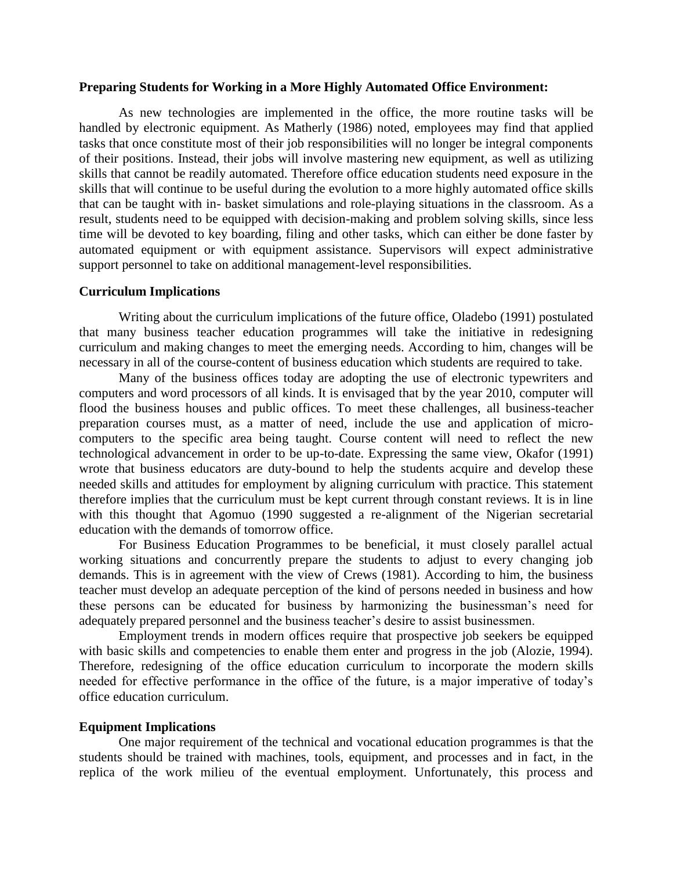#### **Preparing Students for Working in a More Highly Automated Office Environment:**

As new technologies are implemented in the office, the more routine tasks will be handled by electronic equipment. As Matherly (1986) noted, employees may find that applied tasks that once constitute most of their job responsibilities will no longer be integral components of their positions. Instead, their jobs will involve mastering new equipment, as well as utilizing skills that cannot be readily automated. Therefore office education students need exposure in the skills that will continue to be useful during the evolution to a more highly automated office skills that can be taught with in- basket simulations and role-playing situations in the classroom. As a result, students need to be equipped with decision-making and problem solving skills, since less time will be devoted to key boarding, filing and other tasks, which can either be done faster by automated equipment or with equipment assistance. Supervisors will expect administrative support personnel to take on additional management-level responsibilities.

#### **Curriculum Implications**

Writing about the curriculum implications of the future office, Oladebo (1991) postulated that many business teacher education programmes will take the initiative in redesigning curriculum and making changes to meet the emerging needs. According to him, changes will be necessary in all of the course-content of business education which students are required to take.

Many of the business offices today are adopting the use of electronic typewriters and computers and word processors of all kinds. It is envisaged that by the year 2010, computer will flood the business houses and public offices. To meet these challenges, all business-teacher preparation courses must, as a matter of need, include the use and application of microcomputers to the specific area being taught. Course content will need to reflect the new technological advancement in order to be up-to-date. Expressing the same view, Okafor (1991) wrote that business educators are duty-bound to help the students acquire and develop these needed skills and attitudes for employment by aligning curriculum with practice. This statement therefore implies that the curriculum must be kept current through constant reviews. It is in line with this thought that Agomuo (1990 suggested a re-alignment of the Nigerian secretarial education with the demands of tomorrow office.

For Business Education Programmes to be beneficial, it must closely parallel actual working situations and concurrently prepare the students to adjust to every changing job demands. This is in agreement with the view of Crews (1981). According to him, the business teacher must develop an adequate perception of the kind of persons needed in business and how these persons can be educated for business by harmonizing the businessman's need for adequately prepared personnel and the business teacher's desire to assist businessmen.

Employment trends in modern offices require that prospective job seekers be equipped with basic skills and competencies to enable them enter and progress in the job (Alozie, 1994). Therefore, redesigning of the office education curriculum to incorporate the modern skills needed for effective performance in the office of the future, is a major imperative of today's office education curriculum.

#### **Equipment Implications**

One major requirement of the technical and vocational education programmes is that the students should be trained with machines, tools, equipment, and processes and in fact, in the replica of the work milieu of the eventual employment. Unfortunately, this process and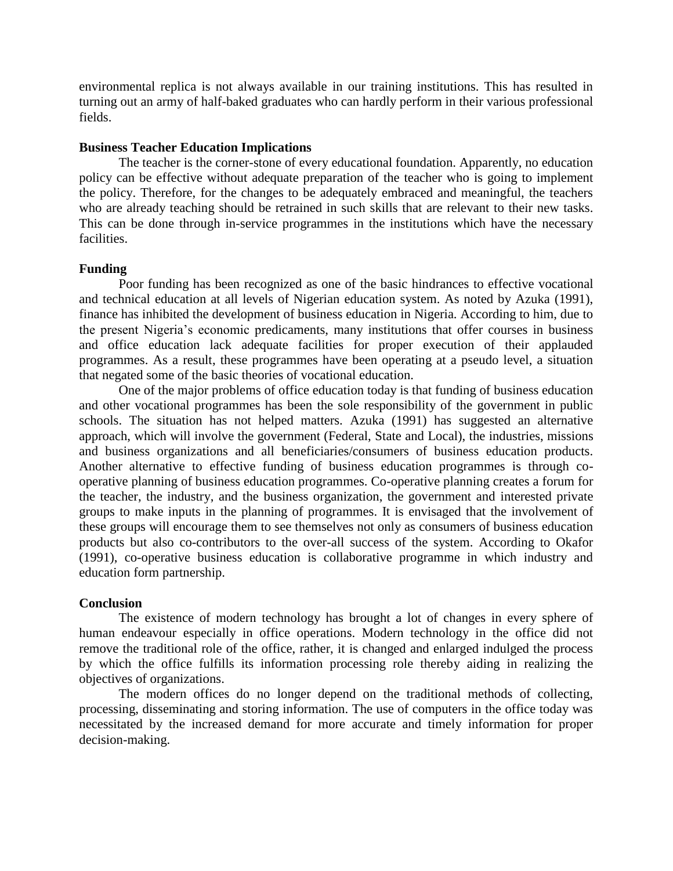environmental replica is not always available in our training institutions. This has resulted in turning out an army of half-baked graduates who can hardly perform in their various professional fields.

#### **Business Teacher Education Implications**

The teacher is the corner-stone of every educational foundation. Apparently, no education policy can be effective without adequate preparation of the teacher who is going to implement the policy. Therefore, for the changes to be adequately embraced and meaningful, the teachers who are already teaching should be retrained in such skills that are relevant to their new tasks. This can be done through in-service programmes in the institutions which have the necessary facilities.

#### **Funding**

Poor funding has been recognized as one of the basic hindrances to effective vocational and technical education at all levels of Nigerian education system. As noted by Azuka (1991), finance has inhibited the development of business education in Nigeria. According to him, due to the present Nigeria's economic predicaments, many institutions that offer courses in business and office education lack adequate facilities for proper execution of their applauded programmes. As a result, these programmes have been operating at a pseudo level, a situation that negated some of the basic theories of vocational education.

One of the major problems of office education today is that funding of business education and other vocational programmes has been the sole responsibility of the government in public schools. The situation has not helped matters. Azuka (1991) has suggested an alternative approach, which will involve the government (Federal, State and Local), the industries, missions and business organizations and all beneficiaries/consumers of business education products. Another alternative to effective funding of business education programmes is through cooperative planning of business education programmes. Co-operative planning creates a forum for the teacher, the industry, and the business organization, the government and interested private groups to make inputs in the planning of programmes. It is envisaged that the involvement of these groups will encourage them to see themselves not only as consumers of business education products but also co-contributors to the over-all success of the system. According to Okafor (1991), co-operative business education is collaborative programme in which industry and education form partnership.

#### **Conclusion**

The existence of modern technology has brought a lot of changes in every sphere of human endeavour especially in office operations. Modern technology in the office did not remove the traditional role of the office, rather, it is changed and enlarged indulged the process by which the office fulfills its information processing role thereby aiding in realizing the objectives of organizations.

The modern offices do no longer depend on the traditional methods of collecting, processing, disseminating and storing information. The use of computers in the office today was necessitated by the increased demand for more accurate and timely information for proper decision-making.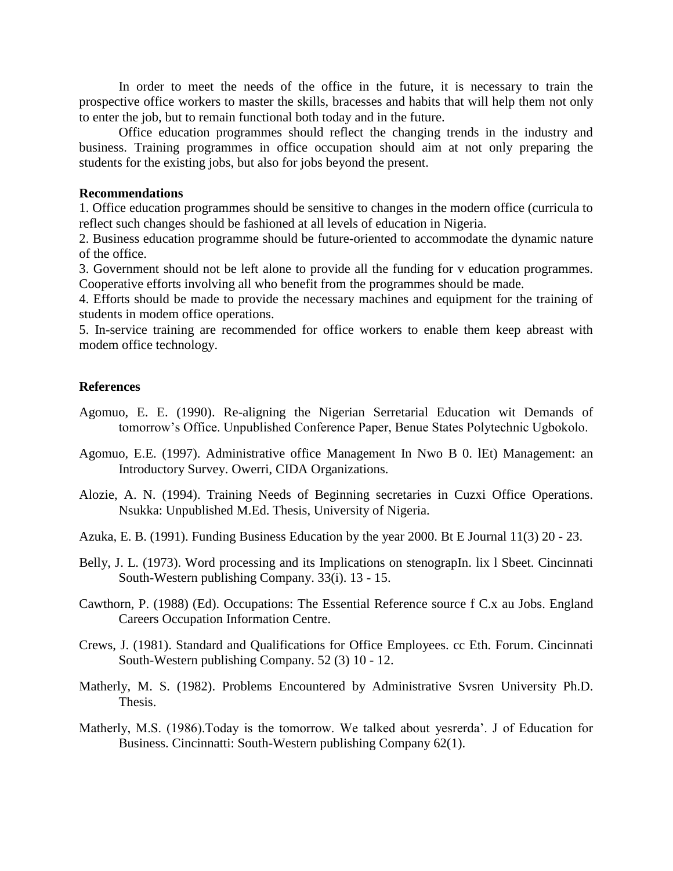In order to meet the needs of the office in the future, it is necessary to train the prospective office workers to master the skills, bracesses and habits that will help them not only to enter the job, but to remain functional both today and in the future.

Office education programmes should reflect the changing trends in the industry and business. Training programmes in office occupation should aim at not only preparing the students for the existing jobs, but also for jobs beyond the present.

#### **Recommendations**

1. Office education programmes should be sensitive to changes in the modern office (curricula to reflect such changes should be fashioned at all levels of education in Nigeria.

2. Business education programme should be future-oriented to accommodate the dynamic nature of the office.

3. Government should not be left alone to provide all the funding for v education programmes. Cooperative efforts involving all who benefit from the programmes should be made.

4. Efforts should be made to provide the necessary machines and equipment for the training of students in modem office operations.

5. In-service training are recommended for office workers to enable them keep abreast with modem office technology.

# **References**

- Agomuo, E. E. (1990). Re-aligning the Nigerian Serretarial Education wit Demands of tomorrow's Office. Unpublished Conference Paper, Benue States Polytechnic Ugbokolo.
- Agomuo, E.E. (1997). Administrative office Management In Nwo B 0. lEt) Management: an Introductory Survey. Owerri, CIDA Organizations.
- Alozie, A. N. (1994). Training Needs of Beginning secretaries in Cuzxi Office Operations. Nsukka: Unpublished M.Ed. Thesis, University of Nigeria.
- Azuka, E. B. (1991). Funding Business Education by the year 2000. Bt E Journal 11(3) 20 23.
- Belly, J. L. (1973). Word processing and its Implications on stenograpIn. lix 1 Sbeet. Cincinnati South-Western publishing Company. 33(i). 13 - 15.
- Cawthorn, P. (1988) (Ed). Occupations: The Essential Reference source f C.x au Jobs. England Careers Occupation Information Centre.
- Crews, J. (1981). Standard and Qualifications for Office Employees. cc Eth. Forum. Cincinnati South-Western publishing Company. 52 (3) 10 - 12.
- Matherly, M. S. (1982). Problems Encountered by Administrative Svsren University Ph.D. Thesis.
- Matherly, M.S. (1986).Today is the tomorrow. We talked about yesrerda'. J of Education for Business. Cincinnatti: South-Western publishing Company 62(1).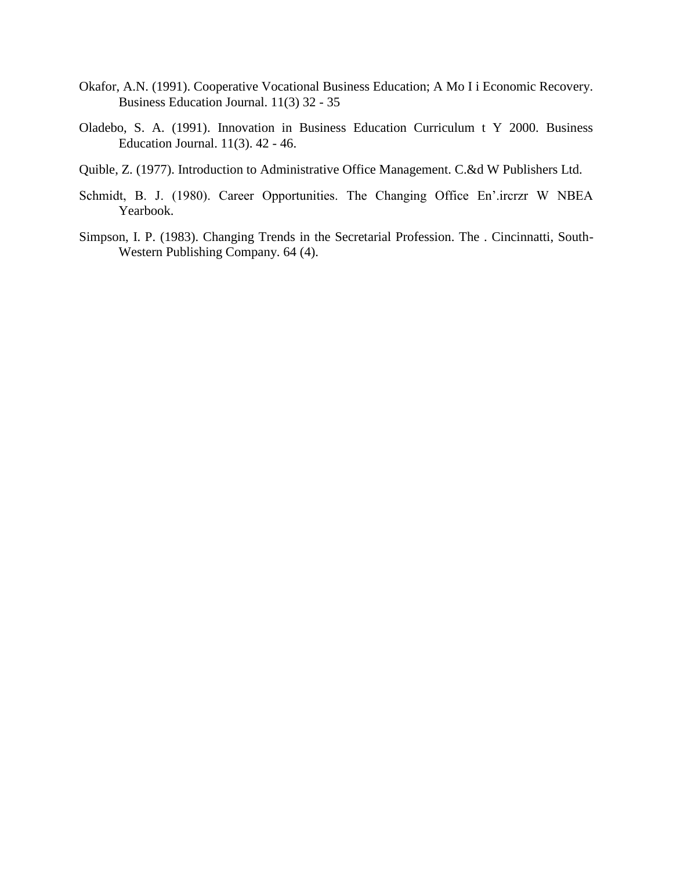- Okafor, A.N. (1991). Cooperative Vocational Business Education; A Mo I i Economic Recovery. Business Education Journal. 11(3) 32 - 35
- Oladebo, S. A. (1991). Innovation in Business Education Curriculum t Y 2000. Business Education Journal. 11(3). 42 - 46.
- Quible, Z. (1977). Introduction to Administrative Office Management. C.&d W Publishers Ltd.
- Schmidt, B. J. (1980). Career Opportunities. The Changing Office En'.ircrzr W NBEA Yearbook.
- Simpson, I. P. (1983). Changing Trends in the Secretarial Profession. The . Cincinnatti, South-Western Publishing Company. 64 (4).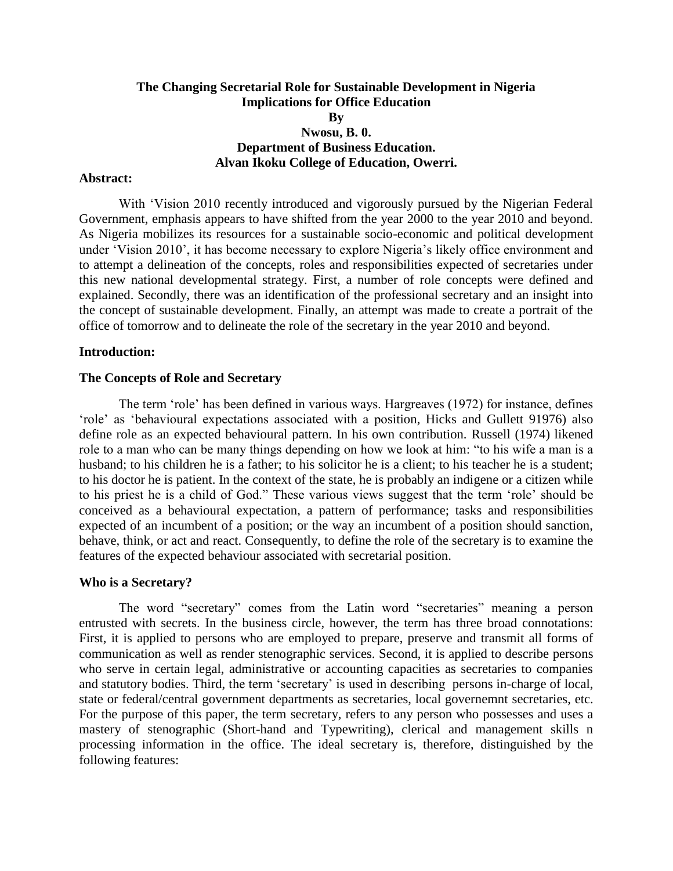# **The Changing Secretarial Role for Sustainable Development in Nigeria Implications for Office Education By Nwosu, B. 0. Department of Business Education. Alvan Ikoku College of Education, Owerri.**

#### **Abstract:**

With 'Vision 2010 recently introduced and vigorously pursued by the Nigerian Federal Government, emphasis appears to have shifted from the year 2000 to the year 2010 and beyond. As Nigeria mobilizes its resources for a sustainable socio-economic and political development under 'Vision 2010', it has become necessary to explore Nigeria's likely office environment and to attempt a delineation of the concepts, roles and responsibilities expected of secretaries under this new national developmental strategy. First, a number of role concepts were defined and explained. Secondly, there was an identification of the professional secretary and an insight into the concept of sustainable development. Finally, an attempt was made to create a portrait of the office of tomorrow and to delineate the role of the secretary in the year 2010 and beyond.

#### **Introduction:**

#### **The Concepts of Role and Secretary**

The term 'role' has been defined in various ways. Hargreaves (1972) for instance, defines 'role' as 'behavioural expectations associated with a position, Hicks and Gullett 91976) also define role as an expected behavioural pattern. In his own contribution. Russell (1974) likened role to a man who can be many things depending on how we look at him: "to his wife a man is a husband; to his children he is a father; to his solicitor he is a client; to his teacher he is a student; to his doctor he is patient. In the context of the state, he is probably an indigene or a citizen while to his priest he is a child of God." These various views suggest that the term 'role' should be conceived as a behavioural expectation, a pattern of performance; tasks and responsibilities expected of an incumbent of a position; or the way an incumbent of a position should sanction, behave, think, or act and react. Consequently, to define the role of the secretary is to examine the features of the expected behaviour associated with secretarial position.

#### **Who is a Secretary?**

The word "secretary" comes from the Latin word "secretaries" meaning a person entrusted with secrets. In the business circle, however, the term has three broad connotations: First, it is applied to persons who are employed to prepare, preserve and transmit all forms of communication as well as render stenographic services. Second, it is applied to describe persons who serve in certain legal, administrative or accounting capacities as secretaries to companies and statutory bodies. Third, the term 'secretary' is used in describing persons in-charge of local, state or federal/central government departments as secretaries, local governemnt secretaries, etc. For the purpose of this paper, the term secretary, refers to any person who possesses and uses a mastery of stenographic (Short-hand and Typewriting), clerical and management skills n processing information in the office. The ideal secretary is, therefore, distinguished by the following features: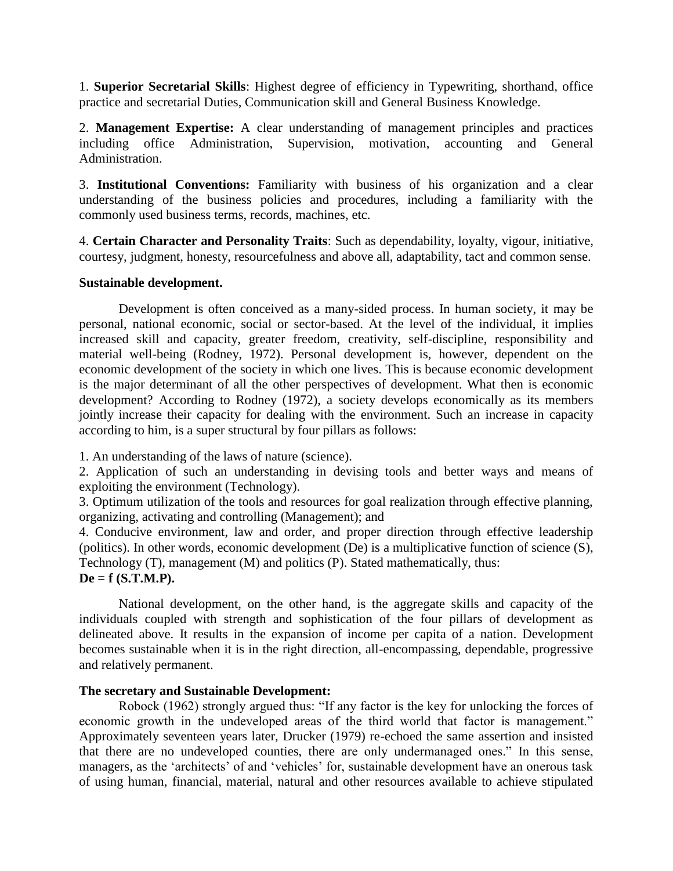1. **Superior Secretarial Skills**: Highest degree of efficiency in Typewriting, shorthand, office practice and secretarial Duties, Communication skill and General Business Knowledge.

2. **Management Expertise:** A clear understanding of management principles and practices including office Administration, Supervision, motivation, accounting and General Administration.

3. **Institutional Conventions:** Familiarity with business of his organization and a clear understanding of the business policies and procedures, including a familiarity with the commonly used business terms, records, machines, etc.

4. **Certain Character and Personality Traits**: Such as dependability, loyalty, vigour, initiative, courtesy, judgment, honesty, resourcefulness and above all, adaptability, tact and common sense.

# **Sustainable development.**

Development is often conceived as a many-sided process. In human society, it may be personal, national economic, social or sector-based. At the level of the individual, it implies increased skill and capacity, greater freedom, creativity, self-discipline, responsibility and material well-being (Rodney, 1972). Personal development is, however, dependent on the economic development of the society in which one lives. This is because economic development is the major determinant of all the other perspectives of development. What then is economic development? According to Rodney (1972), a society develops economically as its members jointly increase their capacity for dealing with the environment. Such an increase in capacity according to him, is a super structural by four pillars as follows:

1. An understanding of the laws of nature (science).

2. Application of such an understanding in devising tools and better ways and means of exploiting the environment (Technology).

3. Optimum utilization of the tools and resources for goal realization through effective planning, organizing, activating and controlling (Management); and

4. Conducive environment, law and order, and proper direction through effective leadership (politics). In other words, economic development (De) is a multiplicative function of science (S), Technology (T), management (M) and politics (P). Stated mathematically, thus: **De = f (S.T.M.P).**

National development, on the other hand, is the aggregate skills and capacity of the individuals coupled with strength and sophistication of the four pillars of development as delineated above. It results in the expansion of income per capita of a nation. Development becomes sustainable when it is in the right direction, all-encompassing, dependable, progressive and relatively permanent.

# **The secretary and Sustainable Development:**

Robock (1962) strongly argued thus: "If any factor is the key for unlocking the forces of economic growth in the undeveloped areas of the third world that factor is management." Approximately seventeen years later, Drucker (1979) re-echoed the same assertion and insisted that there are no undeveloped counties, there are only undermanaged ones." In this sense, managers, as the 'architects' of and 'vehicles' for, sustainable development have an onerous task of using human, financial, material, natural and other resources available to achieve stipulated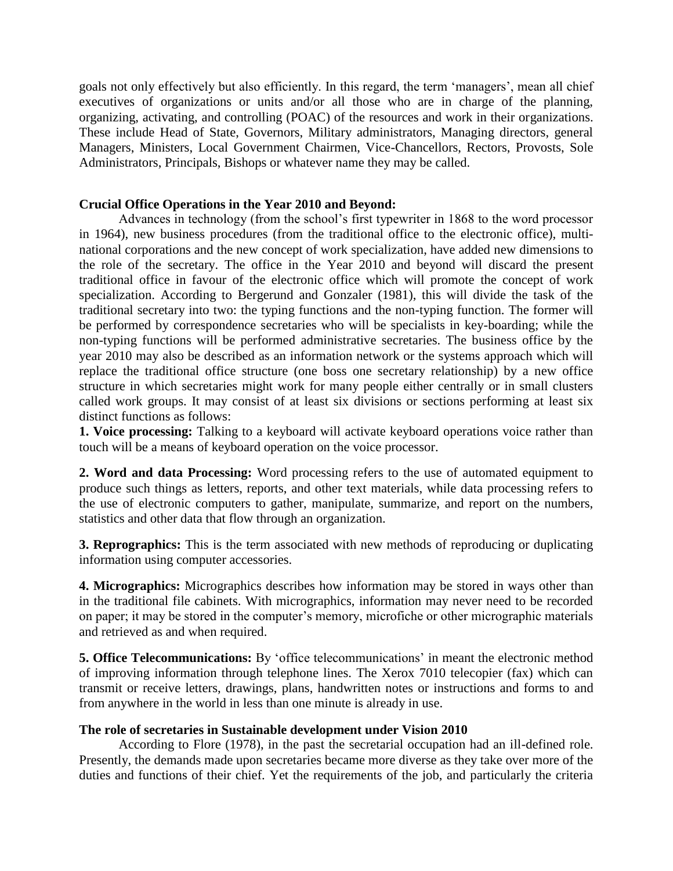goals not only effectively but also efficiently. In this regard, the term 'managers', mean all chief executives of organizations or units and/or all those who are in charge of the planning, organizing, activating, and controlling (POAC) of the resources and work in their organizations. These include Head of State, Governors, Military administrators, Managing directors, general Managers, Ministers, Local Government Chairmen, Vice-Chancellors, Rectors, Provosts, Sole Administrators, Principals, Bishops or whatever name they may be called.

# **Crucial Office Operations in the Year 2010 and Beyond:**

Advances in technology (from the school's first typewriter in 1868 to the word processor in 1964), new business procedures (from the traditional office to the electronic office), multinational corporations and the new concept of work specialization, have added new dimensions to the role of the secretary. The office in the Year 2010 and beyond will discard the present traditional office in favour of the electronic office which will promote the concept of work specialization. According to Bergerund and Gonzaler (1981), this will divide the task of the traditional secretary into two: the typing functions and the non-typing function. The former will be performed by correspondence secretaries who will be specialists in key-boarding; while the non-typing functions will be performed administrative secretaries. The business office by the year 2010 may also be described as an information network or the systems approach which will replace the traditional office structure (one boss one secretary relationship) by a new office structure in which secretaries might work for many people either centrally or in small clusters called work groups. It may consist of at least six divisions or sections performing at least six distinct functions as follows:

**1. Voice processing:** Talking to a keyboard will activate keyboard operations voice rather than touch will be a means of keyboard operation on the voice processor.

**2. Word and data Processing:** Word processing refers to the use of automated equipment to produce such things as letters, reports, and other text materials, while data processing refers to the use of electronic computers to gather, manipulate, summarize, and report on the numbers, statistics and other data that flow through an organization.

**3. Reprographics:** This is the term associated with new methods of reproducing or duplicating information using computer accessories.

**4. Micrographics:** Micrographics describes how information may be stored in ways other than in the traditional file cabinets. With micrographics, information may never need to be recorded on paper; it may be stored in the computer's memory, microfiche or other micrographic materials and retrieved as and when required.

**5. Office Telecommunications:** By 'office telecommunications' in meant the electronic method of improving information through telephone lines. The Xerox 7010 telecopier (fax) which can transmit or receive letters, drawings, plans, handwritten notes or instructions and forms to and from anywhere in the world in less than one minute is already in use.

# **The role of secretaries in Sustainable development under Vision 2010**

According to Flore (1978), in the past the secretarial occupation had an ill-defined role. Presently, the demands made upon secretaries became more diverse as they take over more of the duties and functions of their chief. Yet the requirements of the job, and particularly the criteria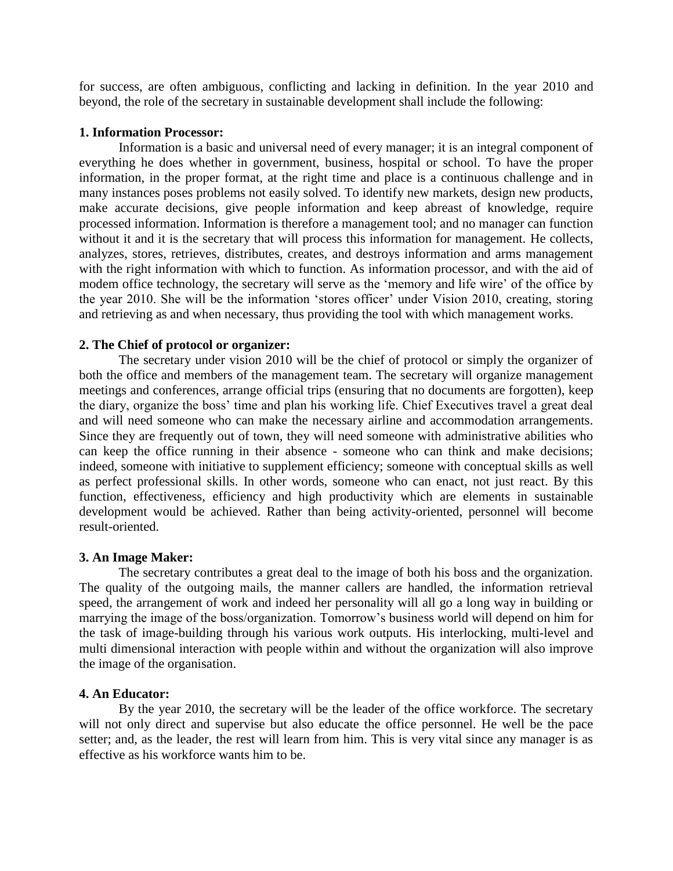for success, are often ambiguous, conflicting and lacking in definition. In the year 2010 and beyond, the role of the secretary in sustainable development shall include the following:

# **1. Information Processor:**

Information is a basic and universal need of every manager; it is an integral component of everything he does whether in government, business, hospital or school. To have the proper information, in the proper format, at the right time and place is a continuous challenge and in many instances poses problems not easily solved. To identify new markets, design new products, make accurate decisions, give people information and keep abreast of knowledge, require processed information. Information is therefore a management tool; and no manager can function without it and it is the secretary that will process this information for management. He collects, analyzes, stores, retrieves, distributes, creates, and destroys information and arms management with the right information with which to function. As information processor, and with the aid of modem office technology, the secretary will serve as the 'memory and life wire' of the office by the year 2010. She will be the information 'stores officer' under Vision 2010, creating, storing and retrieving as and when necessary, thus providing the tool with which management works.

# **2. The Chief of protocol or organizer:**

The secretary under vision 2010 will be the chief of protocol or simply the organizer of both the office and members of the management team. The secretary will organize management meetings and conferences, arrange official trips (ensuring that no documents are forgotten), keep the diary, organize the boss' time and plan his working life. Chief Executives travel a great deal and will need someone who can make the necessary airline and accommodation arrangements. Since they are frequently out of town, they will need someone with administrative abilities who can keep the office running in their absence - someone who can think and make decisions; indeed, someone with initiative to supplement efficiency; someone with conceptual skills as well as perfect professional skills. In other words, someone who can enact, not just react. By this function, effectiveness, efficiency and high productivity which are elements in sustainable development would be achieved. Rather than being activity-oriented, personnel will become result-oriented.

# **3. An Image Maker:**

The secretary contributes a great deal to the image of both his boss and the organization. The quality of the outgoing mails, the manner callers are handled, the information retrieval speed, the arrangement of work and indeed her personality will all go a long way in building or marrying the image of the boss/organization. Tomorrow's business world will depend on him for the task of image-building through his various work outputs. His interlocking, multi-level and multi dimensional interaction with people within and without the organization will also improve the image of the organisation.

#### **4. An Educator:**

By the year 2010, the secretary will be the leader of the office workforce. The secretary will not only direct and supervise but also educate the office personnel. He well be the pace setter; and, as the leader, the rest will learn from him. This is very vital since any manager is as effective as his workforce wants him to be.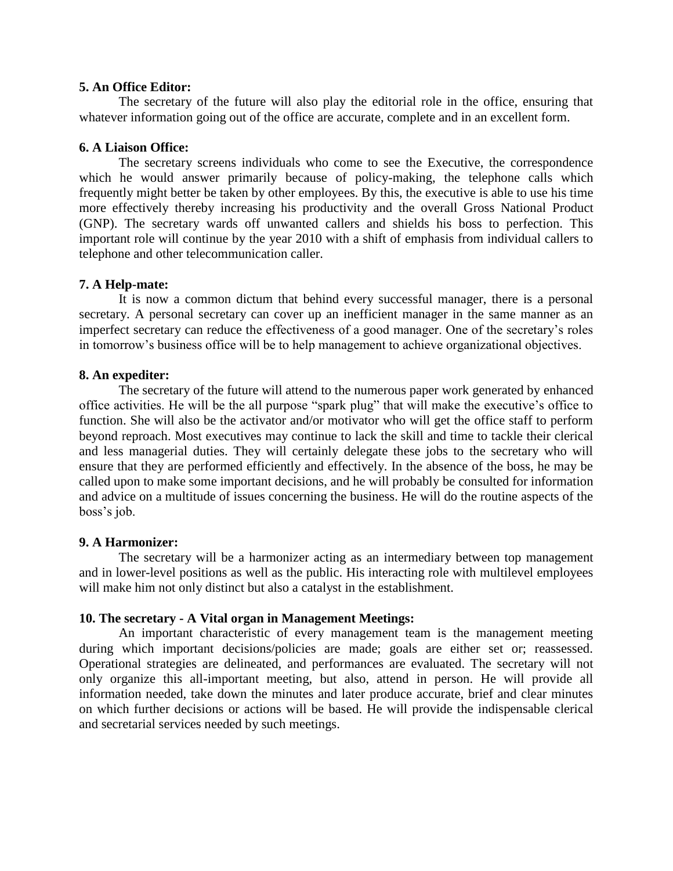# **5. An Office Editor:**

The secretary of the future will also play the editorial role in the office, ensuring that whatever information going out of the office are accurate, complete and in an excellent form.

# **6. A Liaison Office:**

The secretary screens individuals who come to see the Executive, the correspondence which he would answer primarily because of policy-making, the telephone calls which frequently might better be taken by other employees. By this, the executive is able to use his time more effectively thereby increasing his productivity and the overall Gross National Product (GNP). The secretary wards off unwanted callers and shields his boss to perfection. This important role will continue by the year 2010 with a shift of emphasis from individual callers to telephone and other telecommunication caller.

# **7. A Help-mate:**

It is now a common dictum that behind every successful manager, there is a personal secretary. A personal secretary can cover up an inefficient manager in the same manner as an imperfect secretary can reduce the effectiveness of a good manager. One of the secretary's roles in tomorrow's business office will be to help management to achieve organizational objectives.

# **8. An expediter:**

The secretary of the future will attend to the numerous paper work generated by enhanced office activities. He will be the all purpose "spark plug" that will make the executive's office to function. She will also be the activator and/or motivator who will get the office staff to perform beyond reproach. Most executives may continue to lack the skill and time to tackle their clerical and less managerial duties. They will certainly delegate these jobs to the secretary who will ensure that they are performed efficiently and effectively. In the absence of the boss, he may be called upon to make some important decisions, and he will probably be consulted for information and advice on a multitude of issues concerning the business. He will do the routine aspects of the boss's job.

# **9. A Harmonizer:**

The secretary will be a harmonizer acting as an intermediary between top management and in lower-level positions as well as the public. His interacting role with multilevel employees will make him not only distinct but also a catalyst in the establishment.

# **10. The secretary - A Vital organ in Management Meetings:**

An important characteristic of every management team is the management meeting during which important decisions/policies are made; goals are either set or; reassessed. Operational strategies are delineated, and performances are evaluated. The secretary will not only organize this all-important meeting, but also, attend in person. He will provide all information needed, take down the minutes and later produce accurate, brief and clear minutes on which further decisions or actions will be based. He will provide the indispensable clerical and secretarial services needed by such meetings.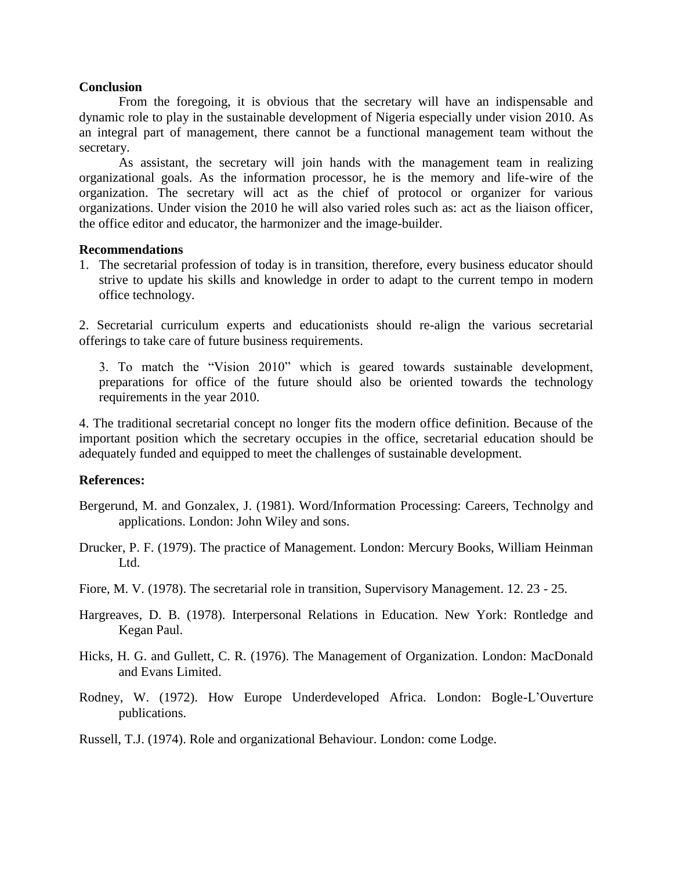# **Conclusion**

From the foregoing, it is obvious that the secretary will have an indispensable and dynamic role to play in the sustainable development of Nigeria especially under vision 2010. As an integral part of management, there cannot be a functional management team without the secretary.

As assistant, the secretary will join hands with the management team in realizing organizational goals. As the information processor, he is the memory and life-wire of the organization. The secretary will act as the chief of protocol or organizer for various organizations. Under vision the 2010 he will also varied roles such as: act as the liaison officer, the office editor and educator, the harmonizer and the image-builder.

# **Recommendations**

1. The secretarial profession of today is in transition, therefore, every business educator should strive to update his skills and knowledge in order to adapt to the current tempo in modern office technology.

2. Secretarial curriculum experts and educationists should re-align the various secretarial offerings to take care of future business requirements.

3. To match the "Vision 2010" which is geared towards sustainable development, preparations for office of the future should also be oriented towards the technology requirements in the year 2010.

4. The traditional secretarial concept no longer fits the modern office definition. Because of the important position which the secretary occupies in the office, secretarial education should be adequately funded and equipped to meet the challenges of sustainable development.

# **References:**

- Bergerund, M. and Gonzalex, J. (1981). Word/Information Processing: Careers, Technolgy and applications. London: John Wiley and sons.
- Drucker, P. F. (1979). The practice of Management. London: Mercury Books, William Heinman Ltd.
- Fiore, M. V. (1978). The secretarial role in transition, Supervisory Management. 12. 23 25.
- Hargreaves, D. B. (1978). Interpersonal Relations in Education. New York: Rontledge and Kegan Paul.
- Hicks, H. G. and Gullett, C. R. (1976). The Management of Organization. London: MacDonald and Evans Limited.
- Rodney, W. (1972). How Europe Underdeveloped Africa. London: Bogle-L'Ouverture publications.
- Russell, T.J. (1974). Role and organizational Behaviour. London: come Lodge.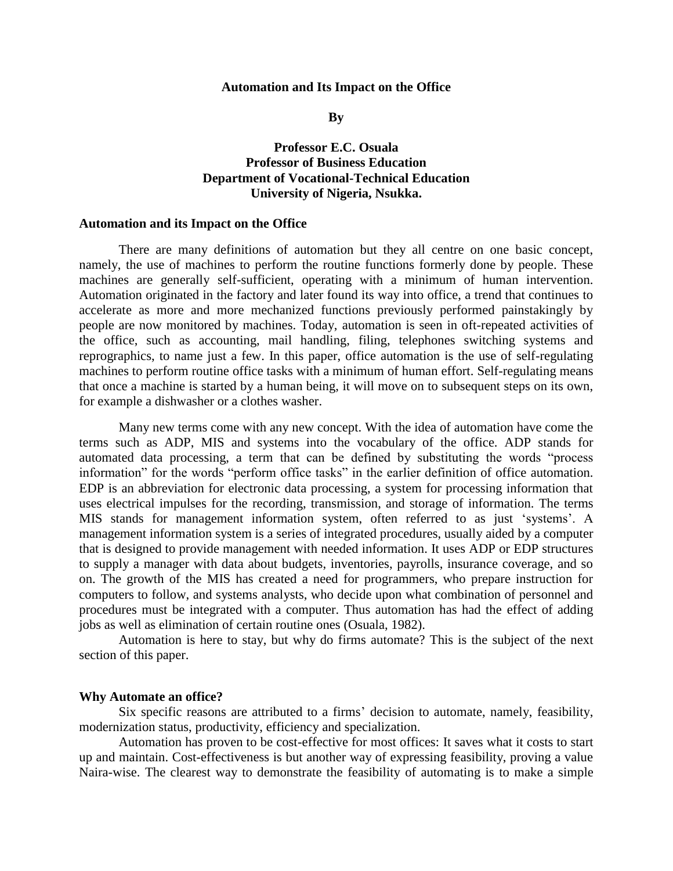#### **Automation and Its Impact on the Office**

**By**

# **Professor E.C. Osuala Professor of Business Education Department of Vocational-Technical Education University of Nigeria, Nsukka.**

#### **Automation and its Impact on the Office**

There are many definitions of automation but they all centre on one basic concept, namely, the use of machines to perform the routine functions formerly done by people. These machines are generally self-sufficient, operating with a minimum of human intervention. Automation originated in the factory and later found its way into office, a trend that continues to accelerate as more and more mechanized functions previously performed painstakingly by people are now monitored by machines. Today, automation is seen in oft-repeated activities of the office, such as accounting, mail handling, filing, telephones switching systems and reprographics, to name just a few. In this paper, office automation is the use of self-regulating machines to perform routine office tasks with a minimum of human effort. Self-regulating means that once a machine is started by a human being, it will move on to subsequent steps on its own, for example a dishwasher or a clothes washer.

Many new terms come with any new concept. With the idea of automation have come the terms such as ADP, MIS and systems into the vocabulary of the office. ADP stands for automated data processing, a term that can be defined by substituting the words "process information" for the words "perform office tasks" in the earlier definition of office automation. EDP is an abbreviation for electronic data processing, a system for processing information that uses electrical impulses for the recording, transmission, and storage of information. The terms MIS stands for management information system, often referred to as just 'systems'. A management information system is a series of integrated procedures, usually aided by a computer that is designed to provide management with needed information. It uses ADP or EDP structures to supply a manager with data about budgets, inventories, payrolls, insurance coverage, and so on. The growth of the MIS has created a need for programmers, who prepare instruction for computers to follow, and systems analysts, who decide upon what combination of personnel and procedures must be integrated with a computer. Thus automation has had the effect of adding jobs as well as elimination of certain routine ones (Osuala, 1982).

Automation is here to stay, but why do firms automate? This is the subject of the next section of this paper.

#### **Why Automate an office?**

Six specific reasons are attributed to a firms' decision to automate, namely, feasibility, modernization status, productivity, efficiency and specialization.

Automation has proven to be cost-effective for most offices: It saves what it costs to start up and maintain. Cost-effectiveness is but another way of expressing feasibility, proving a value Naira-wise. The clearest way to demonstrate the feasibility of automating is to make a simple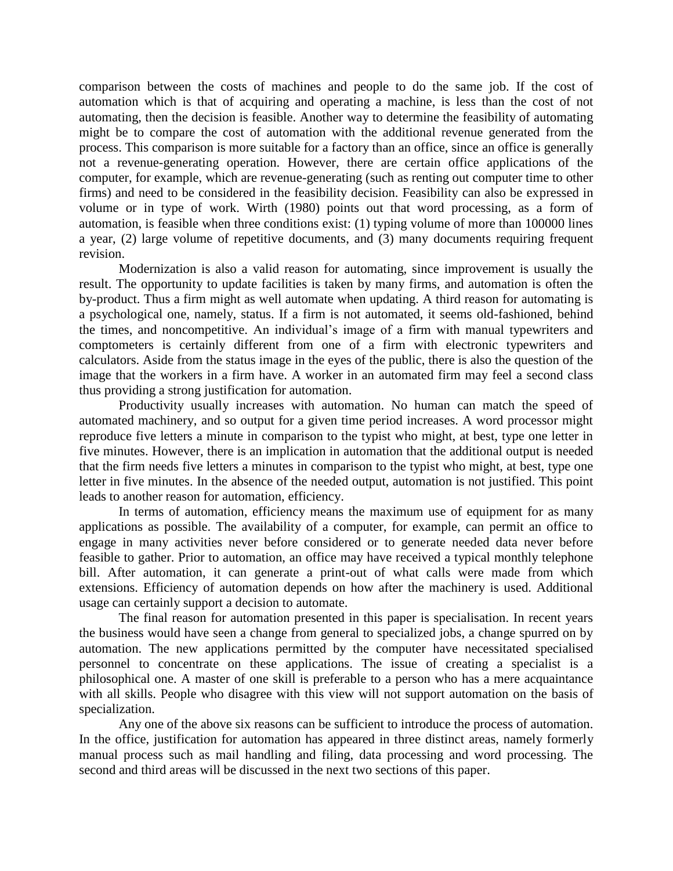comparison between the costs of machines and people to do the same job. If the cost of automation which is that of acquiring and operating a machine, is less than the cost of not automating, then the decision is feasible. Another way to determine the feasibility of automating might be to compare the cost of automation with the additional revenue generated from the process. This comparison is more suitable for a factory than an office, since an office is generally not a revenue-generating operation. However, there are certain office applications of the computer, for example, which are revenue-generating (such as renting out computer time to other firms) and need to be considered in the feasibility decision. Feasibility can also be expressed in volume or in type of work. Wirth (1980) points out that word processing, as a form of automation, is feasible when three conditions exist: (1) typing volume of more than 100000 lines a year, (2) large volume of repetitive documents, and (3) many documents requiring frequent revision.

Modernization is also a valid reason for automating, since improvement is usually the result. The opportunity to update facilities is taken by many firms, and automation is often the by-product. Thus a firm might as well automate when updating. A third reason for automating is a psychological one, namely, status. If a firm is not automated, it seems old-fashioned, behind the times, and noncompetitive. An individual's image of a firm with manual typewriters and comptometers is certainly different from one of a firm with electronic typewriters and calculators. Aside from the status image in the eyes of the public, there is also the question of the image that the workers in a firm have. A worker in an automated firm may feel a second class thus providing a strong justification for automation.

Productivity usually increases with automation. No human can match the speed of automated machinery, and so output for a given time period increases. A word processor might reproduce five letters a minute in comparison to the typist who might, at best, type one letter in five minutes. However, there is an implication in automation that the additional output is needed that the firm needs five letters a minutes in comparison to the typist who might, at best, type one letter in five minutes. In the absence of the needed output, automation is not justified. This point leads to another reason for automation, efficiency.

In terms of automation, efficiency means the maximum use of equipment for as many applications as possible. The availability of a computer, for example, can permit an office to engage in many activities never before considered or to generate needed data never before feasible to gather. Prior to automation, an office may have received a typical monthly telephone bill. After automation, it can generate a print-out of what calls were made from which extensions. Efficiency of automation depends on how after the machinery is used. Additional usage can certainly support a decision to automate.

The final reason for automation presented in this paper is specialisation. In recent years the business would have seen a change from general to specialized jobs, a change spurred on by automation. The new applications permitted by the computer have necessitated specialised personnel to concentrate on these applications. The issue of creating a specialist is a philosophical one. A master of one skill is preferable to a person who has a mere acquaintance with all skills. People who disagree with this view will not support automation on the basis of specialization.

Any one of the above six reasons can be sufficient to introduce the process of automation. In the office, justification for automation has appeared in three distinct areas, namely formerly manual process such as mail handling and filing, data processing and word processing. The second and third areas will be discussed in the next two sections of this paper.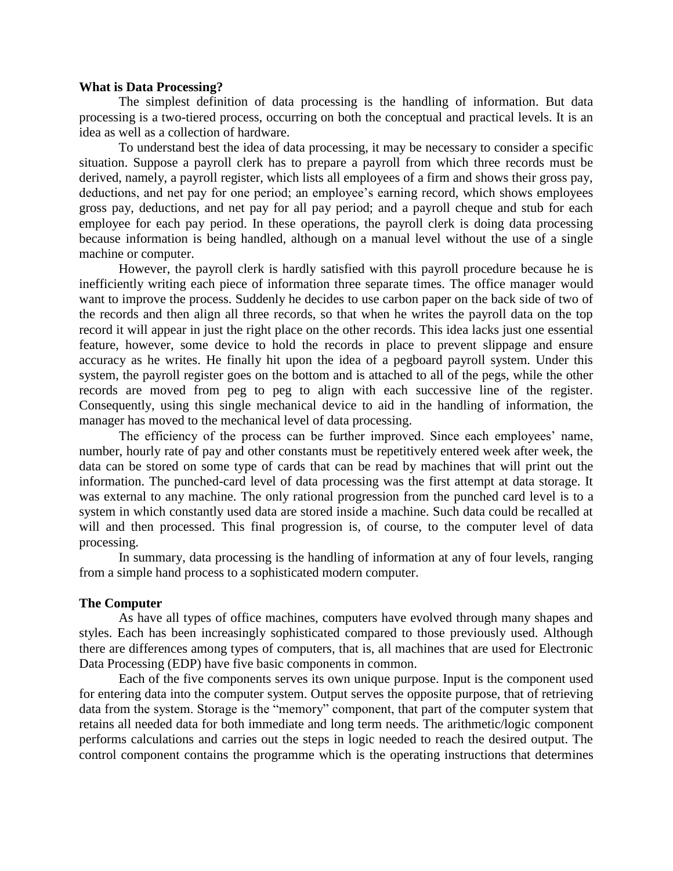#### **What is Data Processing?**

The simplest definition of data processing is the handling of information. But data processing is a two-tiered process, occurring on both the conceptual and practical levels. It is an idea as well as a collection of hardware.

To understand best the idea of data processing, it may be necessary to consider a specific situation. Suppose a payroll clerk has to prepare a payroll from which three records must be derived, namely, a payroll register, which lists all employees of a firm and shows their gross pay, deductions, and net pay for one period; an employee's earning record, which shows employees gross pay, deductions, and net pay for all pay period; and a payroll cheque and stub for each employee for each pay period. In these operations, the payroll clerk is doing data processing because information is being handled, although on a manual level without the use of a single machine or computer.

However, the payroll clerk is hardly satisfied with this payroll procedure because he is inefficiently writing each piece of information three separate times. The office manager would want to improve the process. Suddenly he decides to use carbon paper on the back side of two of the records and then align all three records, so that when he writes the payroll data on the top record it will appear in just the right place on the other records. This idea lacks just one essential feature, however, some device to hold the records in place to prevent slippage and ensure accuracy as he writes. He finally hit upon the idea of a pegboard payroll system. Under this system, the payroll register goes on the bottom and is attached to all of the pegs, while the other records are moved from peg to peg to align with each successive line of the register. Consequently, using this single mechanical device to aid in the handling of information, the manager has moved to the mechanical level of data processing.

The efficiency of the process can be further improved. Since each employees' name, number, hourly rate of pay and other constants must be repetitively entered week after week, the data can be stored on some type of cards that can be read by machines that will print out the information. The punched-card level of data processing was the first attempt at data storage. It was external to any machine. The only rational progression from the punched card level is to a system in which constantly used data are stored inside a machine. Such data could be recalled at will and then processed. This final progression is, of course, to the computer level of data processing.

In summary, data processing is the handling of information at any of four levels, ranging from a simple hand process to a sophisticated modern computer.

### **The Computer**

As have all types of office machines, computers have evolved through many shapes and styles. Each has been increasingly sophisticated compared to those previously used. Although there are differences among types of computers, that is, all machines that are used for Electronic Data Processing (EDP) have five basic components in common.

Each of the five components serves its own unique purpose. Input is the component used for entering data into the computer system. Output serves the opposite purpose, that of retrieving data from the system. Storage is the "memory" component, that part of the computer system that retains all needed data for both immediate and long term needs. The arithmetic/logic component performs calculations and carries out the steps in logic needed to reach the desired output. The control component contains the programme which is the operating instructions that determines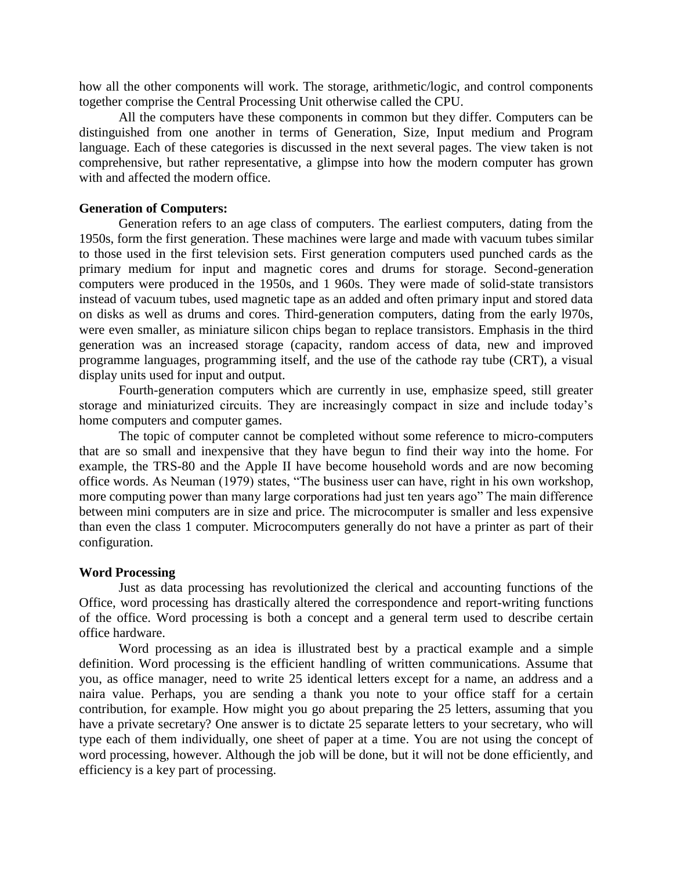how all the other components will work. The storage, arithmetic/logic, and control components together comprise the Central Processing Unit otherwise called the CPU.

All the computers have these components in common but they differ. Computers can be distinguished from one another in terms of Generation, Size, Input medium and Program language. Each of these categories is discussed in the next several pages. The view taken is not comprehensive, but rather representative, a glimpse into how the modern computer has grown with and affected the modern office.

# **Generation of Computers:**

Generation refers to an age class of computers. The earliest computers, dating from the 1950s, form the first generation. These machines were large and made with vacuum tubes similar to those used in the first television sets. First generation computers used punched cards as the primary medium for input and magnetic cores and drums for storage. Second-generation computers were produced in the 1950s, and 1 960s. They were made of solid-state transistors instead of vacuum tubes, used magnetic tape as an added and often primary input and stored data on disks as well as drums and cores. Third-generation computers, dating from the early l970s, were even smaller, as miniature silicon chips began to replace transistors. Emphasis in the third generation was an increased storage (capacity, random access of data, new and improved programme languages, programming itself, and the use of the cathode ray tube (CRT), a visual display units used for input and output.

Fourth-generation computers which are currently in use, emphasize speed, still greater storage and miniaturized circuits. They are increasingly compact in size and include today's home computers and computer games.

The topic of computer cannot be completed without some reference to micro-computers that are so small and inexpensive that they have begun to find their way into the home. For example, the TRS-80 and the Apple II have become household words and are now becoming office words. As Neuman (1979) states, "The business user can have, right in his own workshop, more computing power than many large corporations had just ten years ago" The main difference between mini computers are in size and price. The microcomputer is smaller and less expensive than even the class 1 computer. Microcomputers generally do not have a printer as part of their configuration.

#### **Word Processing**

Just as data processing has revolutionized the clerical and accounting functions of the Office, word processing has drastically altered the correspondence and report-writing functions of the office. Word processing is both a concept and a general term used to describe certain office hardware.

Word processing as an idea is illustrated best by a practical example and a simple definition. Word processing is the efficient handling of written communications. Assume that you, as office manager, need to write 25 identical letters except for a name, an address and a naira value. Perhaps, you are sending a thank you note to your office staff for a certain contribution, for example. How might you go about preparing the 25 letters, assuming that you have a private secretary? One answer is to dictate 25 separate letters to your secretary, who will type each of them individually, one sheet of paper at a time. You are not using the concept of word processing, however. Although the job will be done, but it will not be done efficiently, and efficiency is a key part of processing.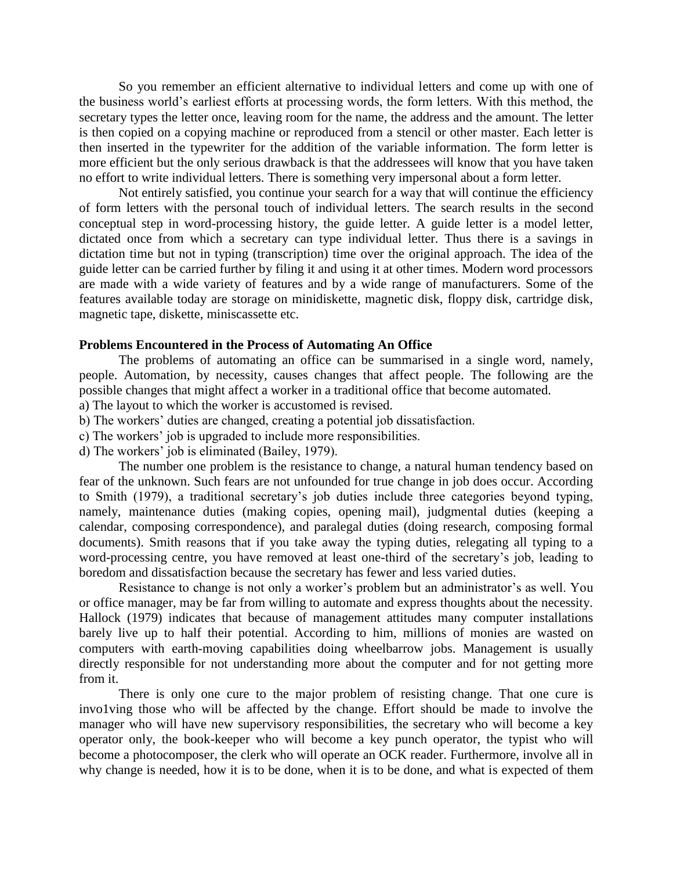So you remember an efficient alternative to individual letters and come up with one of the business world's earliest efforts at processing words, the form letters. With this method, the secretary types the letter once, leaving room for the name, the address and the amount. The letter is then copied on a copying machine or reproduced from a stencil or other master. Each letter is then inserted in the typewriter for the addition of the variable information. The form letter is more efficient but the only serious drawback is that the addressees will know that you have taken no effort to write individual letters. There is something very impersonal about a form letter.

Not entirely satisfied, you continue your search for a way that will continue the efficiency of form letters with the personal touch of individual letters. The search results in the second conceptual step in word-processing history, the guide letter. A guide letter is a model letter, dictated once from which a secretary can type individual letter. Thus there is a savings in dictation time but not in typing (transcription) time over the original approach. The idea of the guide letter can be carried further by filing it and using it at other times. Modern word processors are made with a wide variety of features and by a wide range of manufacturers. Some of the features available today are storage on minidiskette, magnetic disk, floppy disk, cartridge disk, magnetic tape, diskette, miniscassette etc.

#### **Problems Encountered in the Process of Automating An Office**

The problems of automating an office can be summarised in a single word, namely, people. Automation, by necessity, causes changes that affect people. The following are the possible changes that might affect a worker in a traditional office that become automated.

- a) The layout to which the worker is accustomed is revised.
- b) The workers' duties are changed, creating a potential job dissatisfaction.
- c) The workers' job is upgraded to include more responsibilities.
- d) The workers' job is eliminated (Bailey, 1979).

The number one problem is the resistance to change, a natural human tendency based on fear of the unknown. Such fears are not unfounded for true change in job does occur. According to Smith (1979), a traditional secretary's job duties include three categories beyond typing, namely, maintenance duties (making copies, opening mail), judgmental duties (keeping a calendar, composing correspondence), and paralegal duties (doing research, composing formal documents). Smith reasons that if you take away the typing duties, relegating all typing to a word-processing centre, you have removed at least one-third of the secretary's job, leading to boredom and dissatisfaction because the secretary has fewer and less varied duties.

Resistance to change is not only a worker's problem but an administrator's as well. You or office manager, may be far from willing to automate and express thoughts about the necessity. Hallock (1979) indicates that because of management attitudes many computer installations barely live up to half their potential. According to him, millions of monies are wasted on computers with earth-moving capabilities doing wheelbarrow jobs. Management is usually directly responsible for not understanding more about the computer and for not getting more from it.

There is only one cure to the major problem of resisting change. That one cure is invo1ving those who will be affected by the change. Effort should be made to involve the manager who will have new supervisory responsibilities, the secretary who will become a key operator only, the book-keeper who will become a key punch operator, the typist who will become a photocomposer, the clerk who will operate an OCK reader. Furthermore, involve all in why change is needed, how it is to be done, when it is to be done, and what is expected of them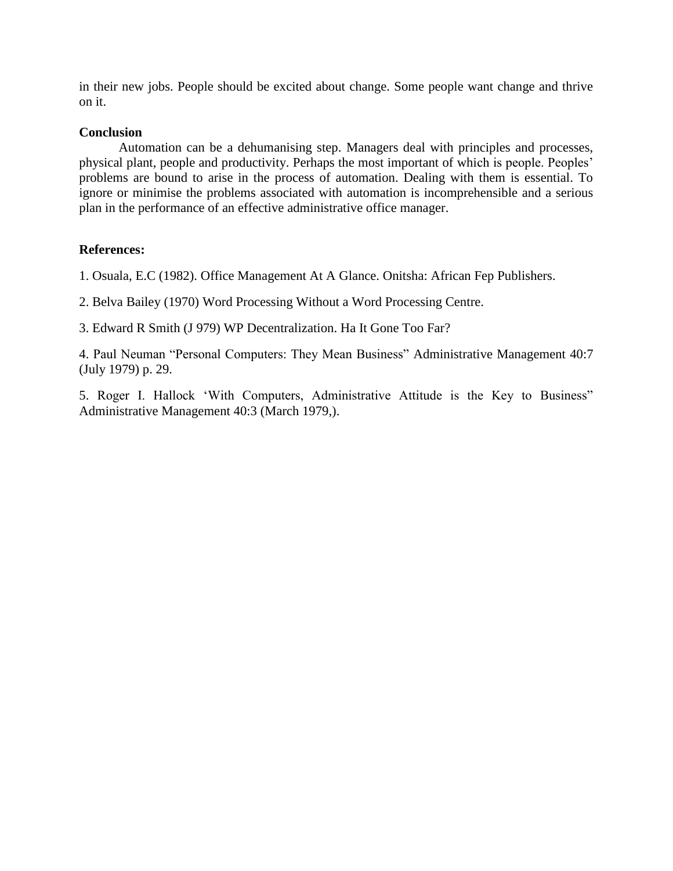in their new jobs. People should be excited about change. Some people want change and thrive on it.

# **Conclusion**

Automation can be a dehumanising step. Managers deal with principles and processes, physical plant, people and productivity. Perhaps the most important of which is people. Peoples' problems are bound to arise in the process of automation. Dealing with them is essential. To ignore or minimise the problems associated with automation is incomprehensible and a serious plan in the performance of an effective administrative office manager.

# **References:**

1. Osuala, E.C (1982). Office Management At A Glance. Onitsha: African Fep Publishers.

2. Belva Bailey (1970) Word Processing Without a Word Processing Centre.

3. Edward R Smith (J 979) WP Decentralization. Ha It Gone Too Far?

4. Paul Neuman "Personal Computers: They Mean Business" Administrative Management 40:7 (July 1979) p. 29.

5. Roger I. Hallock 'With Computers, Administrative Attitude is the Key to Business" Administrative Management 40:3 (March 1979,).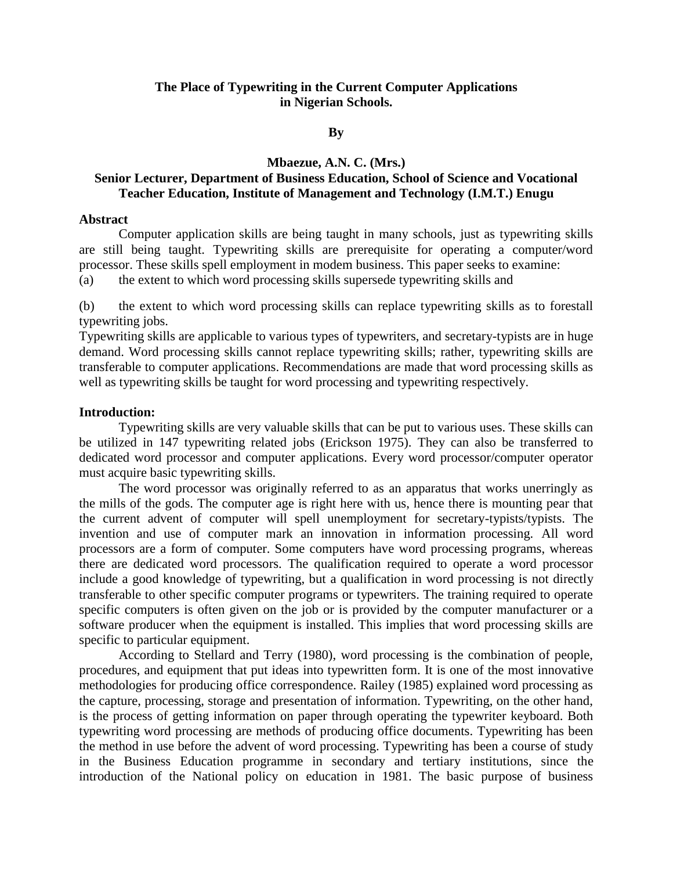# **The Place of Typewriting in the Current Computer Applications in Nigerian Schools.**

#### **By**

#### **Mbaezue, A.N. C. (Mrs.)**

# **Senior Lecturer, Department of Business Education, School of Science and Vocational Teacher Education, Institute of Management and Technology (I.M.T.) Enugu**

### **Abstract**

Computer application skills are being taught in many schools, just as typewriting skills are still being taught. Typewriting skills are prerequisite for operating a computer/word processor. These skills spell employment in modem business. This paper seeks to examine:

(a) the extent to which word processing skills supersede typewriting skills and

(b) the extent to which word processing skills can replace typewriting skills as to forestall typewriting jobs.

Typewriting skills are applicable to various types of typewriters, and secretary-typists are in huge demand. Word processing skills cannot replace typewriting skills; rather, typewriting skills are transferable to computer applications. Recommendations are made that word processing skills as well as typewriting skills be taught for word processing and typewriting respectively.

#### **Introduction:**

Typewriting skills are very valuable skills that can be put to various uses. These skills can be utilized in 147 typewriting related jobs (Erickson 1975). They can also be transferred to dedicated word processor and computer applications. Every word processor/computer operator must acquire basic typewriting skills.

The word processor was originally referred to as an apparatus that works unerringly as the mills of the gods. The computer age is right here with us, hence there is mounting pear that the current advent of computer will spell unemployment for secretary-typists/typists. The invention and use of computer mark an innovation in information processing. All word processors are a form of computer. Some computers have word processing programs, whereas there are dedicated word processors. The qualification required to operate a word processor include a good knowledge of typewriting, but a qualification in word processing is not directly transferable to other specific computer programs or typewriters. The training required to operate specific computers is often given on the job or is provided by the computer manufacturer or a software producer when the equipment is installed. This implies that word processing skills are specific to particular equipment.

According to Stellard and Terry (1980), word processing is the combination of people, procedures, and equipment that put ideas into typewritten form. It is one of the most innovative methodologies for producing office correspondence. Railey (1985) explained word processing as the capture, processing, storage and presentation of information. Typewriting, on the other hand, is the process of getting information on paper through operating the typewriter keyboard. Both typewriting word processing are methods of producing office documents. Typewriting has been the method in use before the advent of word processing. Typewriting has been a course of study in the Business Education programme in secondary and tertiary institutions, since the introduction of the National policy on education in 1981. The basic purpose of business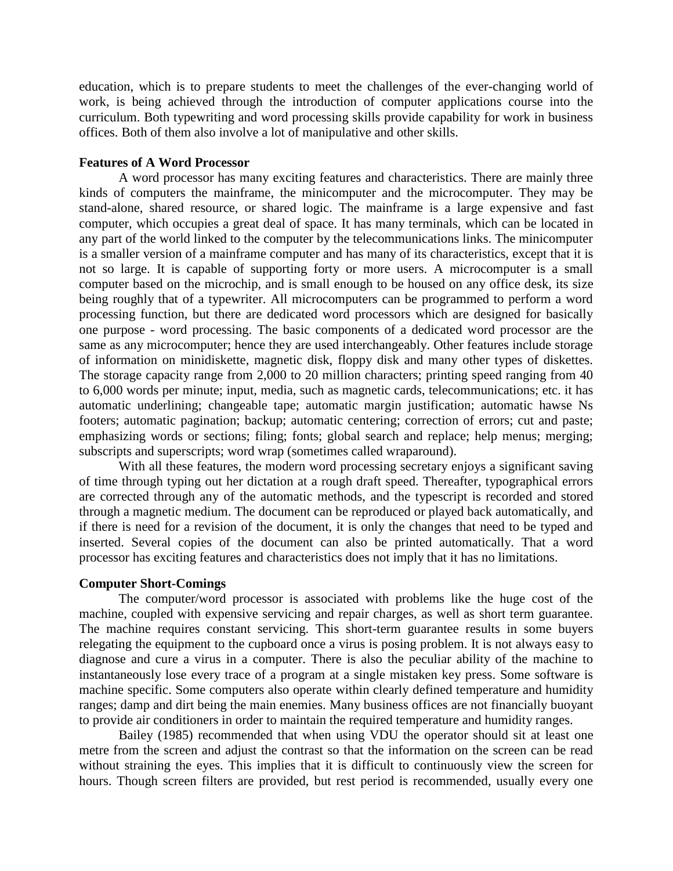education, which is to prepare students to meet the challenges of the ever-changing world of work, is being achieved through the introduction of computer applications course into the curriculum. Both typewriting and word processing skills provide capability for work in business offices. Both of them also involve a lot of manipulative and other skills.

#### **Features of A Word Processor**

A word processor has many exciting features and characteristics. There are mainly three kinds of computers the mainframe, the minicomputer and the microcomputer. They may be stand-alone, shared resource, or shared logic. The mainframe is a large expensive and fast computer, which occupies a great deal of space. It has many terminals, which can be located in any part of the world linked to the computer by the telecommunications links. The minicomputer is a smaller version of a mainframe computer and has many of its characteristics, except that it is not so large. It is capable of supporting forty or more users. A microcomputer is a small computer based on the microchip, and is small enough to be housed on any office desk, its size being roughly that of a typewriter. All microcomputers can be programmed to perform a word processing function, but there are dedicated word processors which are designed for basically one purpose - word processing. The basic components of a dedicated word processor are the same as any microcomputer; hence they are used interchangeably. Other features include storage of information on minidiskette, magnetic disk, floppy disk and many other types of diskettes. The storage capacity range from 2,000 to 20 million characters; printing speed ranging from 40 to 6,000 words per minute; input, media, such as magnetic cards, telecommunications; etc. it has automatic underlining; changeable tape; automatic margin justification; automatic hawse Ns footers; automatic pagination; backup; automatic centering; correction of errors; cut and paste; emphasizing words or sections; filing; fonts; global search and replace; help menus; merging; subscripts and superscripts; word wrap (sometimes called wraparound).

With all these features, the modern word processing secretary enjoys a significant saving of time through typing out her dictation at a rough draft speed. Thereafter, typographical errors are corrected through any of the automatic methods, and the typescript is recorded and stored through a magnetic medium. The document can be reproduced or played back automatically, and if there is need for a revision of the document, it is only the changes that need to be typed and inserted. Several copies of the document can also be printed automatically. That a word processor has exciting features and characteristics does not imply that it has no limitations.

#### **Computer Short-Comings**

The computer/word processor is associated with problems like the huge cost of the machine, coupled with expensive servicing and repair charges, as well as short term guarantee. The machine requires constant servicing. This short-term guarantee results in some buyers relegating the equipment to the cupboard once a virus is posing problem. It is not always easy to diagnose and cure a virus in a computer. There is also the peculiar ability of the machine to instantaneously lose every trace of a program at a single mistaken key press. Some software is machine specific. Some computers also operate within clearly defined temperature and humidity ranges; damp and dirt being the main enemies. Many business offices are not financially buoyant to provide air conditioners in order to maintain the required temperature and humidity ranges.

Bailey (1985) recommended that when using VDU the operator should sit at least one metre from the screen and adjust the contrast so that the information on the screen can be read without straining the eyes. This implies that it is difficult to continuously view the screen for hours. Though screen filters are provided, but rest period is recommended, usually every one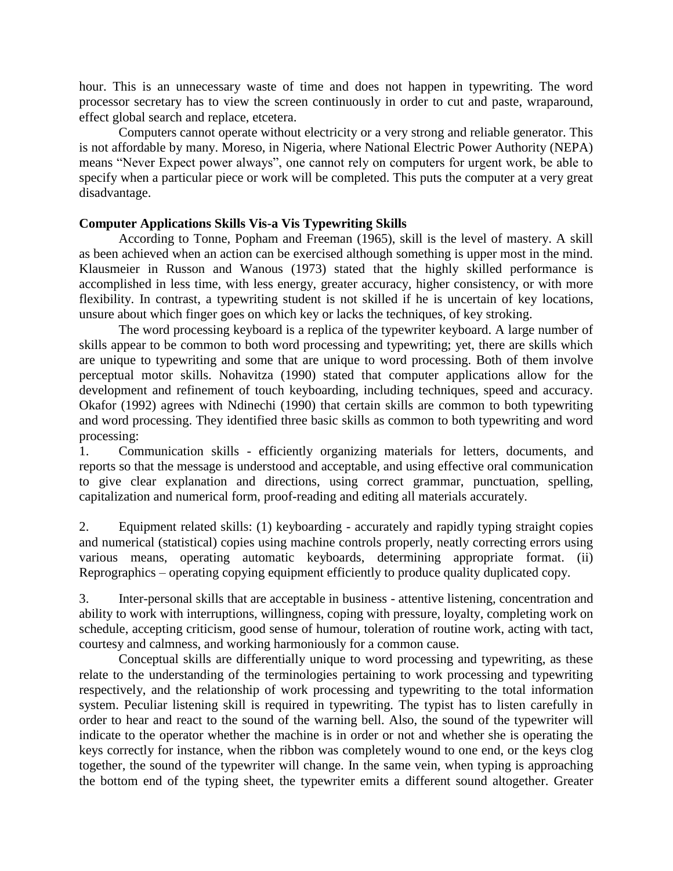hour. This is an unnecessary waste of time and does not happen in typewriting. The word processor secretary has to view the screen continuously in order to cut and paste, wraparound, effect global search and replace, etcetera.

Computers cannot operate without electricity or a very strong and reliable generator. This is not affordable by many. Moreso, in Nigeria, where National Electric Power Authority (NEPA) means "Never Expect power always", one cannot rely on computers for urgent work, be able to specify when a particular piece or work will be completed. This puts the computer at a very great disadvantage.

# **Computer Applications Skills Vis-a Vis Typewriting Skills**

According to Tonne, Popham and Freeman (1965), skill is the level of mastery. A skill as been achieved when an action can be exercised although something is upper most in the mind. Klausmeier in Russon and Wanous (1973) stated that the highly skilled performance is accomplished in less time, with less energy, greater accuracy, higher consistency, or with more flexibility. In contrast, a typewriting student is not skilled if he is uncertain of key locations, unsure about which finger goes on which key or lacks the techniques, of key stroking.

The word processing keyboard is a replica of the typewriter keyboard. A large number of skills appear to be common to both word processing and typewriting; yet, there are skills which are unique to typewriting and some that are unique to word processing. Both of them involve perceptual motor skills. Nohavitza (1990) stated that computer applications allow for the development and refinement of touch keyboarding, including techniques, speed and accuracy. Okafor (1992) agrees with Ndinechi (1990) that certain skills are common to both typewriting and word processing. They identified three basic skills as common to both typewriting and word processing:

1. Communication skills - efficiently organizing materials for letters, documents, and reports so that the message is understood and acceptable, and using effective oral communication to give clear explanation and directions, using correct grammar, punctuation, spelling, capitalization and numerical form, proof-reading and editing all materials accurately.

2. Equipment related skills: (1) keyboarding - accurately and rapidly typing straight copies and numerical (statistical) copies using machine controls properly, neatly correcting errors using various means, operating automatic keyboards, determining appropriate format. (ii) Reprographics – operating copying equipment efficiently to produce quality duplicated copy.

3. Inter-personal skills that are acceptable in business - attentive listening, concentration and ability to work with interruptions, willingness, coping with pressure, loyalty, completing work on schedule, accepting criticism, good sense of humour, toleration of routine work, acting with tact, courtesy and calmness, and working harmoniously for a common cause.

Conceptual skills are differentially unique to word processing and typewriting, as these relate to the understanding of the terminologies pertaining to work processing and typewriting respectively, and the relationship of work processing and typewriting to the total information system. Peculiar listening skill is required in typewriting. The typist has to listen carefully in order to hear and react to the sound of the warning bell. Also, the sound of the typewriter will indicate to the operator whether the machine is in order or not and whether she is operating the keys correctly for instance, when the ribbon was completely wound to one end, or the keys clog together, the sound of the typewriter will change. In the same vein, when typing is approaching the bottom end of the typing sheet, the typewriter emits a different sound altogether. Greater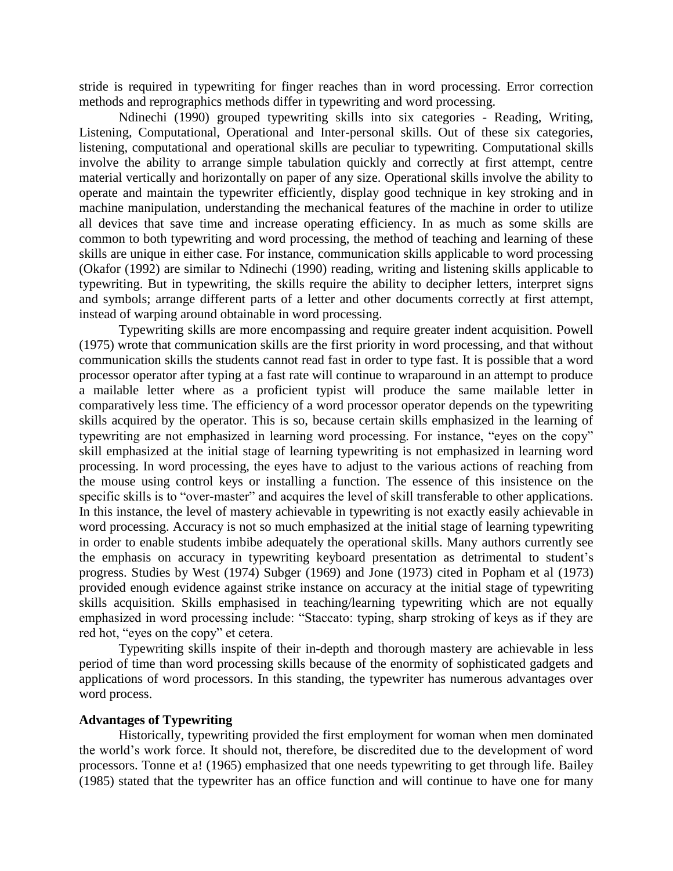stride is required in typewriting for finger reaches than in word processing. Error correction methods and reprographics methods differ in typewriting and word processing.

Ndinechi (1990) grouped typewriting skills into six categories - Reading, Writing, Listening, Computational, Operational and Inter-personal skills. Out of these six categories, listening, computational and operational skills are peculiar to typewriting. Computational skills involve the ability to arrange simple tabulation quickly and correctly at first attempt, centre material vertically and horizontally on paper of any size. Operational skills involve the ability to operate and maintain the typewriter efficiently, display good technique in key stroking and in machine manipulation, understanding the mechanical features of the machine in order to utilize all devices that save time and increase operating efficiency. In as much as some skills are common to both typewriting and word processing, the method of teaching and learning of these skills are unique in either case. For instance, communication skills applicable to word processing (Okafor (1992) are similar to Ndinechi (1990) reading, writing and listening skills applicable to typewriting. But in typewriting, the skills require the ability to decipher letters, interpret signs and symbols; arrange different parts of a letter and other documents correctly at first attempt, instead of warping around obtainable in word processing.

Typewriting skills are more encompassing and require greater indent acquisition. Powell (1975) wrote that communication skills are the first priority in word processing, and that without communication skills the students cannot read fast in order to type fast. It is possible that a word processor operator after typing at a fast rate will continue to wraparound in an attempt to produce a mailable letter where as a proficient typist will produce the same mailable letter in comparatively less time. The efficiency of a word processor operator depends on the typewriting skills acquired by the operator. This is so, because certain skills emphasized in the learning of typewriting are not emphasized in learning word processing. For instance, "eyes on the copy" skill emphasized at the initial stage of learning typewriting is not emphasized in learning word processing. In word processing, the eyes have to adjust to the various actions of reaching from the mouse using control keys or installing a function. The essence of this insistence on the specific skills is to "over-master" and acquires the level of skill transferable to other applications. In this instance, the level of mastery achievable in typewriting is not exactly easily achievable in word processing. Accuracy is not so much emphasized at the initial stage of learning typewriting in order to enable students imbibe adequately the operational skills. Many authors currently see the emphasis on accuracy in typewriting keyboard presentation as detrimental to student's progress. Studies by West (1974) Subger (1969) and Jone (1973) cited in Popham et al (1973) provided enough evidence against strike instance on accuracy at the initial stage of typewriting skills acquisition. Skills emphasised in teaching/learning typewriting which are not equally emphasized in word processing include: "Staccato: typing, sharp stroking of keys as if they are red hot, "eyes on the copy" et cetera.

Typewriting skills inspite of their in-depth and thorough mastery are achievable in less period of time than word processing skills because of the enormity of sophisticated gadgets and applications of word processors. In this standing, the typewriter has numerous advantages over word process.

### **Advantages of Typewriting**

Historically, typewriting provided the first employment for woman when men dominated the world's work force. It should not, therefore, be discredited due to the development of word processors. Tonne et a! (1965) emphasized that one needs typewriting to get through life. Bailey (1985) stated that the typewriter has an office function and will continue to have one for many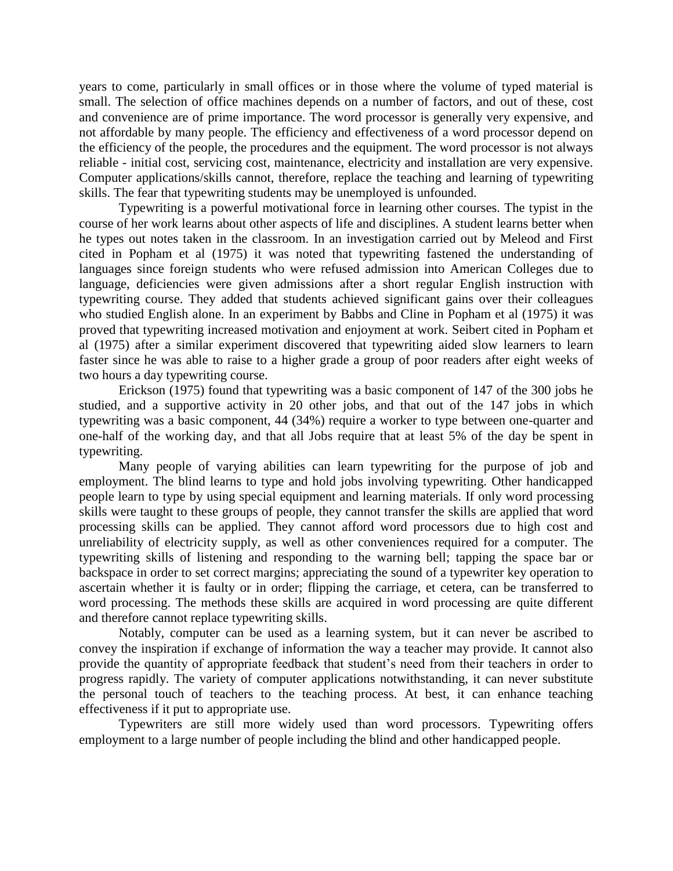years to come, particularly in small offices or in those where the volume of typed material is small. The selection of office machines depends on a number of factors, and out of these, cost and convenience are of prime importance. The word processor is generally very expensive, and not affordable by many people. The efficiency and effectiveness of a word processor depend on the efficiency of the people, the procedures and the equipment. The word processor is not always reliable - initial cost, servicing cost, maintenance, electricity and installation are very expensive. Computer applications/skills cannot, therefore, replace the teaching and learning of typewriting skills. The fear that typewriting students may be unemployed is unfounded.

Typewriting is a powerful motivational force in learning other courses. The typist in the course of her work learns about other aspects of life and disciplines. A student learns better when he types out notes taken in the classroom. In an investigation carried out by Meleod and First cited in Popham et al (1975) it was noted that typewriting fastened the understanding of languages since foreign students who were refused admission into American Colleges due to language, deficiencies were given admissions after a short regular English instruction with typewriting course. They added that students achieved significant gains over their colleagues who studied English alone. In an experiment by Babbs and Cline in Popham et al (1975) it was proved that typewriting increased motivation and enjoyment at work. Seibert cited in Popham et al (1975) after a similar experiment discovered that typewriting aided slow learners to learn faster since he was able to raise to a higher grade a group of poor readers after eight weeks of two hours a day typewriting course.

Erickson (1975) found that typewriting was a basic component of 147 of the 300 jobs he studied, and a supportive activity in 20 other jobs, and that out of the 147 jobs in which typewriting was a basic component, 44 (34%) require a worker to type between one-quarter and one-half of the working day, and that all Jobs require that at least 5% of the day be spent in typewriting.

Many people of varying abilities can learn typewriting for the purpose of job and employment. The blind learns to type and hold jobs involving typewriting. Other handicapped people learn to type by using special equipment and learning materials. If only word processing skills were taught to these groups of people, they cannot transfer the skills are applied that word processing skills can be applied. They cannot afford word processors due to high cost and unreliability of electricity supply, as well as other conveniences required for a computer. The typewriting skills of listening and responding to the warning bell; tapping the space bar or backspace in order to set correct margins; appreciating the sound of a typewriter key operation to ascertain whether it is faulty or in order; flipping the carriage, et cetera, can be transferred to word processing. The methods these skills are acquired in word processing are quite different and therefore cannot replace typewriting skills.

Notably, computer can be used as a learning system, but it can never be ascribed to convey the inspiration if exchange of information the way a teacher may provide. It cannot also provide the quantity of appropriate feedback that student's need from their teachers in order to progress rapidly. The variety of computer applications notwithstanding, it can never substitute the personal touch of teachers to the teaching process. At best, it can enhance teaching effectiveness if it put to appropriate use.

Typewriters are still more widely used than word processors. Typewriting offers employment to a large number of people including the blind and other handicapped people.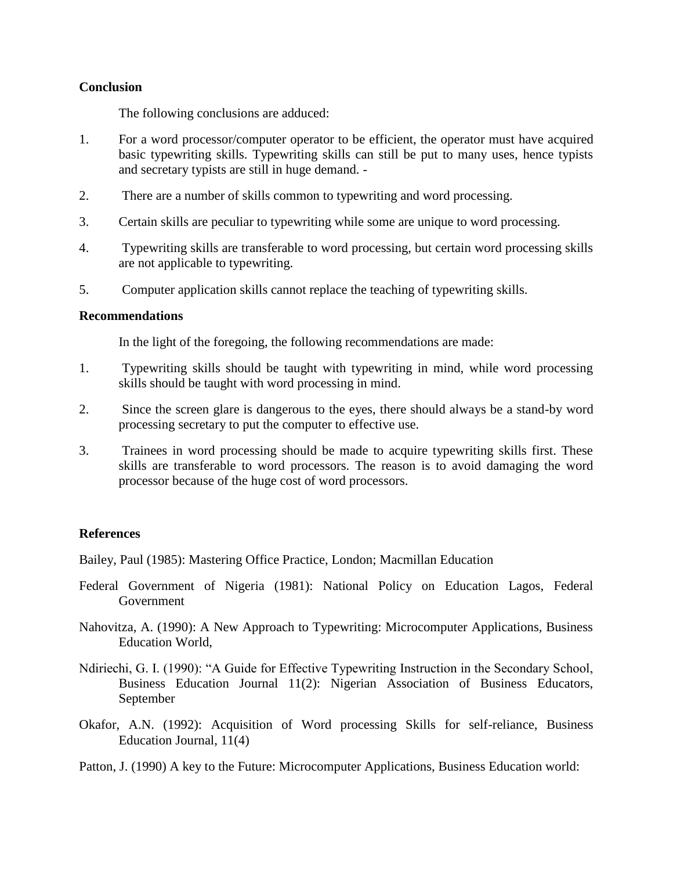## **Conclusion**

The following conclusions are adduced:

- 1. For a word processor/computer operator to be efficient, the operator must have acquired basic typewriting skills. Typewriting skills can still be put to many uses, hence typists and secretary typists are still in huge demand. -
- 2. There are a number of skills common to typewriting and word processing.
- 3. Certain skills are peculiar to typewriting while some are unique to word processing.
- 4. Typewriting skills are transferable to word processing, but certain word processing skills are not applicable to typewriting.
- 5. Computer application skills cannot replace the teaching of typewriting skills.

# **Recommendations**

In the light of the foregoing, the following recommendations are made:

- 1. Typewriting skills should be taught with typewriting in mind, while word processing skills should be taught with word processing in mind.
- 2. Since the screen glare is dangerous to the eyes, there should always be a stand-by word processing secretary to put the computer to effective use.
- 3. Trainees in word processing should be made to acquire typewriting skills first. These skills are transferable to word processors. The reason is to avoid damaging the word processor because of the huge cost of word processors.

# **References**

Bailey, Paul (1985): Mastering Office Practice, London; Macmillan Education

- Federal Government of Nigeria (1981): National Policy on Education Lagos, Federal Government
- Nahovitza, A. (1990): A New Approach to Typewriting: Microcomputer Applications, Business Education World,
- Ndiriechi, G. I. (1990): "A Guide for Effective Typewriting Instruction in the Secondary School, Business Education Journal 11(2): Nigerian Association of Business Educators, September
- Okafor, A.N. (1992): Acquisition of Word processing Skills for self-reliance, Business Education Journal, 11(4)
- Patton, J. (1990) A key to the Future: Microcomputer Applications, Business Education world: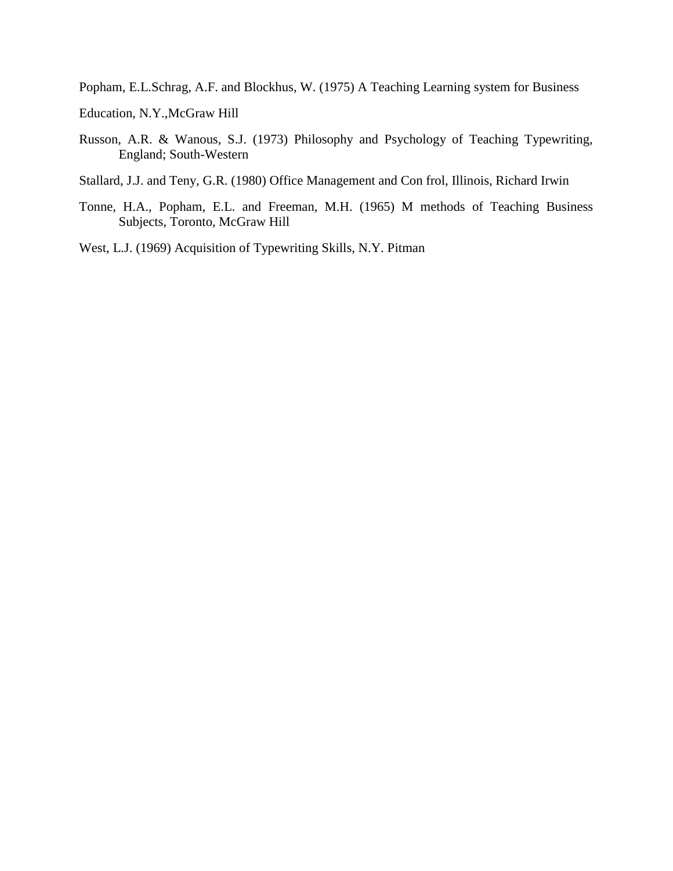Popham, E.L.Schrag, A.F. and Blockhus, W. (1975) A Teaching Learning system for Business

Education, N.Y.,McGraw Hill

Russon, A.R. & Wanous, S.J. (1973) Philosophy and Psychology of Teaching Typewriting, England; South-Western

Stallard, J.J. and Teny, G.R. (1980) Office Management and Con frol, Illinois, Richard Irwin

Tonne, H.A., Popham, E.L. and Freeman, M.H. (1965) M methods of Teaching Business Subjects, Toronto, McGraw Hill

West, L.J. (1969) Acquisition of Typewriting Skills, N.Y. Pitman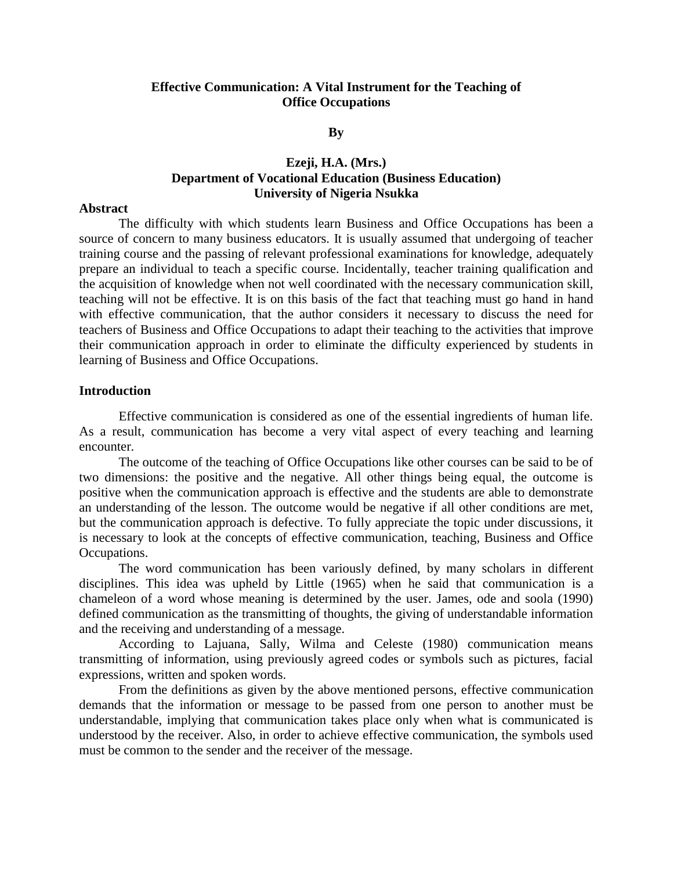## **Effective Communication: A Vital Instrument for the Teaching of Office Occupations**

#### **By**

# **Ezeji, H.A. (Mrs.) Department of Vocational Education (Business Education) University of Nigeria Nsukka**

#### **Abstract**

The difficulty with which students learn Business and Office Occupations has been a source of concern to many business educators. It is usually assumed that undergoing of teacher training course and the passing of relevant professional examinations for knowledge, adequately prepare an individual to teach a specific course. Incidentally, teacher training qualification and the acquisition of knowledge when not well coordinated with the necessary communication skill, teaching will not be effective. It is on this basis of the fact that teaching must go hand in hand with effective communication, that the author considers it necessary to discuss the need for teachers of Business and Office Occupations to adapt their teaching to the activities that improve their communication approach in order to eliminate the difficulty experienced by students in learning of Business and Office Occupations.

### **Introduction**

Effective communication is considered as one of the essential ingredients of human life. As a result, communication has become a very vital aspect of every teaching and learning encounter.

The outcome of the teaching of Office Occupations like other courses can be said to be of two dimensions: the positive and the negative. All other things being equal, the outcome is positive when the communication approach is effective and the students are able to demonstrate an understanding of the lesson. The outcome would be negative if all other conditions are met, but the communication approach is defective. To fully appreciate the topic under discussions, it is necessary to look at the concepts of effective communication, teaching, Business and Office Occupations.

The word communication has been variously defined, by many scholars in different disciplines. This idea was upheld by Little (1965) when he said that communication is a chameleon of a word whose meaning is determined by the user. James, ode and soola (1990) defined communication as the transmitting of thoughts, the giving of understandable information and the receiving and understanding of a message.

According to Lajuana, Sally, Wilma and Celeste (1980) communication means transmitting of information, using previously agreed codes or symbols such as pictures, facial expressions, written and spoken words.

From the definitions as given by the above mentioned persons, effective communication demands that the information or message to be passed from one person to another must be understandable, implying that communication takes place only when what is communicated is understood by the receiver. Also, in order to achieve effective communication, the symbols used must be common to the sender and the receiver of the message.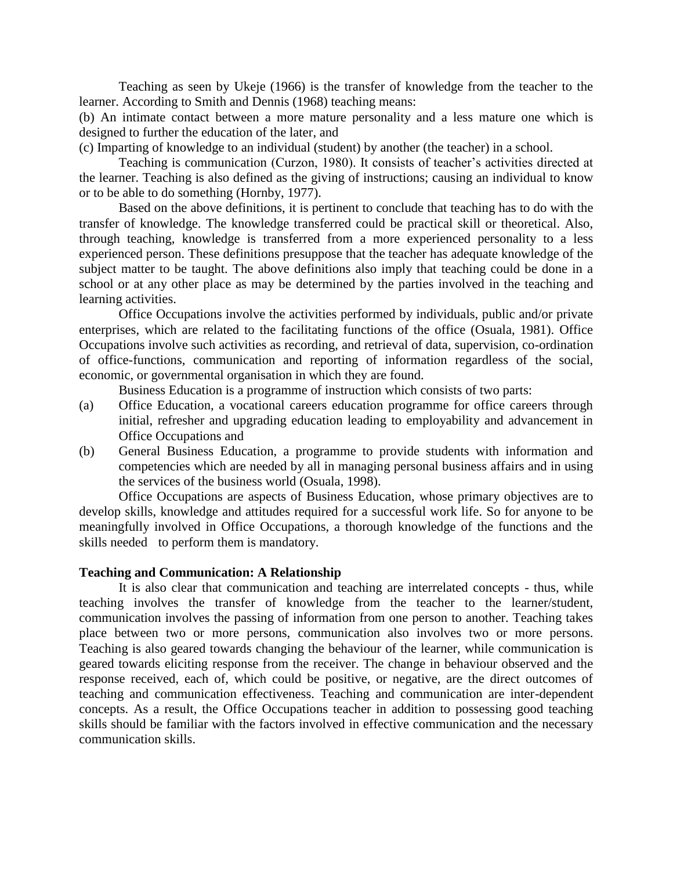Teaching as seen by Ukeje (1966) is the transfer of knowledge from the teacher to the learner. According to Smith and Dennis (1968) teaching means:

(b) An intimate contact between a more mature personality and a less mature one which is designed to further the education of the later, and

(c) Imparting of knowledge to an individual (student) by another (the teacher) in a school.

Teaching is communication (Curzon, 1980). It consists of teacher's activities directed at the learner. Teaching is also defined as the giving of instructions; causing an individual to know or to be able to do something (Hornby, 1977).

Based on the above definitions, it is pertinent to conclude that teaching has to do with the transfer of knowledge. The knowledge transferred could be practical skill or theoretical. Also, through teaching, knowledge is transferred from a more experienced personality to a less experienced person. These definitions presuppose that the teacher has adequate knowledge of the subject matter to be taught. The above definitions also imply that teaching could be done in a school or at any other place as may be determined by the parties involved in the teaching and learning activities.

Office Occupations involve the activities performed by individuals, public and/or private enterprises, which are related to the facilitating functions of the office (Osuala, 1981). Office Occupations involve such activities as recording, and retrieval of data, supervision, co-ordination of office-functions, communication and reporting of information regardless of the social, economic, or governmental organisation in which they are found.

Business Education is a programme of instruction which consists of two parts:

- (a) Office Education, a vocational careers education programme for office careers through initial, refresher and upgrading education leading to employability and advancement in Office Occupations and
- (b) General Business Education, a programme to provide students with information and competencies which are needed by all in managing personal business affairs and in using the services of the business world (Osuala, 1998).

Office Occupations are aspects of Business Education, whose primary objectives are to develop skills, knowledge and attitudes required for a successful work life. So for anyone to be meaningfully involved in Office Occupations, a thorough knowledge of the functions and the skills needed to perform them is mandatory.

### **Teaching and Communication: A Relationship**

It is also clear that communication and teaching are interrelated concepts - thus, while teaching involves the transfer of knowledge from the teacher to the learner/student, communication involves the passing of information from one person to another. Teaching takes place between two or more persons, communication also involves two or more persons. Teaching is also geared towards changing the behaviour of the learner, while communication is geared towards eliciting response from the receiver. The change in behaviour observed and the response received, each of, which could be positive, or negative, are the direct outcomes of teaching and communication effectiveness. Teaching and communication are inter-dependent concepts. As a result, the Office Occupations teacher in addition to possessing good teaching skills should be familiar with the factors involved in effective communication and the necessary communication skills.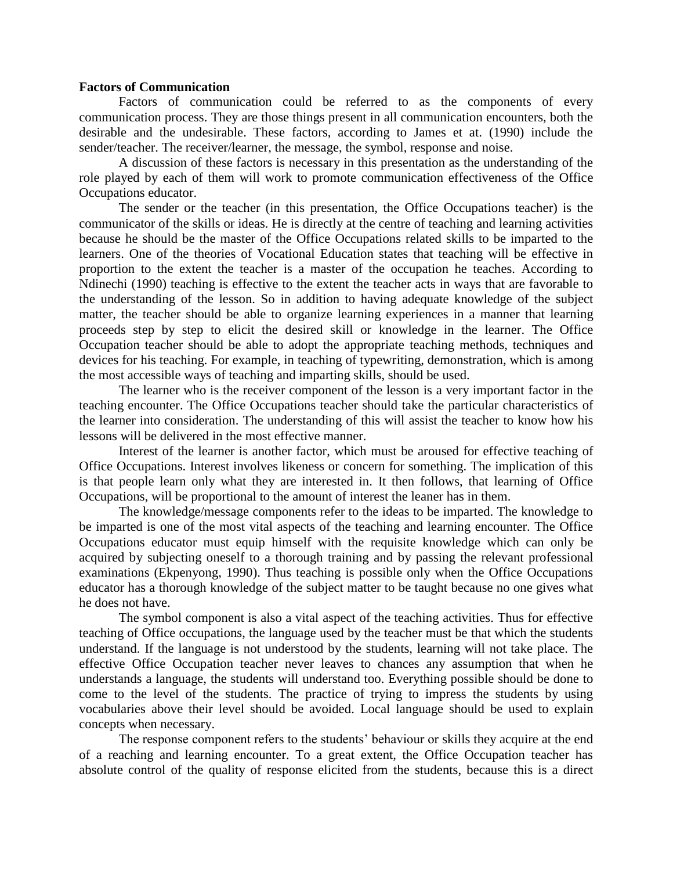### **Factors of Communication**

Factors of communication could be referred to as the components of every communication process. They are those things present in all communication encounters, both the desirable and the undesirable. These factors, according to James et at. (1990) include the sender/teacher. The receiver/learner, the message, the symbol, response and noise.

A discussion of these factors is necessary in this presentation as the understanding of the role played by each of them will work to promote communication effectiveness of the Office Occupations educator.

The sender or the teacher (in this presentation, the Office Occupations teacher) is the communicator of the skills or ideas. He is directly at the centre of teaching and learning activities because he should be the master of the Office Occupations related skills to be imparted to the learners. One of the theories of Vocational Education states that teaching will be effective in proportion to the extent the teacher is a master of the occupation he teaches. According to Ndinechi (1990) teaching is effective to the extent the teacher acts in ways that are favorable to the understanding of the lesson. So in addition to having adequate knowledge of the subject matter, the teacher should be able to organize learning experiences in a manner that learning proceeds step by step to elicit the desired skill or knowledge in the learner. The Office Occupation teacher should be able to adopt the appropriate teaching methods, techniques and devices for his teaching. For example, in teaching of typewriting, demonstration, which is among the most accessible ways of teaching and imparting skills, should be used.

The learner who is the receiver component of the lesson is a very important factor in the teaching encounter. The Office Occupations teacher should take the particular characteristics of the learner into consideration. The understanding of this will assist the teacher to know how his lessons will be delivered in the most effective manner.

Interest of the learner is another factor, which must be aroused for effective teaching of Office Occupations. Interest involves likeness or concern for something. The implication of this is that people learn only what they are interested in. It then follows, that learning of Office Occupations, will be proportional to the amount of interest the leaner has in them.

The knowledge/message components refer to the ideas to be imparted. The knowledge to be imparted is one of the most vital aspects of the teaching and learning encounter. The Office Occupations educator must equip himself with the requisite knowledge which can only be acquired by subjecting oneself to a thorough training and by passing the relevant professional examinations (Ekpenyong, 1990). Thus teaching is possible only when the Office Occupations educator has a thorough knowledge of the subject matter to be taught because no one gives what he does not have.

The symbol component is also a vital aspect of the teaching activities. Thus for effective teaching of Office occupations, the language used by the teacher must be that which the students understand. If the language is not understood by the students, learning will not take place. The effective Office Occupation teacher never leaves to chances any assumption that when he understands a language, the students will understand too. Everything possible should be done to come to the level of the students. The practice of trying to impress the students by using vocabularies above their level should be avoided. Local language should be used to explain concepts when necessary.

The response component refers to the students' behaviour or skills they acquire at the end of a reaching and learning encounter. To a great extent, the Office Occupation teacher has absolute control of the quality of response elicited from the students, because this is a direct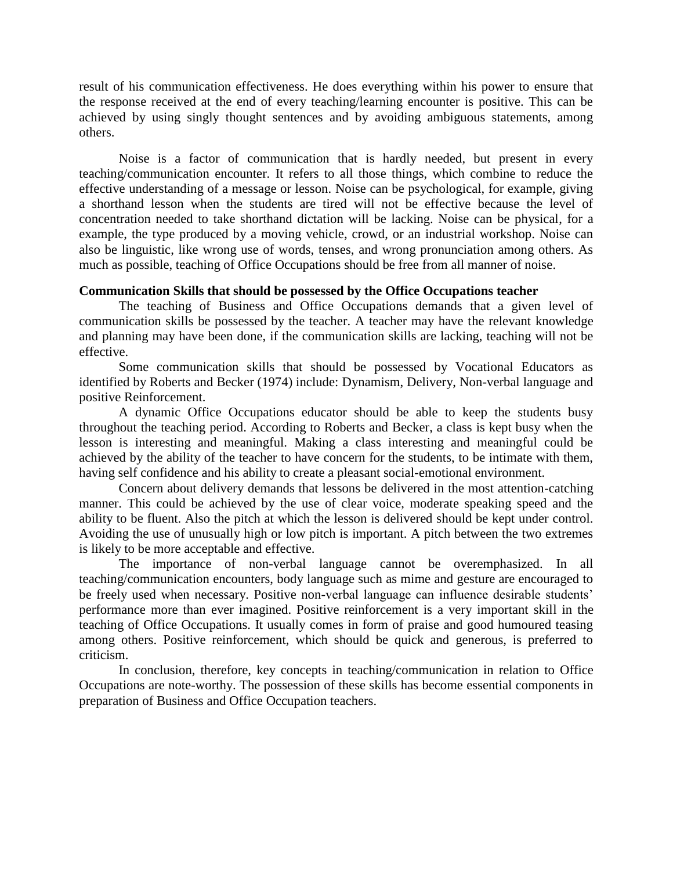result of his communication effectiveness. He does everything within his power to ensure that the response received at the end of every teaching/learning encounter is positive. This can be achieved by using singly thought sentences and by avoiding ambiguous statements, among others.

Noise is a factor of communication that is hardly needed, but present in every teaching/communication encounter. It refers to all those things, which combine to reduce the effective understanding of a message or lesson. Noise can be psychological, for example, giving a shorthand lesson when the students are tired will not be effective because the level of concentration needed to take shorthand dictation will be lacking. Noise can be physical, for a example, the type produced by a moving vehicle, crowd, or an industrial workshop. Noise can also be linguistic, like wrong use of words, tenses, and wrong pronunciation among others. As much as possible, teaching of Office Occupations should be free from all manner of noise.

### **Communication Skills that should be possessed by the Office Occupations teacher**

The teaching of Business and Office Occupations demands that a given level of communication skills be possessed by the teacher. A teacher may have the relevant knowledge and planning may have been done, if the communication skills are lacking, teaching will not be effective.

Some communication skills that should be possessed by Vocational Educators as identified by Roberts and Becker (1974) include: Dynamism, Delivery, Non-verbal language and positive Reinforcement.

A dynamic Office Occupations educator should be able to keep the students busy throughout the teaching period. According to Roberts and Becker, a class is kept busy when the lesson is interesting and meaningful. Making a class interesting and meaningful could be achieved by the ability of the teacher to have concern for the students, to be intimate with them, having self confidence and his ability to create a pleasant social-emotional environment.

Concern about delivery demands that lessons be delivered in the most attention-catching manner. This could be achieved by the use of clear voice, moderate speaking speed and the ability to be fluent. Also the pitch at which the lesson is delivered should be kept under control. Avoiding the use of unusually high or low pitch is important. A pitch between the two extremes is likely to be more acceptable and effective.

The importance of non-verbal language cannot be overemphasized. In all teaching/communication encounters, body language such as mime and gesture are encouraged to be freely used when necessary. Positive non-verbal language can influence desirable students' performance more than ever imagined. Positive reinforcement is a very important skill in the teaching of Office Occupations. It usually comes in form of praise and good humoured teasing among others. Positive reinforcement, which should be quick and generous, is preferred to criticism.

In conclusion, therefore, key concepts in teaching/communication in relation to Office Occupations are note-worthy. The possession of these skills has become essential components in preparation of Business and Office Occupation teachers.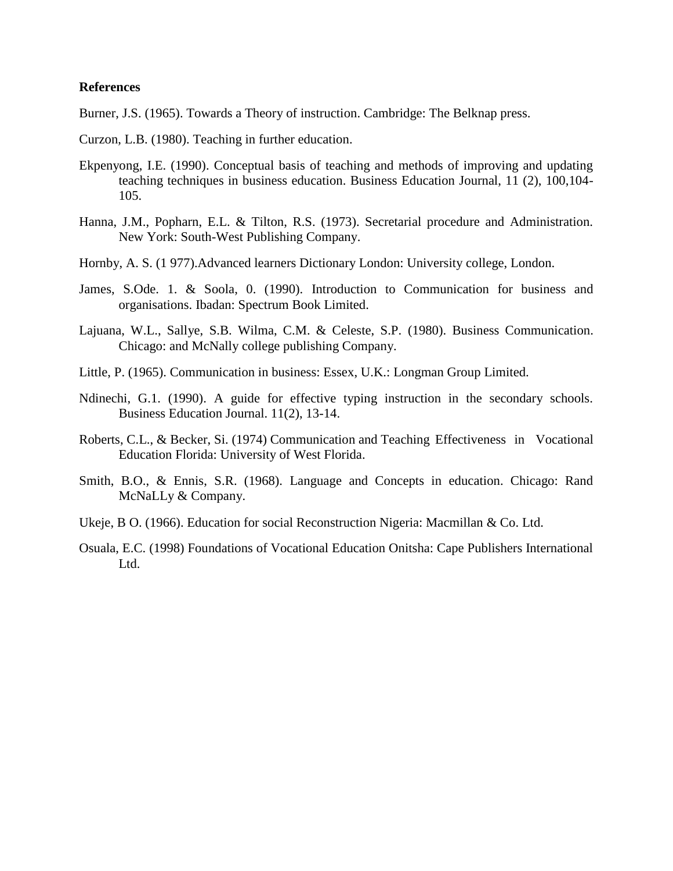## **References**

Burner, J.S. (1965). Towards a Theory of instruction. Cambridge: The Belknap press.

- Curzon, L.B. (1980). Teaching in further education.
- Ekpenyong, I.E. (1990). Conceptual basis of teaching and methods of improving and updating teaching techniques in business education. Business Education Journal, 11 (2), 100,104- 105.
- Hanna, J.M., Popharn, E.L. & Tilton, R.S. (1973). Secretarial procedure and Administration. New York: South-West Publishing Company.
- Hornby, A. S. (1 977).Advanced learners Dictionary London: University college, London.
- James, S.Ode. 1. & Soola, 0. (1990). Introduction to Communication for business and organisations. Ibadan: Spectrum Book Limited.
- Lajuana, W.L., Sallye, S.B. Wilma, C.M. & Celeste, S.P. (1980). Business Communication. Chicago: and McNally college publishing Company.
- Little, P. (1965). Communication in business: Essex, U.K.: Longman Group Limited.
- Ndinechi, G.1. (1990). A guide for effective typing instruction in the secondary schools. Business Education Journal. 11(2), 13-14.
- Roberts, C.L., & Becker, Si. (1974) Communication and Teaching Effectiveness in Vocational Education Florida: University of West Florida.
- Smith, B.O., & Ennis, S.R. (1968). Language and Concepts in education. Chicago: Rand McNaLLy & Company.
- Ukeje, B O. (1966). Education for social Reconstruction Nigeria: Macmillan & Co. Ltd.
- Osuala, E.C. (1998) Foundations of Vocational Education Onitsha: Cape Publishers International Ltd.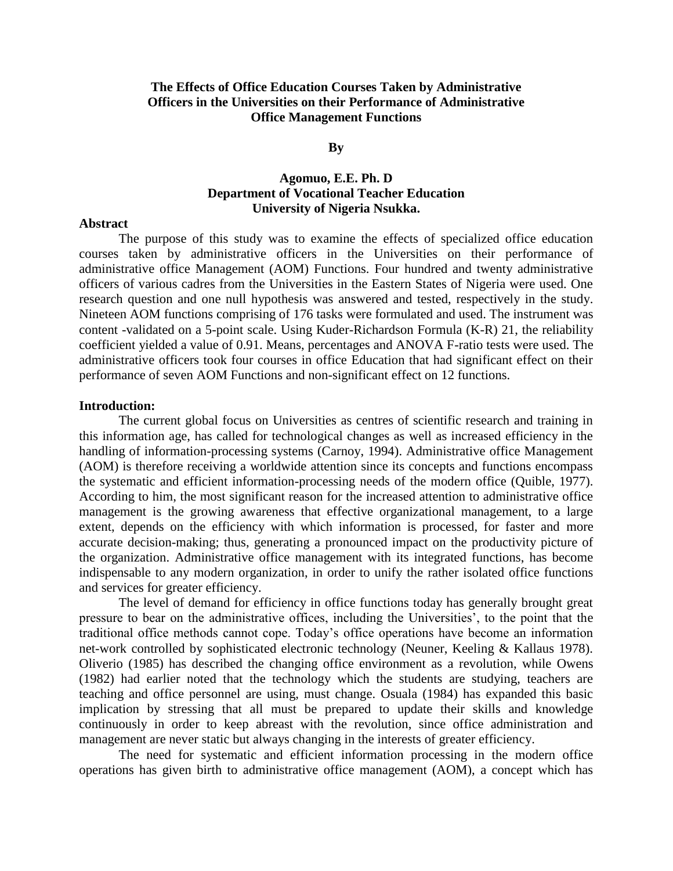# **The Effects of Office Education Courses Taken by Administrative Officers in the Universities on their Performance of Administrative Office Management Functions**

#### **By**

# **Agomuo, E.E. Ph. D Department of Vocational Teacher Education University of Nigeria Nsukka.**

### **Abstract**

The purpose of this study was to examine the effects of specialized office education courses taken by administrative officers in the Universities on their performance of administrative office Management (AOM) Functions. Four hundred and twenty administrative officers of various cadres from the Universities in the Eastern States of Nigeria were used. One research question and one null hypothesis was answered and tested, respectively in the study. Nineteen AOM functions comprising of 176 tasks were formulated and used. The instrument was content -validated on a 5-point scale. Using Kuder-Richardson Formula (K-R) 21, the reliability coefficient yielded a value of 0.91. Means, percentages and ANOVA F-ratio tests were used. The administrative officers took four courses in office Education that had significant effect on their performance of seven AOM Functions and non-significant effect on 12 functions.

### **Introduction:**

The current global focus on Universities as centres of scientific research and training in this information age, has called for technological changes as well as increased efficiency in the handling of information-processing systems (Carnoy, 1994). Administrative office Management (AOM) is therefore receiving a worldwide attention since its concepts and functions encompass the systematic and efficient information-processing needs of the modern office (Quible, 1977). According to him, the most significant reason for the increased attention to administrative office management is the growing awareness that effective organizational management, to a large extent, depends on the efficiency with which information is processed, for faster and more accurate decision-making; thus, generating a pronounced impact on the productivity picture of the organization. Administrative office management with its integrated functions, has become indispensable to any modern organization, in order to unify the rather isolated office functions and services for greater efficiency.

The level of demand for efficiency in office functions today has generally brought great pressure to bear on the administrative offices, including the Universities', to the point that the traditional office methods cannot cope. Today's office operations have become an information net-work controlled by sophisticated electronic technology (Neuner, Keeling & Kallaus 1978). Oliverio (1985) has described the changing office environment as a revolution, while Owens (1982) had earlier noted that the technology which the students are studying, teachers are teaching and office personnel are using, must change. Osuala (1984) has expanded this basic implication by stressing that all must be prepared to update their skills and knowledge continuously in order to keep abreast with the revolution, since office administration and management are never static but always changing in the interests of greater efficiency.

The need for systematic and efficient information processing in the modern office operations has given birth to administrative office management (AOM), a concept which has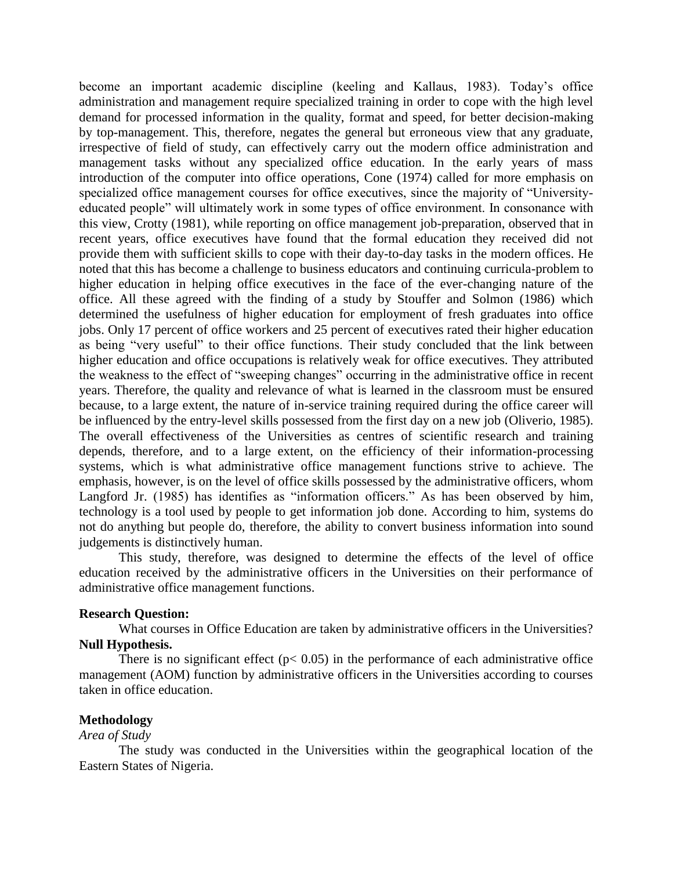become an important academic discipline (keeling and Kallaus, 1983). Today's office administration and management require specialized training in order to cope with the high level demand for processed information in the quality, format and speed, for better decision-making by top-management. This, therefore, negates the general but erroneous view that any graduate, irrespective of field of study, can effectively carry out the modern office administration and management tasks without any specialized office education. In the early years of mass introduction of the computer into office operations, Cone (1974) called for more emphasis on specialized office management courses for office executives, since the majority of "Universityeducated people" will ultimately work in some types of office environment. In consonance with this view, Crotty (1981), while reporting on office management job-preparation, observed that in recent years, office executives have found that the formal education they received did not provide them with sufficient skills to cope with their day-to-day tasks in the modern offices. He noted that this has become a challenge to business educators and continuing curricula-problem to higher education in helping office executives in the face of the ever-changing nature of the office. All these agreed with the finding of a study by Stouffer and Solmon (1986) which determined the usefulness of higher education for employment of fresh graduates into office jobs. Only 17 percent of office workers and 25 percent of executives rated their higher education as being "very useful" to their office functions. Their study concluded that the link between higher education and office occupations is relatively weak for office executives. They attributed the weakness to the effect of "sweeping changes" occurring in the administrative office in recent years. Therefore, the quality and relevance of what is learned in the classroom must be ensured because, to a large extent, the nature of in-service training required during the office career will be influenced by the entry-level skills possessed from the first day on a new job (Oliverio, 1985). The overall effectiveness of the Universities as centres of scientific research and training depends, therefore, and to a large extent, on the efficiency of their information-processing systems, which is what administrative office management functions strive to achieve. The emphasis, however, is on the level of office skills possessed by the administrative officers, whom Langford Jr. (1985) has identifies as "information officers." As has been observed by him, technology is a tool used by people to get information job done. According to him, systems do not do anything but people do, therefore, the ability to convert business information into sound judgements is distinctively human.

This study, therefore, was designed to determine the effects of the level of office education received by the administrative officers in the Universities on their performance of administrative office management functions.

### **Research Question:**

What courses in Office Education are taken by administrative officers in the Universities? **Null Hypothesis.**

There is no significant effect ( $p < 0.05$ ) in the performance of each administrative office management (AOM) function by administrative officers in the Universities according to courses taken in office education.

### **Methodology**

### *Area of Study*

The study was conducted in the Universities within the geographical location of the Eastern States of Nigeria.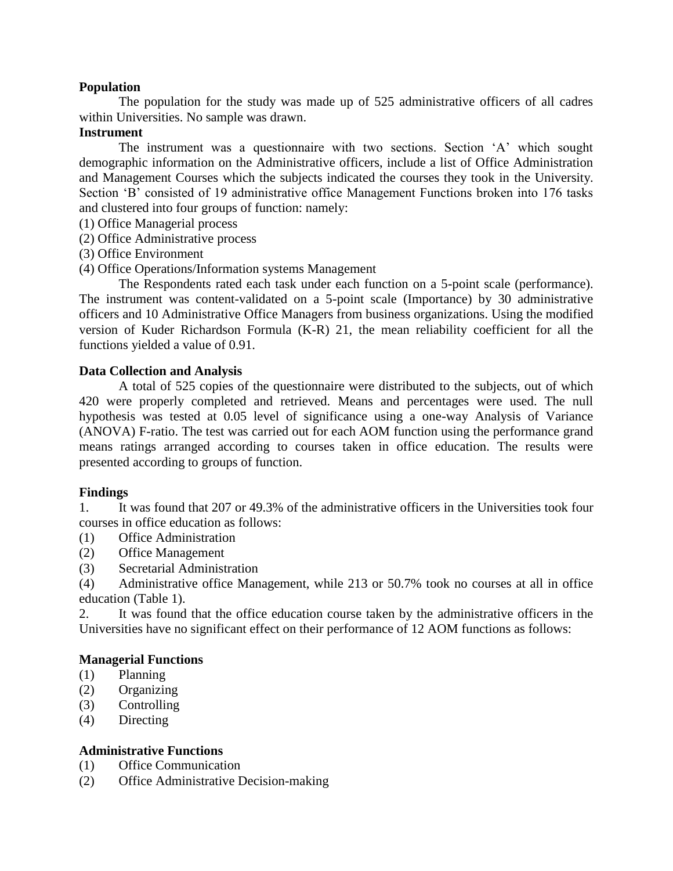# **Population**

The population for the study was made up of 525 administrative officers of all cadres within Universities. No sample was drawn.

# **Instrument**

The instrument was a questionnaire with two sections. Section 'A' which sought demographic information on the Administrative officers, include a list of Office Administration and Management Courses which the subjects indicated the courses they took in the University. Section 'B' consisted of 19 administrative office Management Functions broken into 176 tasks and clustered into four groups of function: namely:

- (1) Office Managerial process
- (2) Office Administrative process
- (3) Office Environment
- (4) Office Operations/Information systems Management

The Respondents rated each task under each function on a 5-point scale (performance). The instrument was content-validated on a 5-point scale (Importance) by 30 administrative officers and 10 Administrative Office Managers from business organizations. Using the modified version of Kuder Richardson Formula (K-R) 21, the mean reliability coefficient for all the functions yielded a value of 0.91.

# **Data Collection and Analysis**

A total of 525 copies of the questionnaire were distributed to the subjects, out of which 420 were properly completed and retrieved. Means and percentages were used. The null hypothesis was tested at 0.05 level of significance using a one-way Analysis of Variance (ANOVA) F-ratio. The test was carried out for each AOM function using the performance grand means ratings arranged according to courses taken in office education. The results were presented according to groups of function.

# **Findings**

1. It was found that 207 or 49.3% of the administrative officers in the Universities took four courses in office education as follows:

- (1) Office Administration
- (2) Office Management
- (3) Secretarial Administration

(4) Administrative office Management, while 213 or 50.7% took no courses at all in office education (Table 1).

2. It was found that the office education course taken by the administrative officers in the Universities have no significant effect on their performance of 12 AOM functions as follows:

# **Managerial Functions**

- (1) Planning
- (2) Organizing
- (3) Controlling
- (4) Directing

# **Administrative Functions**

- (1) Office Communication
- (2) Office Administrative Decision-making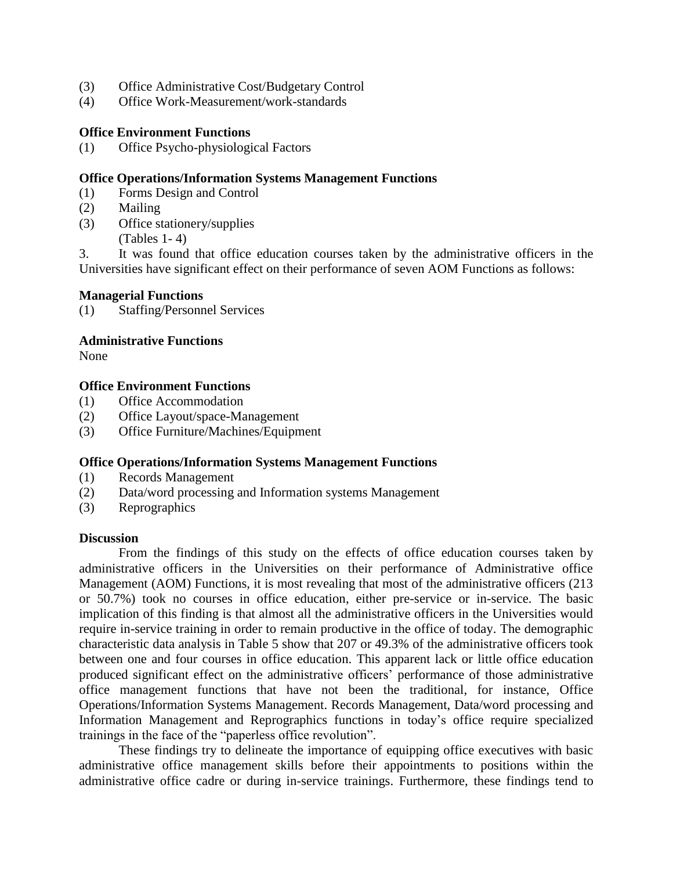- (3) Office Administrative Cost/Budgetary Control
- (4) Office Work-Measurement/work-standards

## **Office Environment Functions**

(1) Office Psycho-physiological Factors

## **Office Operations/Information Systems Management Functions**

- (1) Forms Design and Control
- (2) Mailing
- (3) Office stationery/supplies (Tables 1- 4)

3. It was found that office education courses taken by the administrative officers in the Universities have significant effect on their performance of seven AOM Functions as follows:

## **Managerial Functions**

(1) Staffing/Personnel Services

### **Administrative Functions**

None

## **Office Environment Functions**

- (1) Office Accommodation
- (2) Office Layout/space-Management
- (3) Office Furniture/Machines/Equipment

### **Office Operations/Information Systems Management Functions**

- (1) Records Management
- (2) Data/word processing and Information systems Management
- (3) Reprographics

### **Discussion**

From the findings of this study on the effects of office education courses taken by administrative officers in the Universities on their performance of Administrative office Management (AOM) Functions, it is most revealing that most of the administrative officers (213 or 50.7%) took no courses in office education, either pre-service or in-service. The basic implication of this finding is that almost all the administrative officers in the Universities would require in-service training in order to remain productive in the office of today. The demographic characteristic data analysis in Table 5 show that 207 or 49.3% of the administrative officers took between one and four courses in office education. This apparent lack or little office education produced significant effect on the administrative officers' performance of those administrative office management functions that have not been the traditional, for instance, Office Operations/Information Systems Management. Records Management, Data/word processing and Information Management and Reprographics functions in today's office require specialized trainings in the face of the "paperless office revolution".

These findings try to delineate the importance of equipping office executives with basic administrative office management skills before their appointments to positions within the administrative office cadre or during in-service trainings. Furthermore, these findings tend to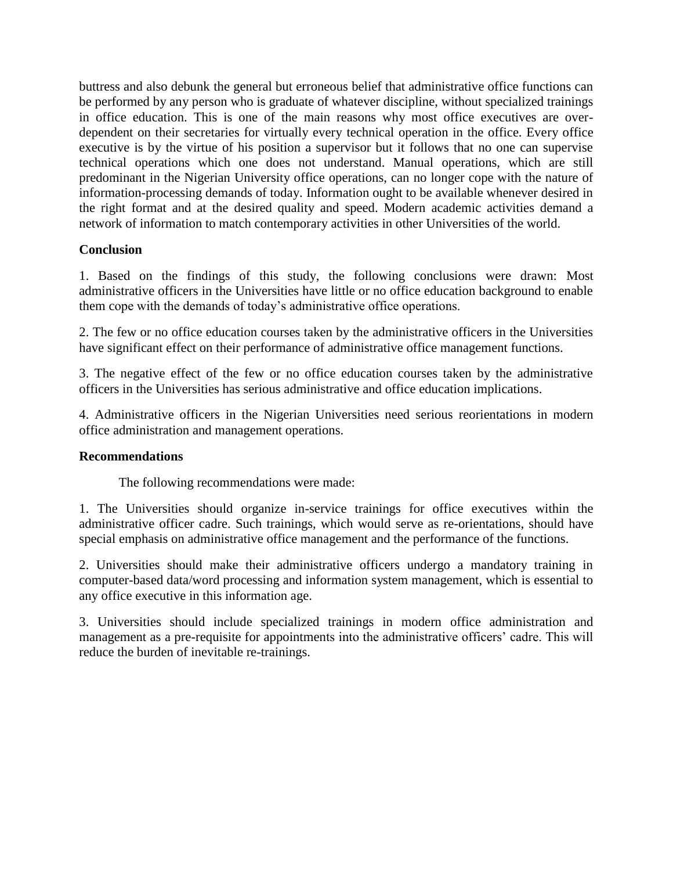buttress and also debunk the general but erroneous belief that administrative office functions can be performed by any person who is graduate of whatever discipline, without specialized trainings in office education. This is one of the main reasons why most office executives are overdependent on their secretaries for virtually every technical operation in the office. Every office executive is by the virtue of his position a supervisor but it follows that no one can supervise technical operations which one does not understand. Manual operations, which are still predominant in the Nigerian University office operations, can no longer cope with the nature of information-processing demands of today. Information ought to be available whenever desired in the right format and at the desired quality and speed. Modern academic activities demand a network of information to match contemporary activities in other Universities of the world.

# **Conclusion**

1. Based on the findings of this study, the following conclusions were drawn: Most administrative officers in the Universities have little or no office education background to enable them cope with the demands of today's administrative office operations.

2. The few or no office education courses taken by the administrative officers in the Universities have significant effect on their performance of administrative office management functions.

3. The negative effect of the few or no office education courses taken by the administrative officers in the Universities has serious administrative and office education implications.

4. Administrative officers in the Nigerian Universities need serious reorientations in modern office administration and management operations.

# **Recommendations**

The following recommendations were made:

1. The Universities should organize in-service trainings for office executives within the administrative officer cadre. Such trainings, which would serve as re-orientations, should have special emphasis on administrative office management and the performance of the functions.

2. Universities should make their administrative officers undergo a mandatory training in computer-based data/word processing and information system management, which is essential to any office executive in this information age.

3. Universities should include specialized trainings in modern office administration and management as a pre-requisite for appointments into the administrative officers' cadre. This will reduce the burden of inevitable re-trainings.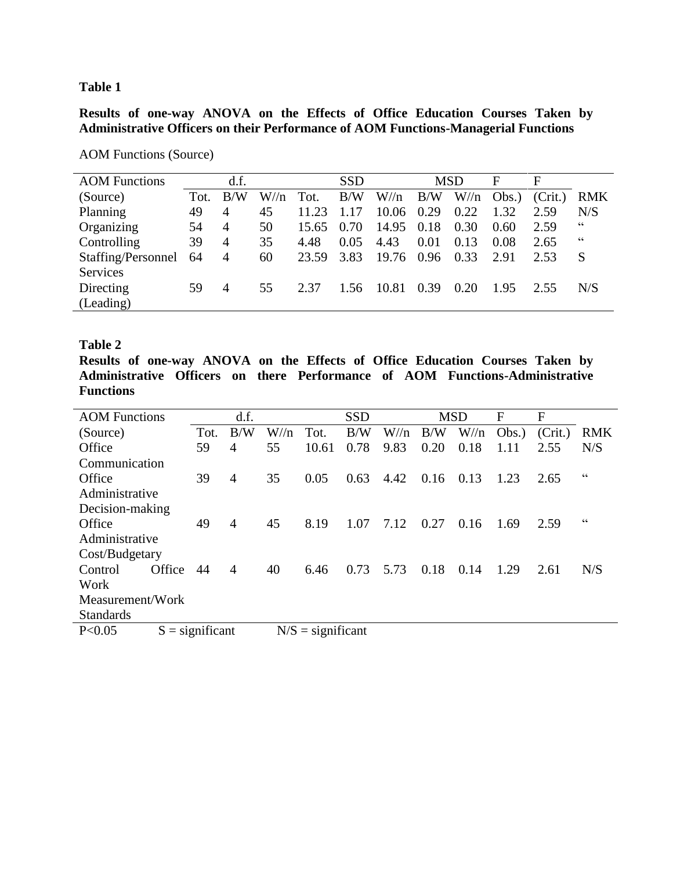**Table 1**

**Results of one-way ANOVA on the Effects of Office Education Courses Taken by Administrative Officers on their Performance of AOM Functions-Managerial Functions**

| <b>AOM Functions</b> |      | d.f.           |          |       | <b>SSD</b> |          |      | <b>MSD</b> | F     | $\mathbf{F}$ |                          |
|----------------------|------|----------------|----------|-------|------------|----------|------|------------|-------|--------------|--------------------------|
| (Source)             | Tot. | B/W            | $W/\!/n$ | Tot.  | B/W        | $W/\!$ n | B/W  | $W/\!/n$   | Obs.) | (Crit.)      | <b>RMK</b>               |
| Planning             | 49   | $\overline{4}$ | 45       | 11.23 | 17         | 10.06    | 0.29 | 0.22       | 1.32  | 2.59         | N/S                      |
| Organizing           | 54   | 4              | 50       | 15.65 | 0.70       | 14.95    | 0.18 | 0.30       | 0.60  | 2.59         | 66                       |
| Controlling          | 39   | 4              | 35       | 4.48  | 0.05       | 4.43     | 0.01 | 0.13       | 0.08  | 2.65         | $\textsf{G}\,\textsf{G}$ |
| Staffing/Personnel   | 64   | 4              | 60       | 23.59 | 3.83       | 19.76    | 0.96 | 0.33       | 2.91  | 2.53         | S                        |
| <b>Services</b>      |      |                |          |       |            |          |      |            |       |              |                          |
| Directing            | 59   | 4              | 55       | 2.37  | 1.56       | 10.81    | 0.39 | 0.20       | 1.95  | 2.55         | N/S                      |
| (Leading)            |      |                |          |       |            |          |      |            |       |              |                          |
|                      |      |                |          |       |            |          |      |            |       |              |                          |

AOM Functions (Source)

## **Table 2**

**Results of one-way ANOVA on the Effects of Office Education Courses Taken by Administrative Officers on there Performance of AOM Functions-Administrative Functions**

| <b>AOM</b> Functions |                   | d.f.           |          |                     | <b>SSD</b> |          |      | <b>MSD</b> | F     | F       |                |
|----------------------|-------------------|----------------|----------|---------------------|------------|----------|------|------------|-------|---------|----------------|
|                      | Tot.              | B/W            | $W/\!/n$ | Tot.                | B/W        | $W/\!/n$ | B/W  | $W/\!/n$   | Obs.) | (Crit.) | <b>RMK</b>     |
| (Source)             |                   |                |          |                     |            |          |      |            |       |         |                |
| Office               | 59                | 4              | 55       | 10.61               | 0.78       | 9.83     | 0.20 | 0.18       | 1.11  | 2.55    | N/S            |
| Communication        |                   |                |          |                     |            |          |      |            |       |         |                |
| Office               | 39                | $\overline{4}$ | 35       | 0.05                | 0.63       | 4.42     | 0.16 | 0.13       | 1.23  | 2.65    | $\zeta\,\zeta$ |
| Administrative       |                   |                |          |                     |            |          |      |            |       |         |                |
| Decision-making      |                   |                |          |                     |            |          |      |            |       |         |                |
| Office               | 49                | 4              | 45       | 8.19                | 1.07       | 7.12     | 0.27 | 0.16       | 1.69  | 2.59    | 66             |
| Administrative       |                   |                |          |                     |            |          |      |            |       |         |                |
| Cost/Budgetary       |                   |                |          |                     |            |          |      |            |       |         |                |
| Office<br>Control    | 44                | 4              | 40       | 6.46                | 0.73       | 5.73     | 0.18 | 0.14       | 1.29  | 2.61    | N/S            |
| Work                 |                   |                |          |                     |            |          |      |            |       |         |                |
| Measurement/Work     |                   |                |          |                     |            |          |      |            |       |         |                |
| <b>Standards</b>     |                   |                |          |                     |            |          |      |            |       |         |                |
| P < 0.05             | $S =$ significant |                |          | $N/S =$ significant |            |          |      |            |       |         |                |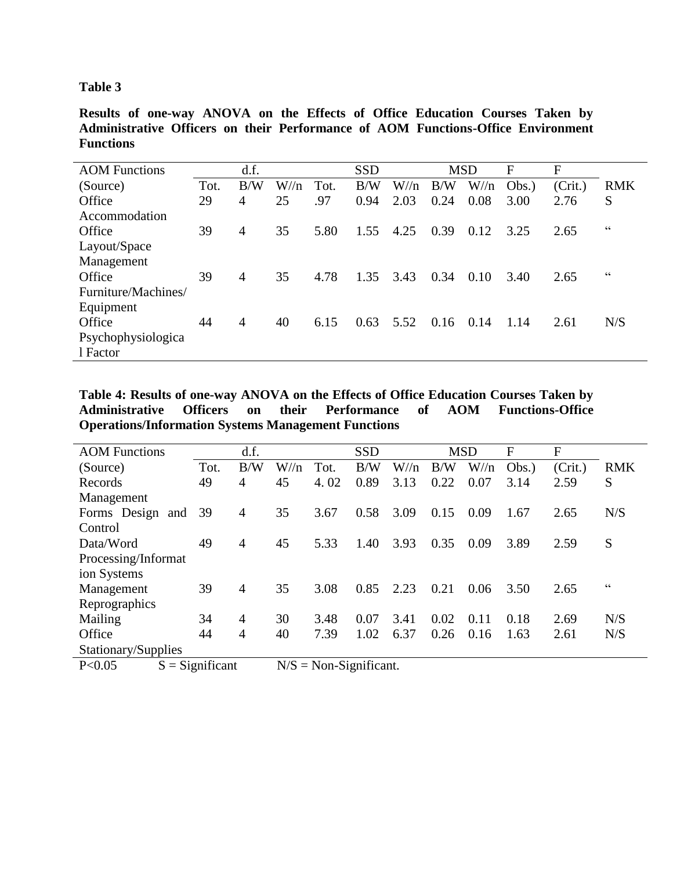# **Table 3**

**Results of one-way ANOVA on the Effects of Office Education Courses Taken by Administrative Officers on their Performance of AOM Functions-Office Environment Functions**

| <b>AOM</b> Functions |      | d.f.           |          |      | <b>SSD</b> |          |      | <b>MSD</b> | F     | F       |                          |
|----------------------|------|----------------|----------|------|------------|----------|------|------------|-------|---------|--------------------------|
| (Source)             | Tot. | B/W            | $W/\!$ n | Tot. | B/W        | $W/\!/n$ | B/W  | $W/\!/n$   | Obs.) | (Crit.) | <b>RMK</b>               |
| Office               | 29   | 4              | 25       | .97  | 0.94       | 2.03     | 0.24 | 0.08       | 3.00  | 2.76    | S                        |
| Accommodation        |      |                |          |      |            |          |      |            |       |         |                          |
| Office               | 39   | 4              | 35       | 5.80 | 1.55       | 4.25     | 0.39 | 0.12       | 3.25  | 2.65    | $\textsf{G}\,\textsf{G}$ |
| Layout/Space         |      |                |          |      |            |          |      |            |       |         |                          |
| Management           |      |                |          |      |            |          |      |            |       |         |                          |
| Office               | 39   | $\overline{4}$ | 35       | 4.78 | 1.35       | 3.43     | 0.34 | 0.10       | 3.40  | 2.65    | 66                       |
| Furniture/Machines/  |      |                |          |      |            |          |      |            |       |         |                          |
| Equipment            |      |                |          |      |            |          |      |            |       |         |                          |
| Office               | 44   | 4              | 40       | 6.15 | 0.63       | 5.52     | 0.16 | 0.14       | 1.14  | 2.61    | N/S                      |
| Psychophysiologica   |      |                |          |      |            |          |      |            |       |         |                          |
| 1 Factor             |      |                |          |      |            |          |      |            |       |         |                          |

**Table 4: Results of one-way ANOVA on the Effects of Office Education Courses Taken by Administrative Officers on their Performance of AOM Functions-Office Operations/Information Systems Management Functions**

| <b>AOM</b> Functions |                   | d.f.           |          |                           | <b>SSD</b> |          |      | <b>MSD</b> | F     | F       |                          |
|----------------------|-------------------|----------------|----------|---------------------------|------------|----------|------|------------|-------|---------|--------------------------|
| (Source)             | Tot.              | B/W            | $W/\!/n$ | Tot.                      | B/W        | $W/\!/n$ | B/W  | $W/\!/n$   | Obs.) | (Crit.) | <b>RMK</b>               |
| Records              | 49                | $\overline{4}$ | 45       | 4.02                      | 0.89       | 3.13     | 0.22 | 0.07       | 3.14  | 2.59    | S                        |
| Management           |                   |                |          |                           |            |          |      |            |       |         |                          |
| Forms Design and 39  |                   | $\overline{4}$ | 35       | 3.67                      | 0.58       | 3.09     | 0.15 | 0.09       | 1.67  | 2.65    | N/S                      |
| Control              |                   |                |          |                           |            |          |      |            |       |         |                          |
| Data/Word            | 49                | $\overline{4}$ | 45       | 5.33                      | 1.40       | 3.93     | 0.35 | 0.09       | 3.89  | 2.59    | S                        |
| Processing/Informat  |                   |                |          |                           |            |          |      |            |       |         |                          |
| ion Systems          |                   |                |          |                           |            |          |      |            |       |         |                          |
| Management           | 39                | $\overline{4}$ | 35       | 3.08                      | 0.85       | 2.23     | 0.21 | 0.06       | 3.50  | 2.65    | $\textsf{G}\,\textsf{G}$ |
| Reprographics        |                   |                |          |                           |            |          |      |            |       |         |                          |
| Mailing              | 34                | $\overline{4}$ | 30       | 3.48                      | 0.07       | 3.41     | 0.02 | 0.11       | 0.18  | 2.69    | N/S                      |
| Office               | 44                | $\overline{4}$ | 40       | 7.39                      | 1.02       | 6.37     | 0.26 | 0.16       | 1.63  | 2.61    | N/S                      |
| Stationary/Supplies  |                   |                |          |                           |            |          |      |            |       |         |                          |
| P < 0.05             | $S =$ Significant |                |          | $N/S = Non-Significant$ . |            |          |      |            |       |         |                          |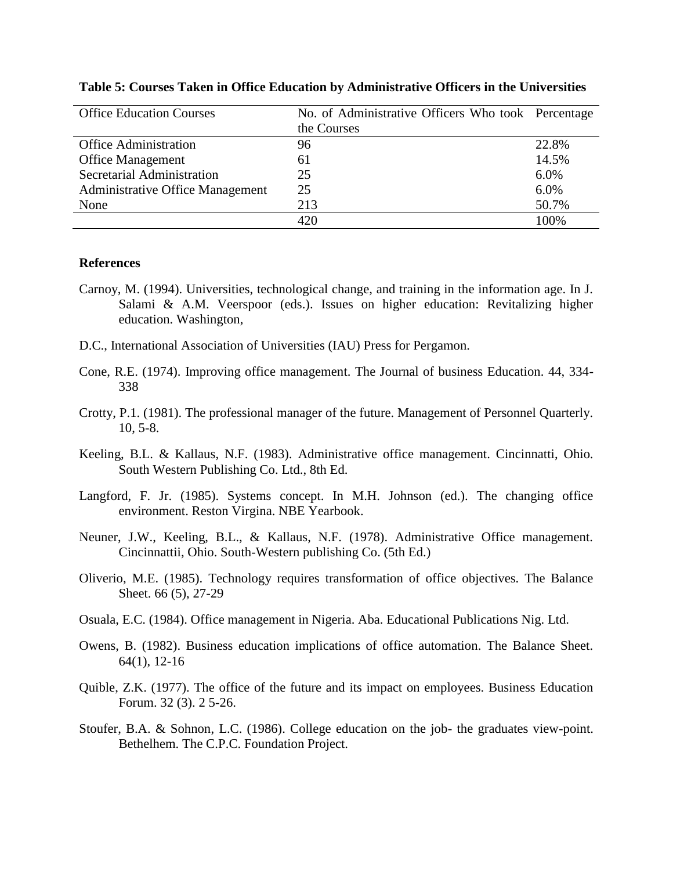| <b>Office Education Courses</b>  | No. of Administrative Officers Who took Percentage |       |
|----------------------------------|----------------------------------------------------|-------|
|                                  | the Courses                                        |       |
| <b>Office Administration</b>     | 96                                                 | 22.8% |
| <b>Office Management</b>         | 61                                                 | 14.5% |
| Secretarial Administration       | 25                                                 | 6.0%  |
| Administrative Office Management | 25                                                 | 6.0%  |
| None                             | 213                                                | 50.7% |
|                                  | 420                                                | 100%  |

#### **Table 5: Courses Taken in Office Education by Administrative Officers in the Universities**

#### **References**

- Carnoy, M. (1994). Universities, technological change, and training in the information age. In J. Salami & A.M. Veerspoor (eds.). Issues on higher education: Revitalizing higher education. Washington,
- D.C., International Association of Universities (IAU) Press for Pergamon.
- Cone, R.E. (1974). Improving office management. The Journal of business Education. 44, 334- 338
- Crotty, P.1. (1981). The professional manager of the future. Management of Personnel Quarterly. 10, 5-8.
- Keeling, B.L. & Kallaus, N.F. (1983). Administrative office management. Cincinnatti, Ohio. South Western Publishing Co. Ltd., 8th Ed.
- Langford, F. Jr. (1985). Systems concept. In M.H. Johnson (ed.). The changing office environment. Reston Virgina. NBE Yearbook.
- Neuner, J.W., Keeling, B.L., & Kallaus, N.F. (1978). Administrative Office management. Cincinnattii, Ohio. South-Western publishing Co. (5th Ed.)
- Oliverio, M.E. (1985). Technology requires transformation of office objectives. The Balance Sheet. 66 (5), 27-29
- Osuala, E.C. (1984). Office management in Nigeria. Aba. Educational Publications Nig. Ltd.
- Owens, B. (1982). Business education implications of office automation. The Balance Sheet. 64(1), 12-16
- Quible, Z.K. (1977). The office of the future and its impact on employees. Business Education Forum. 32 (3). 2 5-26.
- Stoufer, B.A. & Sohnon, L.C. (1986). College education on the job- the graduates view-point. Bethelhem. The C.P.C. Foundation Project.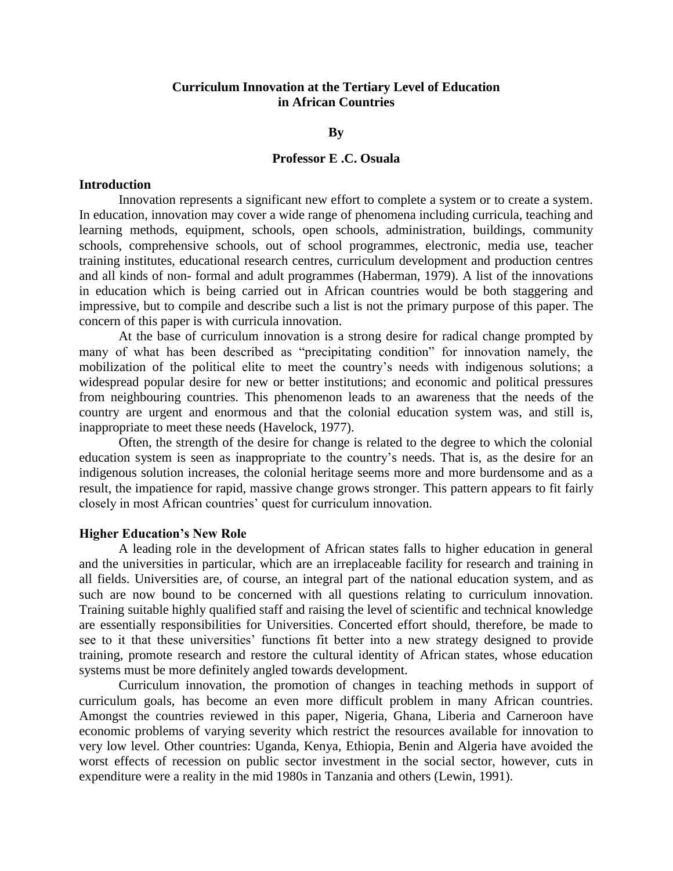## **Curriculum Innovation at the Tertiary Level of Education in African Countries**

### **By**

#### **Professor E .C. Osuala**

#### **Introduction**

Innovation represents a significant new effort to complete a system or to create a system. In education, innovation may cover a wide range of phenomena including curricula, teaching and learning methods, equipment, schools, open schools, administration, buildings, community schools, comprehensive schools, out of school programmes, electronic, media use, teacher training institutes, educational research centres, curriculum development and production centres and all kinds of non- formal and adult programmes (Haberman, 1979). A list of the innovations in education which is being carried out in African countries would be both staggering and impressive, but to compile and describe such a list is not the primary purpose of this paper. The concern of this paper is with curricula innovation.

At the base of curriculum innovation is a strong desire for radical change prompted by many of what has been described as "precipitating condition" for innovation namely, the mobilization of the political elite to meet the country's needs with indigenous solutions; a widespread popular desire for new or better institutions; and economic and political pressures from neighbouring countries. This phenomenon leads to an awareness that the needs of the country are urgent and enormous and that the colonial education system was, and still is, inappropriate to meet these needs (Havelock, 1977).

Often, the strength of the desire for change is related to the degree to which the colonial education system is seen as inappropriate to the country's needs. That is, as the desire for an indigenous solution increases, the colonial heritage seems more and more burdensome and as a result, the impatience for rapid, massive change grows stronger. This pattern appears to fit fairly closely in most African countries' quest for curriculum innovation.

### **Higher Education's New Role**

A leading role in the development of African states falls to higher education in general and the universities in particular, which are an irreplaceable facility for research and training in all fields. Universities are, of course, an integral part of the national education system, and as such are now bound to be concerned with all questions relating to curriculum innovation. Training suitable highly qualified staff and raising the level of scientific and technical knowledge are essentially responsibilities for Universities. Concerted effort should, therefore, be made to see to it that these universities' functions fit better into a new strategy designed to provide training, promote research and restore the cultural identity of African states, whose education systems must be more definitely angled towards development.

Curriculum innovation, the promotion of changes in teaching methods in support of curriculum goals, has become an even more difficult problem in many African countries. Amongst the countries reviewed in this paper, Nigeria, Ghana, Liberia and Carneroon have economic problems of varying severity which restrict the resources available for innovation to very low level. Other countries: Uganda, Kenya, Ethiopia, Benin and Algeria have avoided the worst effects of recession on public sector investment in the social sector, however, cuts in expenditure were a reality in the mid 1980s in Tanzania and others (Lewin, 1991).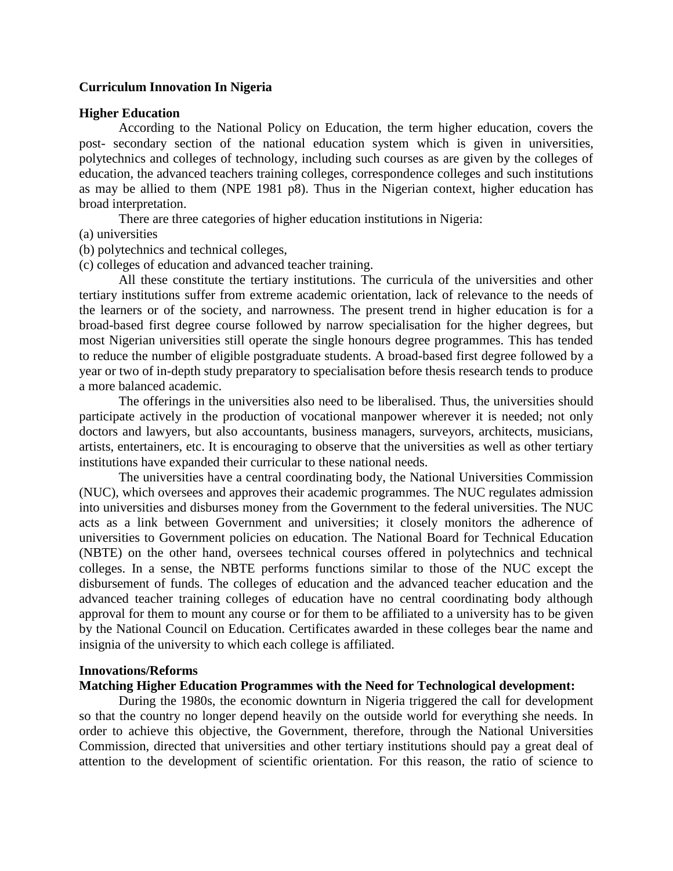### **Curriculum Innovation In Nigeria**

#### **Higher Education**

According to the National Policy on Education, the term higher education, covers the post- secondary section of the national education system which is given in universities, polytechnics and colleges of technology, including such courses as are given by the colleges of education, the advanced teachers training colleges, correspondence colleges and such institutions as may be allied to them (NPE 1981 p8). Thus in the Nigerian context, higher education has broad interpretation.

There are three categories of higher education institutions in Nigeria:

- (a) universities
- (b) polytechnics and technical colleges,
- (c) colleges of education and advanced teacher training.

All these constitute the tertiary institutions. The curricula of the universities and other tertiary institutions suffer from extreme academic orientation, lack of relevance to the needs of the learners or of the society, and narrowness. The present trend in higher education is for a broad-based first degree course followed by narrow specialisation for the higher degrees, but most Nigerian universities still operate the single honours degree programmes. This has tended to reduce the number of eligible postgraduate students. A broad-based first degree followed by a year or two of in-depth study preparatory to specialisation before thesis research tends to produce a more balanced academic.

The offerings in the universities also need to be liberalised. Thus, the universities should participate actively in the production of vocational manpower wherever it is needed; not only doctors and lawyers, but also accountants, business managers, surveyors, architects, musicians, artists, entertainers, etc. It is encouraging to observe that the universities as well as other tertiary institutions have expanded their curricular to these national needs.

The universities have a central coordinating body, the National Universities Commission (NUC), which oversees and approves their academic programmes. The NUC regulates admission into universities and disburses money from the Government to the federal universities. The NUC acts as a link between Government and universities; it closely monitors the adherence of universities to Government policies on education. The National Board for Technical Education (NBTE) on the other hand, oversees technical courses offered in polytechnics and technical colleges. In a sense, the NBTE performs functions similar to those of the NUC except the disbursement of funds. The colleges of education and the advanced teacher education and the advanced teacher training colleges of education have no central coordinating body although approval for them to mount any course or for them to be affiliated to a university has to be given by the National Council on Education. Certificates awarded in these colleges bear the name and insignia of the university to which each college is affiliated.

## **Innovations/Reforms**

# **Matching Higher Education Programmes with the Need for Technological development:**

During the 1980s, the economic downturn in Nigeria triggered the call for development so that the country no longer depend heavily on the outside world for everything she needs. In order to achieve this objective, the Government, therefore, through the National Universities Commission, directed that universities and other tertiary institutions should pay a great deal of attention to the development of scientific orientation. For this reason, the ratio of science to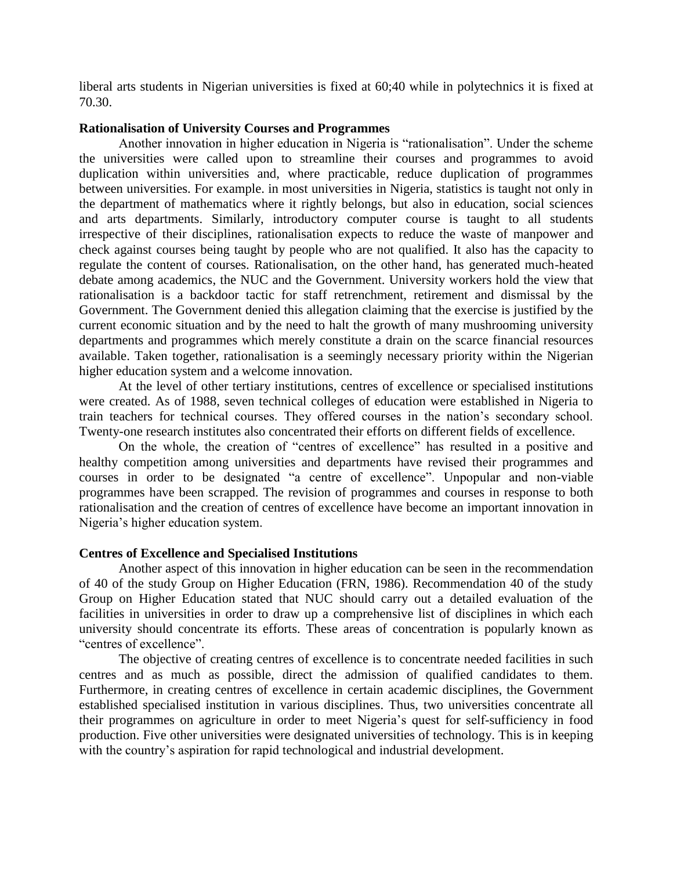liberal arts students in Nigerian universities is fixed at 60;40 while in polytechnics it is fixed at 70.30.

#### **Rationalisation of University Courses and Programmes**

Another innovation in higher education in Nigeria is "rationalisation". Under the scheme the universities were called upon to streamline their courses and programmes to avoid duplication within universities and, where practicable, reduce duplication of programmes between universities. For example. in most universities in Nigeria, statistics is taught not only in the department of mathematics where it rightly belongs, but also in education, social sciences and arts departments. Similarly, introductory computer course is taught to all students irrespective of their disciplines, rationalisation expects to reduce the waste of manpower and check against courses being taught by people who are not qualified. It also has the capacity to regulate the content of courses. Rationalisation, on the other hand, has generated much-heated debate among academics, the NUC and the Government. University workers hold the view that rationalisation is a backdoor tactic for staff retrenchment, retirement and dismissal by the Government. The Government denied this allegation claiming that the exercise is justified by the current economic situation and by the need to halt the growth of many mushrooming university departments and programmes which merely constitute a drain on the scarce financial resources available. Taken together, rationalisation is a seemingly necessary priority within the Nigerian higher education system and a welcome innovation.

At the level of other tertiary institutions, centres of excellence or specialised institutions were created. As of 1988, seven technical colleges of education were established in Nigeria to train teachers for technical courses. They offered courses in the nation's secondary school. Twenty-one research institutes also concentrated their efforts on different fields of excellence.

On the whole, the creation of "centres of excellence" has resulted in a positive and healthy competition among universities and departments have revised their programmes and courses in order to be designated "a centre of excellence". Unpopular and non-viable programmes have been scrapped. The revision of programmes and courses in response to both rationalisation and the creation of centres of excellence have become an important innovation in Nigeria's higher education system.

### **Centres of Excellence and Specialised Institutions**

Another aspect of this innovation in higher education can be seen in the recommendation of 40 of the study Group on Higher Education (FRN, 1986). Recommendation 40 of the study Group on Higher Education stated that NUC should carry out a detailed evaluation of the facilities in universities in order to draw up a comprehensive list of disciplines in which each university should concentrate its efforts. These areas of concentration is popularly known as "centres of excellence".

The objective of creating centres of excellence is to concentrate needed facilities in such centres and as much as possible, direct the admission of qualified candidates to them. Furthermore, in creating centres of excellence in certain academic disciplines, the Government established specialised institution in various disciplines. Thus, two universities concentrate all their programmes on agriculture in order to meet Nigeria's quest for self-sufficiency in food production. Five other universities were designated universities of technology. This is in keeping with the country's aspiration for rapid technological and industrial development.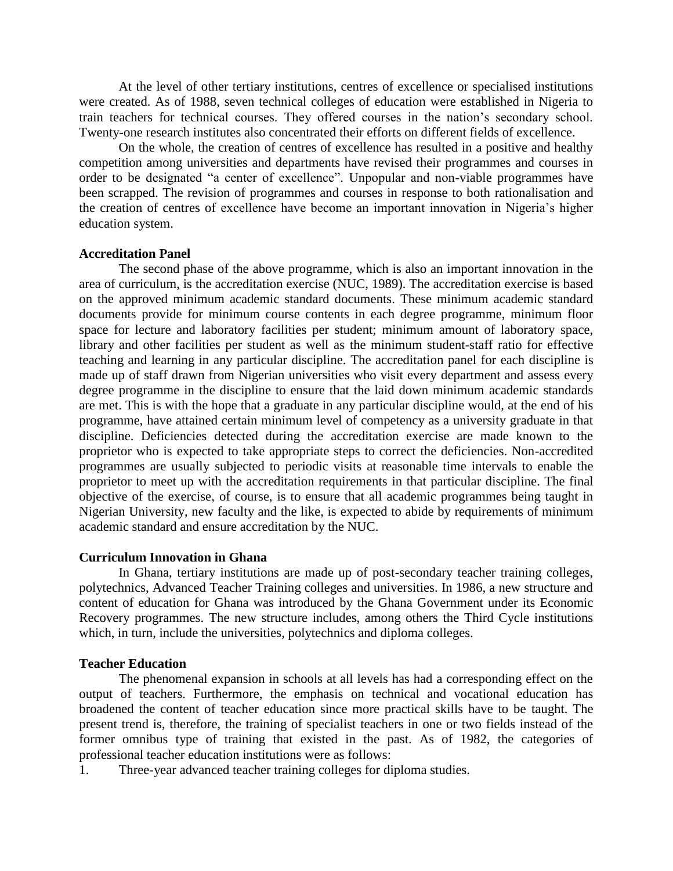At the level of other tertiary institutions, centres of excellence or specialised institutions were created. As of 1988, seven technical colleges of education were established in Nigeria to train teachers for technical courses. They offered courses in the nation's secondary school. Twenty-one research institutes also concentrated their efforts on different fields of excellence.

On the whole, the creation of centres of excellence has resulted in a positive and healthy competition among universities and departments have revised their programmes and courses in order to be designated "a center of excellence". Unpopular and non-viable programmes have been scrapped. The revision of programmes and courses in response to both rationalisation and the creation of centres of excellence have become an important innovation in Nigeria's higher education system.

## **Accreditation Panel**

The second phase of the above programme, which is also an important innovation in the area of curriculum, is the accreditation exercise (NUC, 1989). The accreditation exercise is based on the approved minimum academic standard documents. These minimum academic standard documents provide for minimum course contents in each degree programme, minimum floor space for lecture and laboratory facilities per student; minimum amount of laboratory space, library and other facilities per student as well as the minimum student-staff ratio for effective teaching and learning in any particular discipline. The accreditation panel for each discipline is made up of staff drawn from Nigerian universities who visit every department and assess every degree programme in the discipline to ensure that the laid down minimum academic standards are met. This is with the hope that a graduate in any particular discipline would, at the end of his programme, have attained certain minimum level of competency as a university graduate in that discipline. Deficiencies detected during the accreditation exercise are made known to the proprietor who is expected to take appropriate steps to correct the deficiencies. Non-accredited programmes are usually subjected to periodic visits at reasonable time intervals to enable the proprietor to meet up with the accreditation requirements in that particular discipline. The final objective of the exercise, of course, is to ensure that all academic programmes being taught in Nigerian University, new faculty and the like, is expected to abide by requirements of minimum academic standard and ensure accreditation by the NUC.

### **Curriculum Innovation in Ghana**

In Ghana, tertiary institutions are made up of post-secondary teacher training colleges, polytechnics, Advanced Teacher Training colleges and universities. In 1986, a new structure and content of education for Ghana was introduced by the Ghana Government under its Economic Recovery programmes. The new structure includes, among others the Third Cycle institutions which, in turn, include the universities, polytechnics and diploma colleges.

#### **Teacher Education**

The phenomenal expansion in schools at all levels has had a corresponding effect on the output of teachers. Furthermore, the emphasis on technical and vocational education has broadened the content of teacher education since more practical skills have to be taught. The present trend is, therefore, the training of specialist teachers in one or two fields instead of the former omnibus type of training that existed in the past. As of 1982, the categories of professional teacher education institutions were as follows:

1. Three-year advanced teacher training colleges for diploma studies.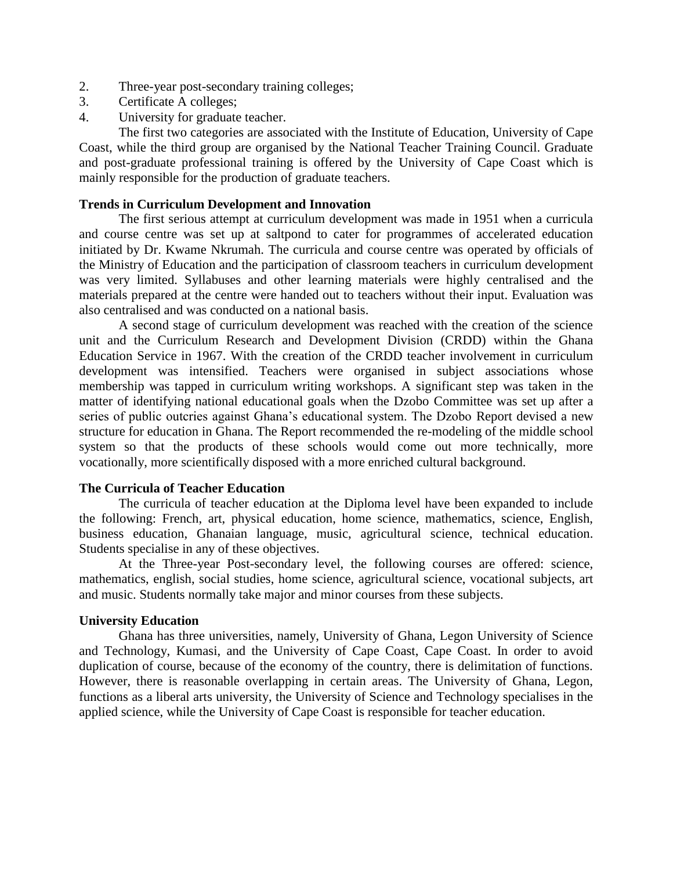- 2. Three-year post-secondary training colleges;
- 3. Certificate A colleges;
- 4. University for graduate teacher.

The first two categories are associated with the Institute of Education, University of Cape Coast, while the third group are organised by the National Teacher Training Council. Graduate and post-graduate professional training is offered by the University of Cape Coast which is mainly responsible for the production of graduate teachers.

## **Trends in Curriculum Development and Innovation**

The first serious attempt at curriculum development was made in 1951 when a curricula and course centre was set up at saltpond to cater for programmes of accelerated education initiated by Dr. Kwame Nkrumah. The curricula and course centre was operated by officials of the Ministry of Education and the participation of classroom teachers in curriculum development was very limited. Syllabuses and other learning materials were highly centralised and the materials prepared at the centre were handed out to teachers without their input. Evaluation was also centralised and was conducted on a national basis.

A second stage of curriculum development was reached with the creation of the science unit and the Curriculum Research and Development Division (CRDD) within the Ghana Education Service in 1967. With the creation of the CRDD teacher involvement in curriculum development was intensified. Teachers were organised in subject associations whose membership was tapped in curriculum writing workshops. A significant step was taken in the matter of identifying national educational goals when the Dzobo Committee was set up after a series of public outcries against Ghana's educational system. The Dzobo Report devised a new structure for education in Ghana. The Report recommended the re-modeling of the middle school system so that the products of these schools would come out more technically, more vocationally, more scientifically disposed with a more enriched cultural background.

### **The Curricula of Teacher Education**

The curricula of teacher education at the Diploma level have been expanded to include the following: French, art, physical education, home science, mathematics, science, English, business education, Ghanaian language, music, agricultural science, technical education. Students specialise in any of these objectives.

At the Three-year Post-secondary level, the following courses are offered: science, mathematics, english, social studies, home science, agricultural science, vocational subjects, art and music. Students normally take major and minor courses from these subjects.

### **University Education**

Ghana has three universities, namely, University of Ghana, Legon University of Science and Technology, Kumasi, and the University of Cape Coast, Cape Coast. In order to avoid duplication of course, because of the economy of the country, there is delimitation of functions. However, there is reasonable overlapping in certain areas. The University of Ghana, Legon, functions as a liberal arts university, the University of Science and Technology specialises in the applied science, while the University of Cape Coast is responsible for teacher education.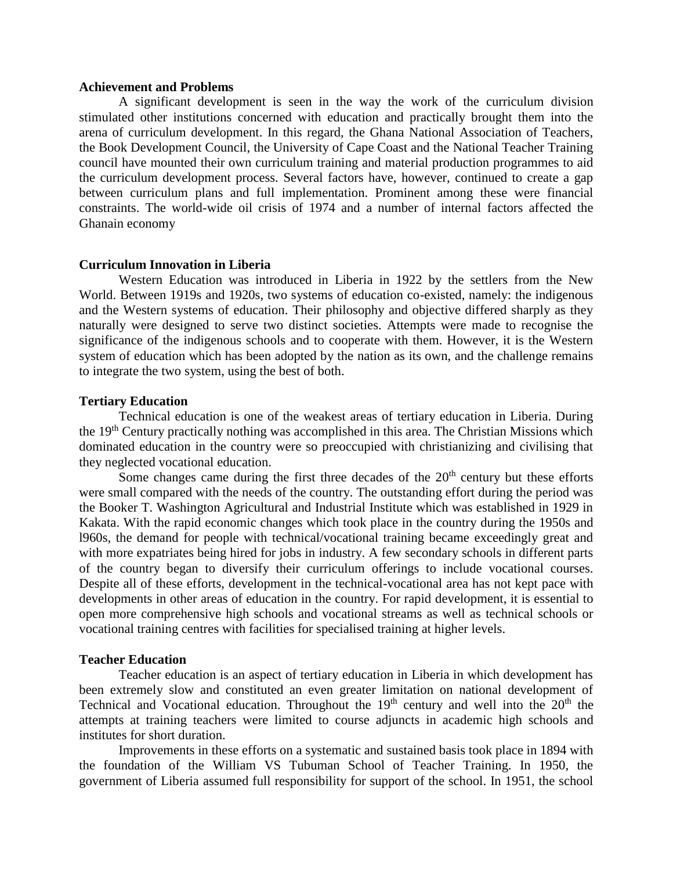### **Achievement and Problems**

A significant development is seen in the way the work of the curriculum division stimulated other institutions concerned with education and practically brought them into the arena of curriculum development. In this regard, the Ghana National Association of Teachers, the Book Development Council, the University of Cape Coast and the National Teacher Training council have mounted their own curriculum training and material production programmes to aid the curriculum development process. Several factors have, however, continued to create a gap between curriculum plans and full implementation. Prominent among these were financial constraints. The world-wide oil crisis of 1974 and a number of internal factors affected the Ghanain economy

#### **Curriculum Innovation in Liberia**

Western Education was introduced in Liberia in 1922 by the settlers from the New World. Between 1919s and 1920s, two systems of education co-existed, namely: the indigenous and the Western systems of education. Their philosophy and objective differed sharply as they naturally were designed to serve two distinct societies. Attempts were made to recognise the significance of the indigenous schools and to cooperate with them. However, it is the Western system of education which has been adopted by the nation as its own, and the challenge remains to integrate the two system, using the best of both.

### **Tertiary Education**

Technical education is one of the weakest areas of tertiary education in Liberia. During the 19<sup>th</sup> Century practically nothing was accomplished in this area. The Christian Missions which dominated education in the country were so preoccupied with christianizing and civilising that they neglected vocational education.

Some changes came during the first three decades of the  $20<sup>th</sup>$  century but these efforts were small compared with the needs of the country. The outstanding effort during the period was the Booker T. Washington Agricultural and Industrial Institute which was established in 1929 in Kakata. With the rapid economic changes which took place in the country during the 1950s and l960s, the demand for people with technical/vocational training became exceedingly great and with more expatriates being hired for jobs in industry. A few secondary schools in different parts of the country began to diversify their curriculum offerings to include vocational courses. Despite all of these efforts, development in the technical-vocational area has not kept pace with developments in other areas of education in the country. For rapid development, it is essential to open more comprehensive high schools and vocational streams as well as technical schools or vocational training centres with facilities for specialised training at higher levels.

#### **Teacher Education**

Teacher education is an aspect of tertiary education in Liberia in which development has been extremely slow and constituted an even greater limitation on national development of Technical and Vocational education. Throughout the  $19<sup>th</sup>$  century and well into the  $20<sup>th</sup>$  the attempts at training teachers were limited to course adjuncts in academic high schools and institutes for short duration.

Improvements in these efforts on a systematic and sustained basis took place in 1894 with the foundation of the William VS Tubuman School of Teacher Training. In 1950, the government of Liberia assumed full responsibility for support of the school. In 1951, the school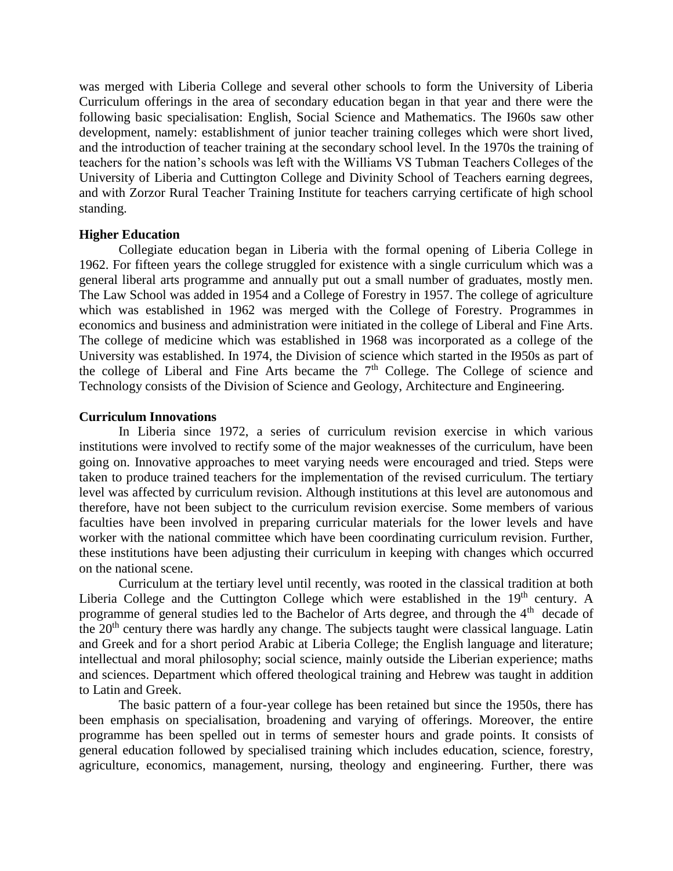was merged with Liberia College and several other schools to form the University of Liberia Curriculum offerings in the area of secondary education began in that year and there were the following basic specialisation: English, Social Science and Mathematics. The I960s saw other development, namely: establishment of junior teacher training colleges which were short lived, and the introduction of teacher training at the secondary school level. In the 1970s the training of teachers for the nation's schools was left with the Williams VS Tubman Teachers Colleges of the University of Liberia and Cuttington College and Divinity School of Teachers earning degrees, and with Zorzor Rural Teacher Training Institute for teachers carrying certificate of high school standing.

### **Higher Education**

Collegiate education began in Liberia with the formal opening of Liberia College in 1962. For fifteen years the college struggled for existence with a single curriculum which was a general liberal arts programme and annually put out a small number of graduates, mostly men. The Law School was added in 1954 and a College of Forestry in 1957. The college of agriculture which was established in 1962 was merged with the College of Forestry. Programmes in economics and business and administration were initiated in the college of Liberal and Fine Arts. The college of medicine which was established in 1968 was incorporated as a college of the University was established. In 1974, the Division of science which started in the I950s as part of the college of Liberal and Fine Arts became the  $7<sup>th</sup>$  College. The College of science and Technology consists of the Division of Science and Geology, Architecture and Engineering.

# **Curriculum Innovations**

In Liberia since 1972, a series of curriculum revision exercise in which various institutions were involved to rectify some of the major weaknesses of the curriculum, have been going on. Innovative approaches to meet varying needs were encouraged and tried. Steps were taken to produce trained teachers for the implementation of the revised curriculum. The tertiary level was affected by curriculum revision. Although institutions at this level are autonomous and therefore, have not been subject to the curriculum revision exercise. Some members of various faculties have been involved in preparing curricular materials for the lower levels and have worker with the national committee which have been coordinating curriculum revision. Further, these institutions have been adjusting their curriculum in keeping with changes which occurred on the national scene.

Curriculum at the tertiary level until recently, was rooted in the classical tradition at both Liberia College and the Cuttington College which were established in the  $19<sup>th</sup>$  century. A programme of general studies led to the Bachelor of Arts degree, and through the 4<sup>th</sup> decade of the  $20<sup>th</sup>$  century there was hardly any change. The subjects taught were classical language. Latin and Greek and for a short period Arabic at Liberia College; the English language and literature; intellectual and moral philosophy; social science, mainly outside the Liberian experience; maths and sciences. Department which offered theological training and Hebrew was taught in addition to Latin and Greek.

The basic pattern of a four-year college has been retained but since the 1950s, there has been emphasis on specialisation, broadening and varying of offerings. Moreover, the entire programme has been spelled out in terms of semester hours and grade points. It consists of general education followed by specialised training which includes education, science, forestry, agriculture, economics, management, nursing, theology and engineering. Further, there was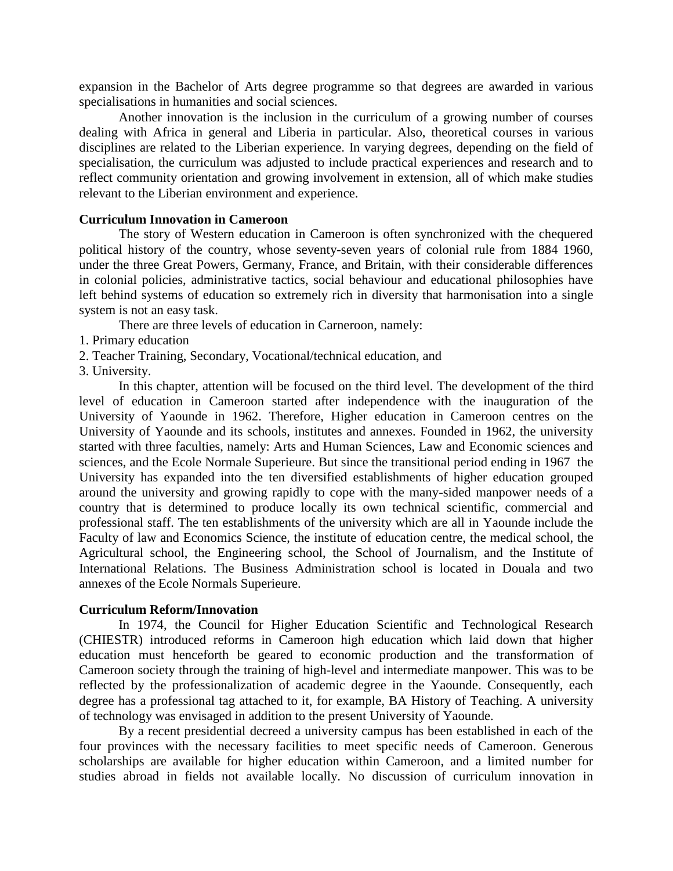expansion in the Bachelor of Arts degree programme so that degrees are awarded in various specialisations in humanities and social sciences.

Another innovation is the inclusion in the curriculum of a growing number of courses dealing with Africa in general and Liberia in particular. Also, theoretical courses in various disciplines are related to the Liberian experience. In varying degrees, depending on the field of specialisation, the curriculum was adjusted to include practical experiences and research and to reflect community orientation and growing involvement in extension, all of which make studies relevant to the Liberian environment and experience.

### **Curriculum Innovation in Cameroon**

The story of Western education in Cameroon is often synchronized with the chequered political history of the country, whose seventy-seven years of colonial rule from 1884 1960, under the three Great Powers, Germany, France, and Britain, with their considerable differences in colonial policies, administrative tactics, social behaviour and educational philosophies have left behind systems of education so extremely rich in diversity that harmonisation into a single system is not an easy task.

There are three levels of education in Carneroon, namely:

- 1. Primary education
- 2. Teacher Training, Secondary, Vocational/technical education, and
- 3. University.

In this chapter, attention will be focused on the third level. The development of the third level of education in Cameroon started after independence with the inauguration of the University of Yaounde in 1962. Therefore, Higher education in Cameroon centres on the University of Yaounde and its schools, institutes and annexes. Founded in 1962, the university started with three faculties, namely: Arts and Human Sciences, Law and Economic sciences and sciences, and the Ecole Normale Superieure. But since the transitional period ending in 1967 the University has expanded into the ten diversified establishments of higher education grouped around the university and growing rapidly to cope with the many-sided manpower needs of a country that is determined to produce locally its own technical scientific, commercial and professional staff. The ten establishments of the university which are all in Yaounde include the Faculty of law and Economics Science, the institute of education centre, the medical school, the Agricultural school, the Engineering school, the School of Journalism, and the Institute of International Relations. The Business Administration school is located in Douala and two annexes of the Ecole Normals Superieure.

### **Curriculum Reform/Innovation**

In 1974, the Council for Higher Education Scientific and Technological Research (CHIESTR) introduced reforms in Cameroon high education which laid down that higher education must henceforth be geared to economic production and the transformation of Cameroon society through the training of high-level and intermediate manpower. This was to be reflected by the professionalization of academic degree in the Yaounde. Consequently, each degree has a professional tag attached to it, for example, BA History of Teaching. A university of technology was envisaged in addition to the present University of Yaounde.

By a recent presidential decreed a university campus has been established in each of the four provinces with the necessary facilities to meet specific needs of Cameroon. Generous scholarships are available for higher education within Cameroon, and a limited number for studies abroad in fields not available locally. No discussion of curriculum innovation in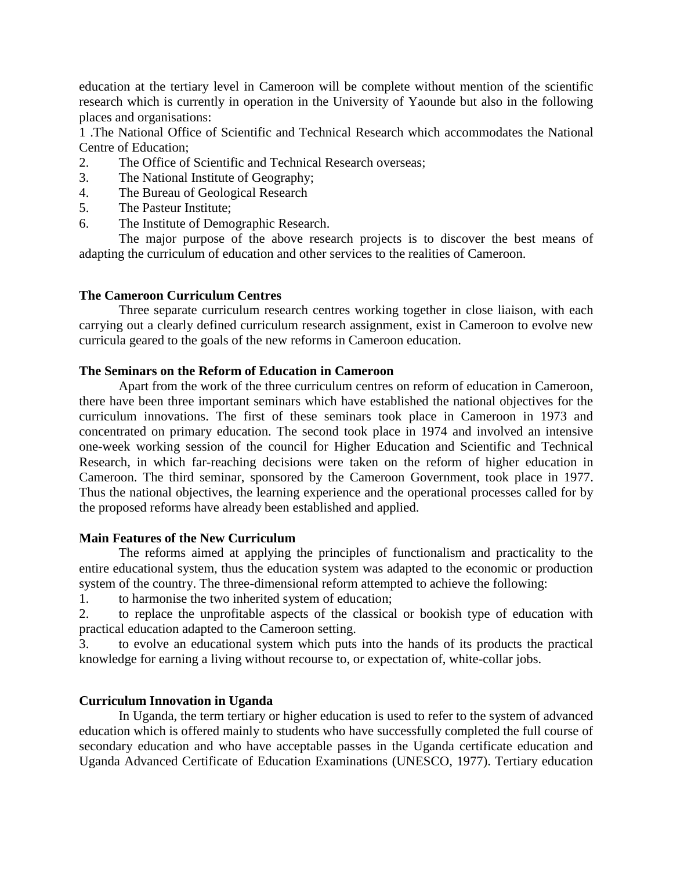education at the tertiary level in Cameroon will be complete without mention of the scientific research which is currently in operation in the University of Yaounde but also in the following places and organisations:

1 .The National Office of Scientific and Technical Research which accommodates the National Centre of Education;

- 2. The Office of Scientific and Technical Research overseas;
- 3. The National Institute of Geography;
- 4. The Bureau of Geological Research
- 5. The Pasteur Institute;
- 6. The Institute of Demographic Research.

The major purpose of the above research projects is to discover the best means of adapting the curriculum of education and other services to the realities of Cameroon.

# **The Cameroon Curriculum Centres**

Three separate curriculum research centres working together in close liaison, with each carrying out a clearly defined curriculum research assignment, exist in Cameroon to evolve new curricula geared to the goals of the new reforms in Cameroon education.

# **The Seminars on the Reform of Education in Cameroon**

Apart from the work of the three curriculum centres on reform of education in Cameroon, there have been three important seminars which have established the national objectives for the curriculum innovations. The first of these seminars took place in Cameroon in 1973 and concentrated on primary education. The second took place in 1974 and involved an intensive one-week working session of the council for Higher Education and Scientific and Technical Research, in which far-reaching decisions were taken on the reform of higher education in Cameroon. The third seminar, sponsored by the Cameroon Government, took place in 1977. Thus the national objectives, the learning experience and the operational processes called for by the proposed reforms have already been established and applied.

# **Main Features of the New Curriculum**

The reforms aimed at applying the principles of functionalism and practicality to the entire educational system, thus the education system was adapted to the economic or production system of the country. The three-dimensional reform attempted to achieve the following:

1. to harmonise the two inherited system of education;

2. to replace the unprofitable aspects of the classical or bookish type of education with practical education adapted to the Cameroon setting.

3. to evolve an educational system which puts into the hands of its products the practical knowledge for earning a living without recourse to, or expectation of, white-collar jobs.

# **Curriculum Innovation in Uganda**

In Uganda, the term tertiary or higher education is used to refer to the system of advanced education which is offered mainly to students who have successfully completed the full course of secondary education and who have acceptable passes in the Uganda certificate education and Uganda Advanced Certificate of Education Examinations (UNESCO, 1977). Tertiary education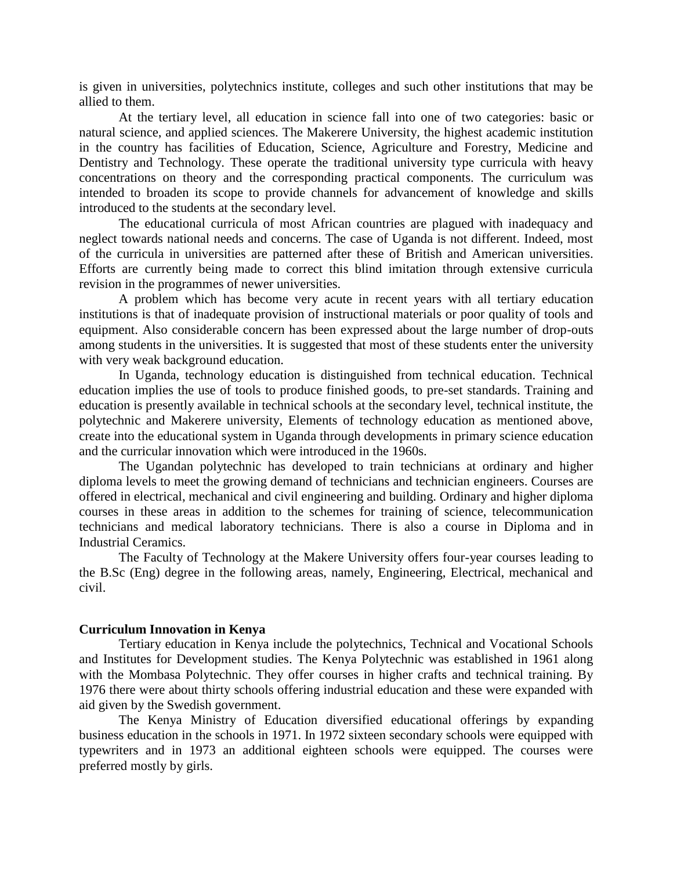is given in universities, polytechnics institute, colleges and such other institutions that may be allied to them.

At the tertiary level, all education in science fall into one of two categories: basic or natural science, and applied sciences. The Makerere University, the highest academic institution in the country has facilities of Education, Science, Agriculture and Forestry, Medicine and Dentistry and Technology. These operate the traditional university type curricula with heavy concentrations on theory and the corresponding practical components. The curriculum was intended to broaden its scope to provide channels for advancement of knowledge and skills introduced to the students at the secondary level.

The educational curricula of most African countries are plagued with inadequacy and neglect towards national needs and concerns. The case of Uganda is not different. Indeed, most of the curricula in universities are patterned after these of British and American universities. Efforts are currently being made to correct this blind imitation through extensive curricula revision in the programmes of newer universities.

A problem which has become very acute in recent years with all tertiary education institutions is that of inadequate provision of instructional materials or poor quality of tools and equipment. Also considerable concern has been expressed about the large number of drop-outs among students in the universities. It is suggested that most of these students enter the university with very weak background education.

In Uganda, technology education is distinguished from technical education. Technical education implies the use of tools to produce finished goods, to pre-set standards. Training and education is presently available in technical schools at the secondary level, technical institute, the polytechnic and Makerere university, Elements of technology education as mentioned above, create into the educational system in Uganda through developments in primary science education and the curricular innovation which were introduced in the 1960s.

The Ugandan polytechnic has developed to train technicians at ordinary and higher diploma levels to meet the growing demand of technicians and technician engineers. Courses are offered in electrical, mechanical and civil engineering and building. Ordinary and higher diploma courses in these areas in addition to the schemes for training of science, telecommunication technicians and medical laboratory technicians. There is also a course in Diploma and in Industrial Ceramics.

The Faculty of Technology at the Makere University offers four-year courses leading to the B.Sc (Eng) degree in the following areas, namely, Engineering, Electrical, mechanical and civil.

### **Curriculum Innovation in Kenya**

Tertiary education in Kenya include the polytechnics, Technical and Vocational Schools and Institutes for Development studies. The Kenya Polytechnic was established in 1961 along with the Mombasa Polytechnic. They offer courses in higher crafts and technical training. By 1976 there were about thirty schools offering industrial education and these were expanded with aid given by the Swedish government.

The Kenya Ministry of Education diversified educational offerings by expanding business education in the schools in 1971. In 1972 sixteen secondary schools were equipped with typewriters and in 1973 an additional eighteen schools were equipped. The courses were preferred mostly by girls.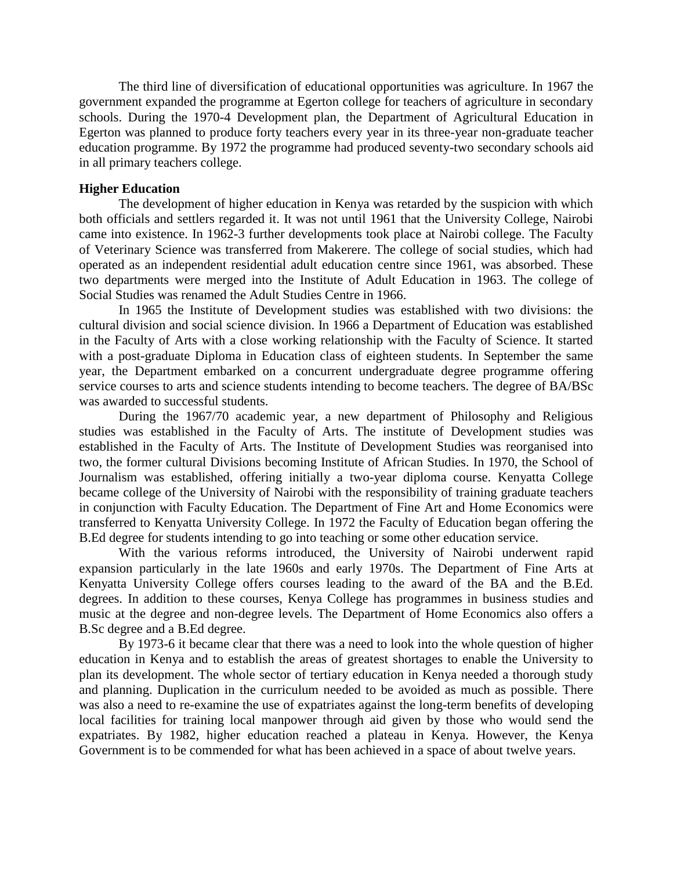The third line of diversification of educational opportunities was agriculture. In 1967 the government expanded the programme at Egerton college for teachers of agriculture in secondary schools. During the 1970-4 Development plan, the Department of Agricultural Education in Egerton was planned to produce forty teachers every year in its three-year non-graduate teacher education programme. By 1972 the programme had produced seventy-two secondary schools aid in all primary teachers college.

## **Higher Education**

The development of higher education in Kenya was retarded by the suspicion with which both officials and settlers regarded it. It was not until 1961 that the University College, Nairobi came into existence. In 1962-3 further developments took place at Nairobi college. The Faculty of Veterinary Science was transferred from Makerere. The college of social studies, which had operated as an independent residential adult education centre since 1961, was absorbed. These two departments were merged into the Institute of Adult Education in 1963. The college of Social Studies was renamed the Adult Studies Centre in 1966.

In 1965 the Institute of Development studies was established with two divisions: the cultural division and social science division. In 1966 a Department of Education was established in the Faculty of Arts with a close working relationship with the Faculty of Science. It started with a post-graduate Diploma in Education class of eighteen students. In September the same year, the Department embarked on a concurrent undergraduate degree programme offering service courses to arts and science students intending to become teachers. The degree of BA/BSc was awarded to successful students.

During the 1967/70 academic year, a new department of Philosophy and Religious studies was established in the Faculty of Arts. The institute of Development studies was established in the Faculty of Arts. The Institute of Development Studies was reorganised into two, the former cultural Divisions becoming Institute of African Studies. In 1970, the School of Journalism was established, offering initially a two-year diploma course. Kenyatta College became college of the University of Nairobi with the responsibility of training graduate teachers in conjunction with Faculty Education. The Department of Fine Art and Home Economics were transferred to Kenyatta University College. In 1972 the Faculty of Education began offering the B.Ed degree for students intending to go into teaching or some other education service.

With the various reforms introduced, the University of Nairobi underwent rapid expansion particularly in the late 1960s and early 1970s. The Department of Fine Arts at Kenyatta University College offers courses leading to the award of the BA and the B.Ed. degrees. In addition to these courses, Kenya College has programmes in business studies and music at the degree and non-degree levels. The Department of Home Economics also offers a B.Sc degree and a B.Ed degree.

By 1973-6 it became clear that there was a need to look into the whole question of higher education in Kenya and to establish the areas of greatest shortages to enable the University to plan its development. The whole sector of tertiary education in Kenya needed a thorough study and planning. Duplication in the curriculum needed to be avoided as much as possible. There was also a need to re-examine the use of expatriates against the long-term benefits of developing local facilities for training local manpower through aid given by those who would send the expatriates. By 1982, higher education reached a plateau in Kenya. However, the Kenya Government is to be commended for what has been achieved in a space of about twelve years.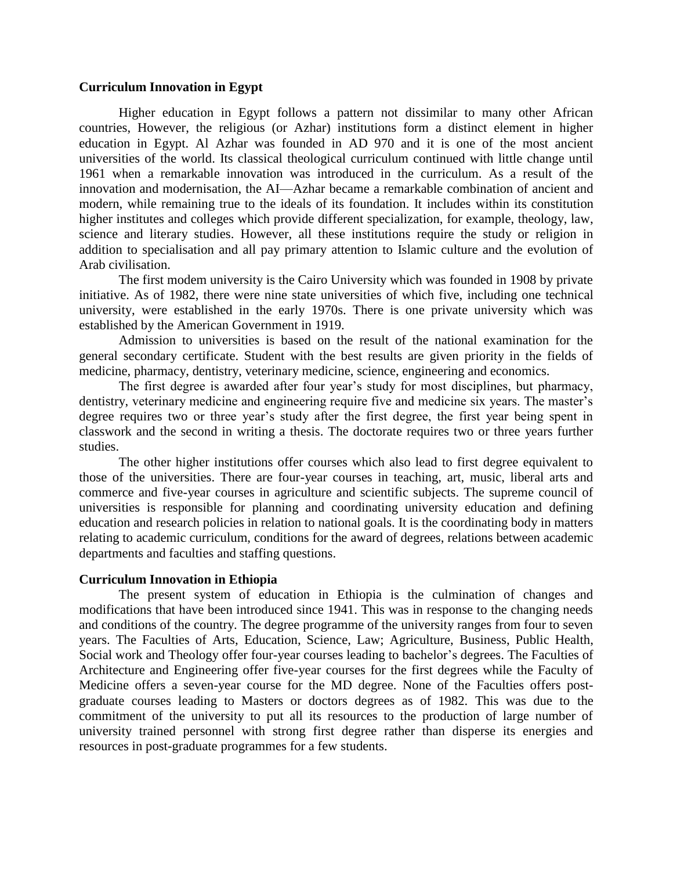### **Curriculum Innovation in Egypt**

Higher education in Egypt follows a pattern not dissimilar to many other African countries, However, the religious (or Azhar) institutions form a distinct element in higher education in Egypt. Al Azhar was founded in AD 970 and it is one of the most ancient universities of the world. Its classical theological curriculum continued with little change until 1961 when a remarkable innovation was introduced in the curriculum. As a result of the innovation and modernisation, the AI—Azhar became a remarkable combination of ancient and modern, while remaining true to the ideals of its foundation. It includes within its constitution higher institutes and colleges which provide different specialization, for example, theology, law, science and literary studies. However, all these institutions require the study or religion in addition to specialisation and all pay primary attention to Islamic culture and the evolution of Arab civilisation.

The first modem university is the Cairo University which was founded in 1908 by private initiative. As of 1982, there were nine state universities of which five, including one technical university, were established in the early 1970s. There is one private university which was established by the American Government in 1919.

Admission to universities is based on the result of the national examination for the general secondary certificate. Student with the best results are given priority in the fields of medicine, pharmacy, dentistry, veterinary medicine, science, engineering and economics.

The first degree is awarded after four year's study for most disciplines, but pharmacy, dentistry, veterinary medicine and engineering require five and medicine six years. The master's degree requires two or three year's study after the first degree, the first year being spent in classwork and the second in writing a thesis. The doctorate requires two or three years further studies.

The other higher institutions offer courses which also lead to first degree equivalent to those of the universities. There are four-year courses in teaching, art, music, liberal arts and commerce and five-year courses in agriculture and scientific subjects. The supreme council of universities is responsible for planning and coordinating university education and defining education and research policies in relation to national goals. It is the coordinating body in matters relating to academic curriculum, conditions for the award of degrees, relations between academic departments and faculties and staffing questions.

#### **Curriculum Innovation in Ethiopia**

The present system of education in Ethiopia is the culmination of changes and modifications that have been introduced since 1941. This was in response to the changing needs and conditions of the country. The degree programme of the university ranges from four to seven years. The Faculties of Arts, Education, Science, Law; Agriculture, Business, Public Health, Social work and Theology offer four-year courses leading to bachelor's degrees. The Faculties of Architecture and Engineering offer five-year courses for the first degrees while the Faculty of Medicine offers a seven-year course for the MD degree. None of the Faculties offers postgraduate courses leading to Masters or doctors degrees as of 1982. This was due to the commitment of the university to put all its resources to the production of large number of university trained personnel with strong first degree rather than disperse its energies and resources in post-graduate programmes for a few students.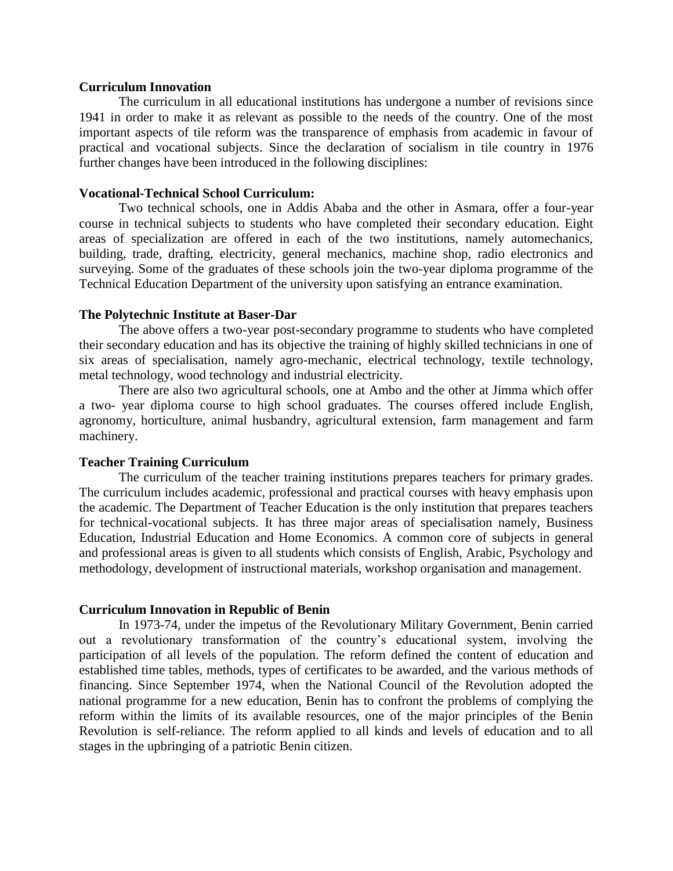### **Curriculum Innovation**

The curriculum in all educational institutions has undergone a number of revisions since 1941 in order to make it as relevant as possible to the needs of the country. One of the most important aspects of tile reform was the transparence of emphasis from academic in favour of practical and vocational subjects. Since the declaration of socialism in tile country in 1976 further changes have been introduced in the following disciplines:

## **Vocational-Technical School Curriculum:**

Two technical schools, one in Addis Ababa and the other in Asmara, offer a four-year course in technical subjects to students who have completed their secondary education. Eight areas of specialization are offered in each of the two institutions, namely automechanics, building, trade, drafting, electricity, general mechanics, machine shop, radio electronics and surveying. Some of the graduates of these schools join the two-year diploma programme of the Technical Education Department of the university upon satisfying an entrance examination.

### **The Polytechnic Institute at Baser-Dar**

The above offers a two-year post-secondary programme to students who have completed their secondary education and has its objective the training of highly skilled technicians in one of six areas of specialisation, namely agro-mechanic, electrical technology, textile technology, metal technology, wood technology and industrial electricity.

There are also two agricultural schools, one at Ambo and the other at Jimma which offer a two- year diploma course to high school graduates. The courses offered include English, agronomy, horticulture, animal husbandry, agricultural extension, farm management and farm machinery.

### **Teacher Training Curriculum**

The curriculum of the teacher training institutions prepares teachers for primary grades. The curriculum includes academic, professional and practical courses with heavy emphasis upon the academic. The Department of Teacher Education is the only institution that prepares teachers for technical-vocational subjects. It has three major areas of specialisation namely, Business Education, Industrial Education and Home Economics. A common core of subjects in general and professional areas is given to all students which consists of English, Arabic, Psychology and methodology, development of instructional materials, workshop organisation and management.

#### **Curriculum Innovation in Republic of Benin**

In 1973-74, under the impetus of the Revolutionary Military Government, Benin carried out a revolutionary transformation of the country's educational system, involving the participation of all levels of the population. The reform defined the content of education and established time tables, methods, types of certificates to be awarded, and the various methods of financing. Since September 1974, when the National Council of the Revolution adopted the national programme for a new education, Benin has to confront the problems of complying the reform within the limits of its available resources, one of the major principles of the Benin Revolution is self-reliance. The reform applied to all kinds and levels of education and to all stages in the upbringing of a patriotic Benin citizen.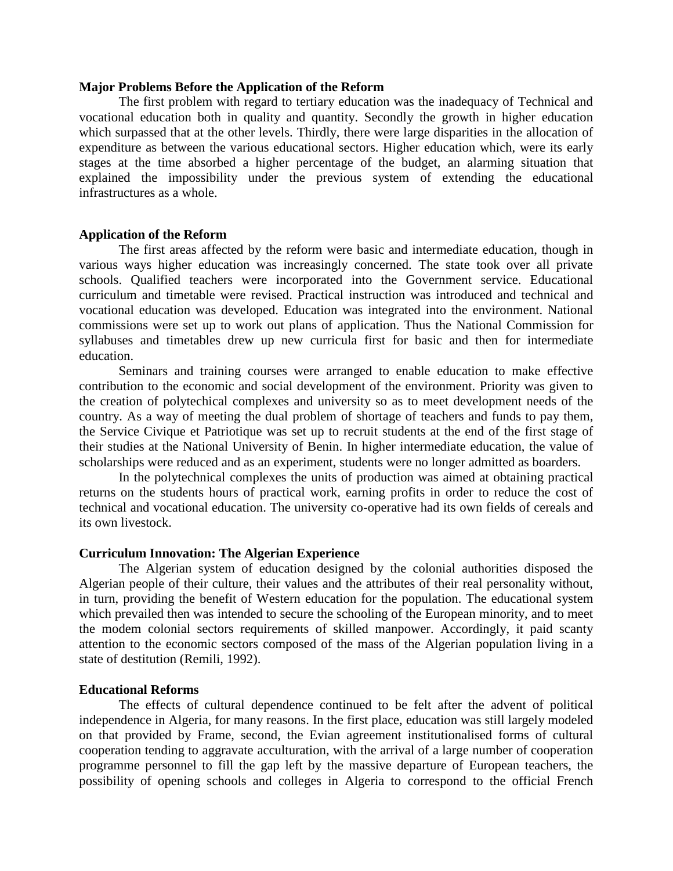### **Major Problems Before the Application of the Reform**

The first problem with regard to tertiary education was the inadequacy of Technical and vocational education both in quality and quantity. Secondly the growth in higher education which surpassed that at the other levels. Thirdly, there were large disparities in the allocation of expenditure as between the various educational sectors. Higher education which, were its early stages at the time absorbed a higher percentage of the budget, an alarming situation that explained the impossibility under the previous system of extending the educational infrastructures as a whole.

### **Application of the Reform**

The first areas affected by the reform were basic and intermediate education, though in various ways higher education was increasingly concerned. The state took over all private schools. Qualified teachers were incorporated into the Government service. Educational curriculum and timetable were revised. Practical instruction was introduced and technical and vocational education was developed. Education was integrated into the environment. National commissions were set up to work out plans of application. Thus the National Commission for syllabuses and timetables drew up new curricula first for basic and then for intermediate education.

Seminars and training courses were arranged to enable education to make effective contribution to the economic and social development of the environment. Priority was given to the creation of polytechical complexes and university so as to meet development needs of the country. As a way of meeting the dual problem of shortage of teachers and funds to pay them, the Service Civique et Patriotique was set up to recruit students at the end of the first stage of their studies at the National University of Benin. In higher intermediate education, the value of scholarships were reduced and as an experiment, students were no longer admitted as boarders.

In the polytechnical complexes the units of production was aimed at obtaining practical returns on the students hours of practical work, earning profits in order to reduce the cost of technical and vocational education. The university co-operative had its own fields of cereals and its own livestock.

### **Curriculum Innovation: The Algerian Experience**

The Algerian system of education designed by the colonial authorities disposed the Algerian people of their culture, their values and the attributes of their real personality without, in turn, providing the benefit of Western education for the population. The educational system which prevailed then was intended to secure the schooling of the European minority, and to meet the modem colonial sectors requirements of skilled manpower. Accordingly, it paid scanty attention to the economic sectors composed of the mass of the Algerian population living in a state of destitution (Remili, 1992).

#### **Educational Reforms**

The effects of cultural dependence continued to be felt after the advent of political independence in Algeria, for many reasons. In the first place, education was still largely modeled on that provided by Frame, second, the Evian agreement institutionalised forms of cultural cooperation tending to aggravate acculturation, with the arrival of a large number of cooperation programme personnel to fill the gap left by the massive departure of European teachers, the possibility of opening schools and colleges in Algeria to correspond to the official French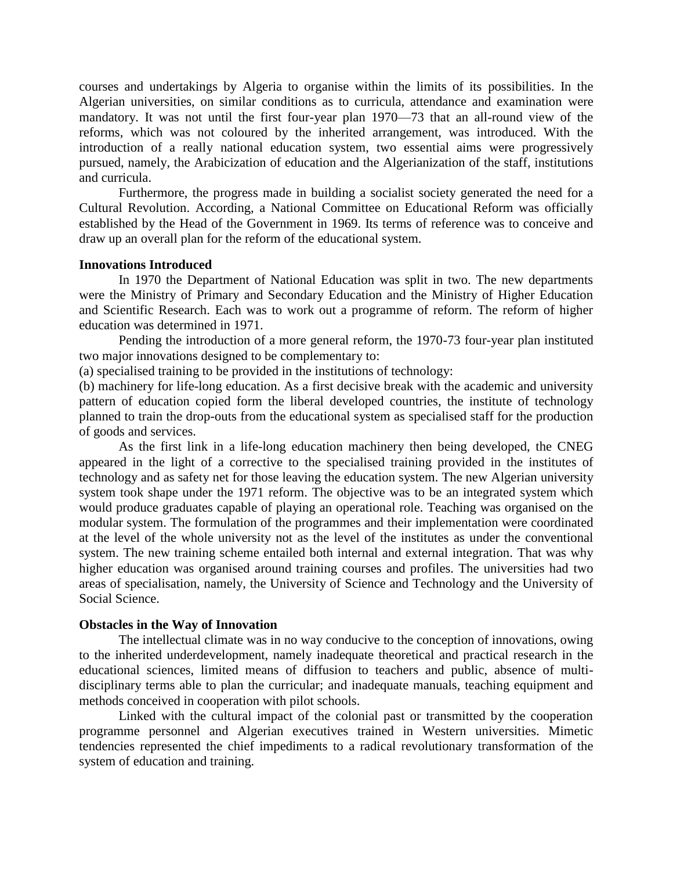courses and undertakings by Algeria to organise within the limits of its possibilities. In the Algerian universities, on similar conditions as to curricula, attendance and examination were mandatory. It was not until the first four-year plan 1970—73 that an all-round view of the reforms, which was not coloured by the inherited arrangement, was introduced. With the introduction of a really national education system, two essential aims were progressively pursued, namely, the Arabicization of education and the Algerianization of the staff, institutions and curricula.

Furthermore, the progress made in building a socialist society generated the need for a Cultural Revolution. According, a National Committee on Educational Reform was officially established by the Head of the Government in 1969. Its terms of reference was to conceive and draw up an overall plan for the reform of the educational system.

### **Innovations Introduced**

In 1970 the Department of National Education was split in two. The new departments were the Ministry of Primary and Secondary Education and the Ministry of Higher Education and Scientific Research. Each was to work out a programme of reform. The reform of higher education was determined in 1971.

Pending the introduction of a more general reform, the 1970-73 four-year plan instituted two major innovations designed to be complementary to:

(a) specialised training to be provided in the institutions of technology:

(b) machinery for life-long education. As a first decisive break with the academic and university pattern of education copied form the liberal developed countries, the institute of technology planned to train the drop-outs from the educational system as specialised staff for the production of goods and services.

As the first link in a life-long education machinery then being developed, the CNEG appeared in the light of a corrective to the specialised training provided in the institutes of technology and as safety net for those leaving the education system. The new Algerian university system took shape under the 1971 reform. The objective was to be an integrated system which would produce graduates capable of playing an operational role. Teaching was organised on the modular system. The formulation of the programmes and their implementation were coordinated at the level of the whole university not as the level of the institutes as under the conventional system. The new training scheme entailed both internal and external integration. That was why higher education was organised around training courses and profiles. The universities had two areas of specialisation, namely, the University of Science and Technology and the University of Social Science.

### **Obstacles in the Way of Innovation**

The intellectual climate was in no way conducive to the conception of innovations, owing to the inherited underdevelopment, namely inadequate theoretical and practical research in the educational sciences, limited means of diffusion to teachers and public, absence of multidisciplinary terms able to plan the curricular; and inadequate manuals, teaching equipment and methods conceived in cooperation with pilot schools.

Linked with the cultural impact of the colonial past or transmitted by the cooperation programme personnel and Algerian executives trained in Western universities. Mimetic tendencies represented the chief impediments to a radical revolutionary transformation of the system of education and training.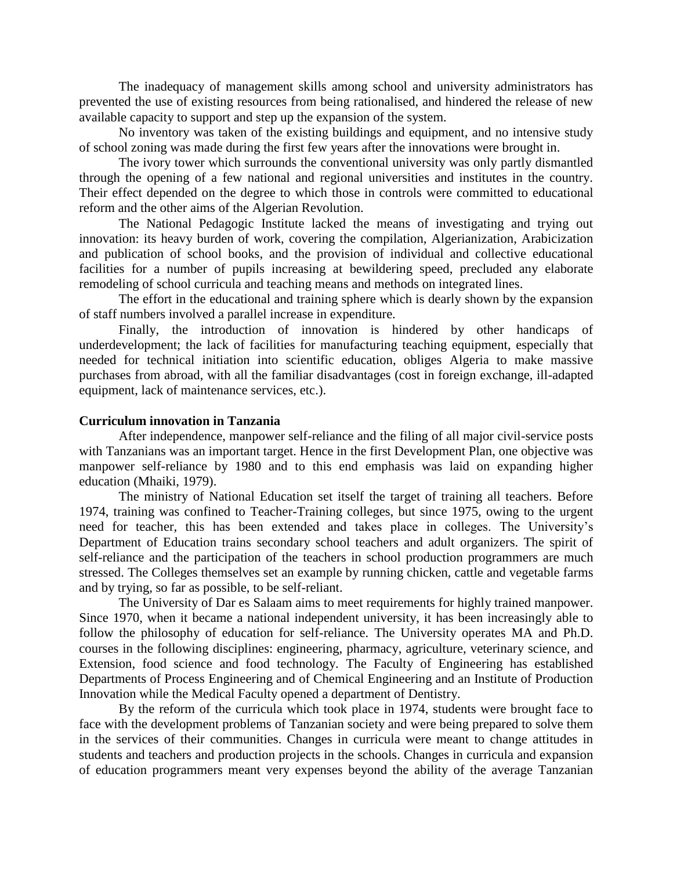The inadequacy of management skills among school and university administrators has prevented the use of existing resources from being rationalised, and hindered the release of new available capacity to support and step up the expansion of the system.

No inventory was taken of the existing buildings and equipment, and no intensive study of school zoning was made during the first few years after the innovations were brought in.

The ivory tower which surrounds the conventional university was only partly dismantled through the opening of a few national and regional universities and institutes in the country. Their effect depended on the degree to which those in controls were committed to educational reform and the other aims of the Algerian Revolution.

The National Pedagogic Institute lacked the means of investigating and trying out innovation: its heavy burden of work, covering the compilation, Algerianization, Arabicization and publication of school books, and the provision of individual and collective educational facilities for a number of pupils increasing at bewildering speed, precluded any elaborate remodeling of school curricula and teaching means and methods on integrated lines.

The effort in the educational and training sphere which is dearly shown by the expansion of staff numbers involved a parallel increase in expenditure.

Finally, the introduction of innovation is hindered by other handicaps of underdevelopment; the lack of facilities for manufacturing teaching equipment, especially that needed for technical initiation into scientific education, obliges Algeria to make massive purchases from abroad, with all the familiar disadvantages (cost in foreign exchange, ill-adapted equipment, lack of maintenance services, etc.).

### **Curriculum innovation in Tanzania**

After independence, manpower self-reliance and the filing of all major civil-service posts with Tanzanians was an important target. Hence in the first Development Plan, one objective was manpower self-reliance by 1980 and to this end emphasis was laid on expanding higher education (Mhaiki, 1979).

The ministry of National Education set itself the target of training all teachers. Before 1974, training was confined to Teacher-Training colleges, but since 1975, owing to the urgent need for teacher, this has been extended and takes place in colleges. The University's Department of Education trains secondary school teachers and adult organizers. The spirit of self-reliance and the participation of the teachers in school production programmers are much stressed. The Colleges themselves set an example by running chicken, cattle and vegetable farms and by trying, so far as possible, to be self-reliant.

The University of Dar es Salaam aims to meet requirements for highly trained manpower. Since 1970, when it became a national independent university, it has been increasingly able to follow the philosophy of education for self-reliance. The University operates MA and Ph.D. courses in the following disciplines: engineering, pharmacy, agriculture, veterinary science, and Extension, food science and food technology. The Faculty of Engineering has established Departments of Process Engineering and of Chemical Engineering and an Institute of Production Innovation while the Medical Faculty opened a department of Dentistry.

By the reform of the curricula which took place in 1974, students were brought face to face with the development problems of Tanzanian society and were being prepared to solve them in the services of their communities. Changes in curricula were meant to change attitudes in students and teachers and production projects in the schools. Changes in curricula and expansion of education programmers meant very expenses beyond the ability of the average Tanzanian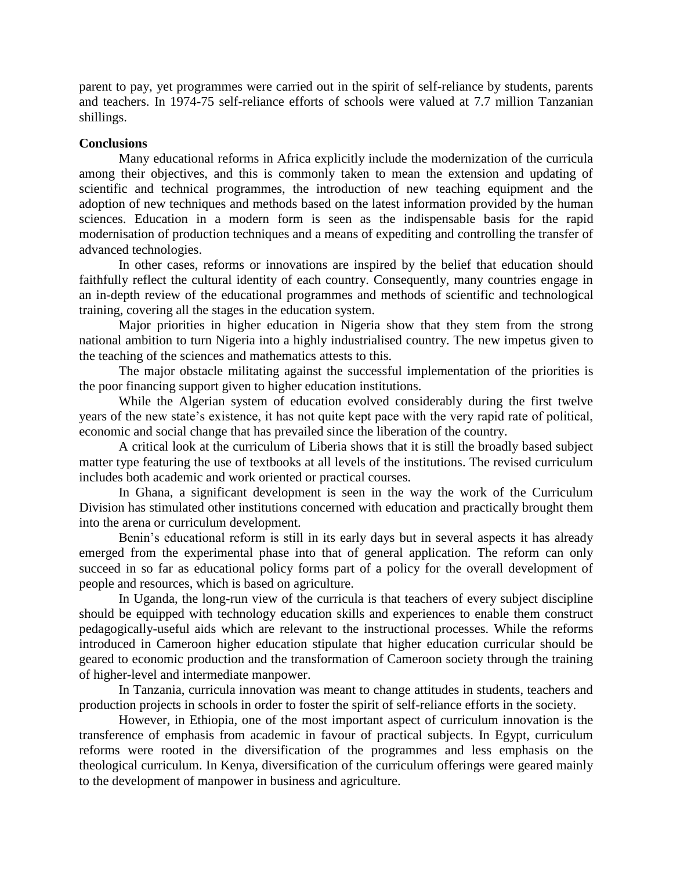parent to pay, yet programmes were carried out in the spirit of self-reliance by students, parents and teachers. In 1974-75 self-reliance efforts of schools were valued at 7.7 million Tanzanian shillings.

## **Conclusions**

Many educational reforms in Africa explicitly include the modernization of the curricula among their objectives, and this is commonly taken to mean the extension and updating of scientific and technical programmes, the introduction of new teaching equipment and the adoption of new techniques and methods based on the latest information provided by the human sciences. Education in a modern form is seen as the indispensable basis for the rapid modernisation of production techniques and a means of expediting and controlling the transfer of advanced technologies.

In other cases, reforms or innovations are inspired by the belief that education should faithfully reflect the cultural identity of each country. Consequently, many countries engage in an in-depth review of the educational programmes and methods of scientific and technological training, covering all the stages in the education system.

Major priorities in higher education in Nigeria show that they stem from the strong national ambition to turn Nigeria into a highly industrialised country. The new impetus given to the teaching of the sciences and mathematics attests to this.

The major obstacle militating against the successful implementation of the priorities is the poor financing support given to higher education institutions.

While the Algerian system of education evolved considerably during the first twelve years of the new state's existence, it has not quite kept pace with the very rapid rate of political, economic and social change that has prevailed since the liberation of the country.

A critical look at the curriculum of Liberia shows that it is still the broadly based subject matter type featuring the use of textbooks at all levels of the institutions. The revised curriculum includes both academic and work oriented or practical courses.

In Ghana, a significant development is seen in the way the work of the Curriculum Division has stimulated other institutions concerned with education and practically brought them into the arena or curriculum development.

Benin's educational reform is still in its early days but in several aspects it has already emerged from the experimental phase into that of general application. The reform can only succeed in so far as educational policy forms part of a policy for the overall development of people and resources, which is based on agriculture.

In Uganda, the long-run view of the curricula is that teachers of every subject discipline should be equipped with technology education skills and experiences to enable them construct pedagogically-useful aids which are relevant to the instructional processes. While the reforms introduced in Cameroon higher education stipulate that higher education curricular should be geared to economic production and the transformation of Cameroon society through the training of higher-level and intermediate manpower.

In Tanzania, curricula innovation was meant to change attitudes in students, teachers and production projects in schools in order to foster the spirit of self-reliance efforts in the society.

However, in Ethiopia, one of the most important aspect of curriculum innovation is the transference of emphasis from academic in favour of practical subjects. In Egypt, curriculum reforms were rooted in the diversification of the programmes and less emphasis on the theological curriculum. In Kenya, diversification of the curriculum offerings were geared mainly to the development of manpower in business and agriculture.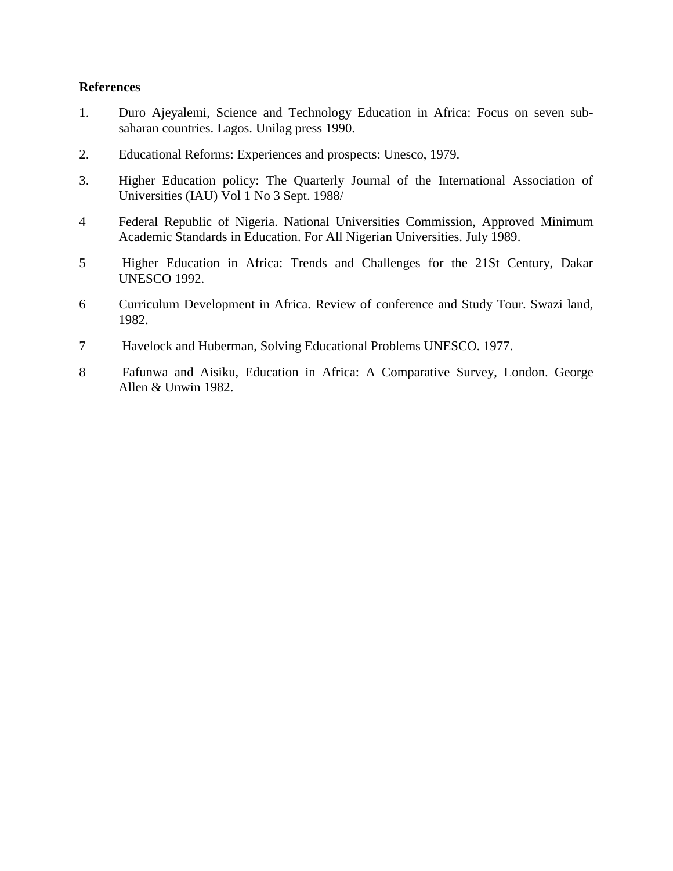## **References**

- 1. Duro Ajeyalemi, Science and Technology Education in Africa: Focus on seven subsaharan countries. Lagos. Unilag press 1990.
- 2. Educational Reforms: Experiences and prospects: Unesco, 1979.
- 3. Higher Education policy: The Quarterly Journal of the International Association of Universities (IAU) Vol 1 No 3 Sept. 1988/
- 4 Federal Republic of Nigeria. National Universities Commission, Approved Minimum Academic Standards in Education. For All Nigerian Universities. July 1989.
- 5 Higher Education in Africa: Trends and Challenges for the 21St Century, Dakar UNESCO 1992.
- 6 Curriculum Development in Africa. Review of conference and Study Tour. Swazi land, 1982.
- 7 Havelock and Huberman, Solving Educational Problems UNESCO. 1977.
- 8 Fafunwa and Aisiku, Education in Africa: A Comparative Survey, London. George Allen & Unwin 1982.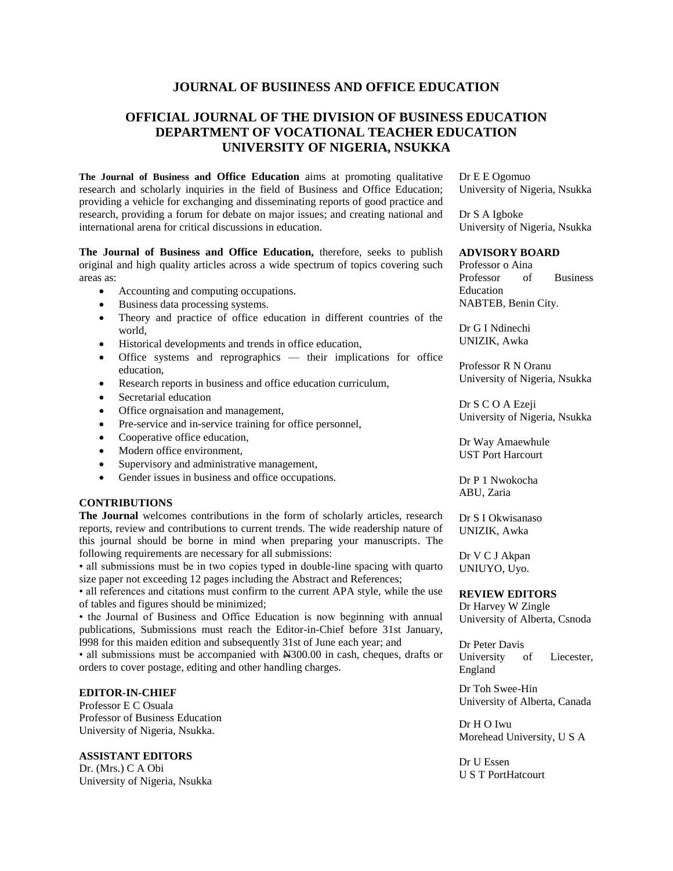## **JOURNAL OF BUSIINESS AND OFFICE EDUCATION**

# **OFFICIAL JOURNAL OF THE DIVISION OF BUSINESS EDUCATION DEPARTMENT OF VOCATIONAL TEACHER EDUCATION UNIVERSITY OF NIGERIA, NSUKKA**

**The Journal of Business and Office Education** aims at promoting qualitative research and scholarly inquiries in the field of Business and Office Education; providing a vehicle for exchanging and disseminating reports of good practice and research, providing a forum for debate on major issues; and creating national and international arena for critical discussions in education.

**The Journal of Business and Office Education,** therefore, seeks to publish original and high quality articles across a wide spectrum of topics covering such areas as:

- Accounting and computing occupations.
- Business data processing systems.
- Theory and practice of office education in different countries of the world,
- Historical developments and trends in office education,
- Office systems and reprographics their implications for office education,
- Research reports in business and office education curriculum,
- Secretarial education
- Office orgnaisation and management,
- Pre-service and in-service training for office personnel,
- Cooperative office education,
- Modern office environment,
- Supervisory and administrative management,
- Gender issues in business and office occupations.

#### **CONTRIBUTIONS**

**The Journal** welcomes contributions in the form of scholarly articles, research reports, review and contributions to current trends. The wide readership nature of this journal should be borne in mind when preparing your manuscripts. The following requirements are necessary for all submissions:

• all submissions must be in two copies typed in double-line spacing with quarto size paper not exceeding 12 pages including the Abstract and References;

• all references and citations must confirm to the current APA style, while the use of tables and figures should be minimized;

• the Journal of Business and Office Education is now beginning with annual publications, Submissions must reach the Editor-in-Chief before 31st January, l998 for this maiden edition and subsequently 31st of June each year; and

• all submissions must be accompanied with  $\frac{N300.00}{N}$  in cash, cheques, drafts or orders to cover postage, editing and other handling charges.

#### **EDITOR-IN-CHIEF**

Professor E C Osuala Professor of Business Education University of Nigeria, Nsukka.

**ASSISTANT EDITORS**

Dr. (Mrs.) C A Obi University of Nigeria, Nsukka Dr E E Ogomuo University of Nigeria, Nsukka

Dr S A Igboke University of Nigeria, Nsukka

#### **ADVISORY BOARD**

Professor o Aina Professor of Business Education NABTEB, Benin City.

Dr G I Ndinechi UNIZIK, Awka

Professor R N Oranu University of Nigeria, Nsukka

Dr S C O A Ezeji University of Nigeria, Nsukka

Dr Way Amaewhule UST Port Harcourt

Dr P 1 Nwokocha ABU, Zaria

Dr S I Okwisanaso UNIZIK, Awka

Dr V C J Akpan UNIUYO, Uyo.

#### **REVIEW EDITORS**

Dr Harvey W Zingle University of Alberta, Csnoda

Dr Peter Davis University of Liecester, England

Dr Toh Swee-Hin University of Alberta, Canada

Dr H O Iwu Morehead University, U S A

Dr U Essen U S T PortHatcourt